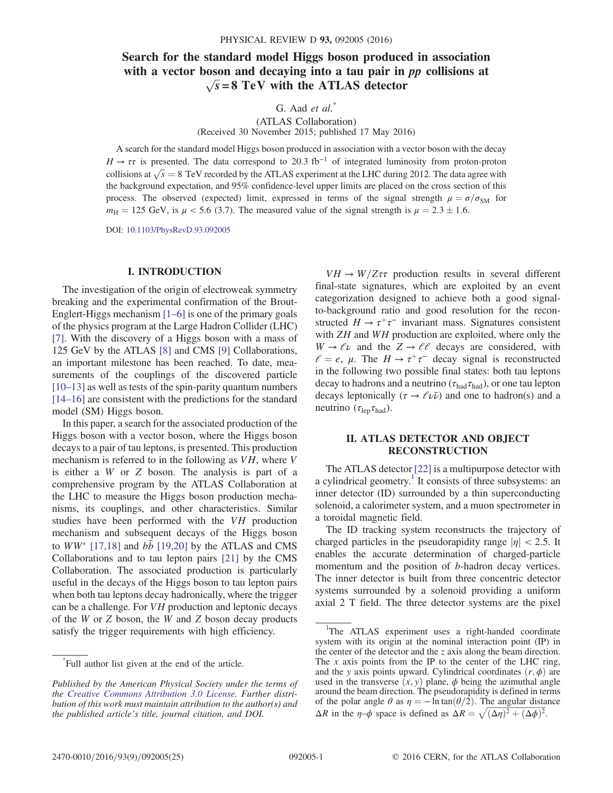# Search for the standard model Higgs boson produced in association with a vector boson and decaying into a tau pair in  $pp$  collisions at  $\sqrt{s}$  = 8 TeV with the ATLAS detector

G. Aad  $et \ al.^*$ 

(ATLAS Collaboration) (Received 30 November 2015; published 17 May 2016)

A search for the standard model Higgs boson produced in association with a vector boson with the decay  $H \to \tau \tau$  is presented. The data correspond to 20.3 fb<sup>-1</sup> of integrated luminosity from proton-proton  $A \rightarrow \tau \tau$  is presented. The data correspond to 20.5 To  $\cdot$  of integrated funnifiestly from proton-proton collisions at  $\sqrt{s} = 8$  TeV recorded by the ATLAS experiment at the LHC during 2012. The data agree with the bookgr the background expectation, and 95% confidence-level upper limits are placed on the cross section of this process. The observed (expected) limit, expressed in terms of the signal strength  $\mu = \sigma/\sigma_{SM}$  for  $m_{\text{H}} = 125 \text{ GeV}$ , is  $\mu < 5.6$  (3.7). The measured value of the signal strength is  $\mu = 2.3 \pm 1.6$ .

DOI: [10.1103/PhysRevD.93.092005](http://dx.doi.org/10.1103/PhysRevD.93.092005)

### I. INTRODUCTION

The investigation of the origin of electroweak symmetry breaking and the experimental confirmation of the Brout-Englert-Higgs mechanism [1–[6\]](#page-9-0) is one of the primary goals of the physics program at the Large Hadron Collider (LHC) [\[7\]](#page-9-1). With the discovery of a Higgs boson with a mass of 125 GeV by the ATLAS [\[8\]](#page-9-2) and CMS [\[9\]](#page-9-3) Collaborations, an important milestone has been reached. To date, measurements of the couplings of the discovered particle [\[10](#page-9-4)–13] as well as tests of the spin-parity quantum numbers [\[14](#page-10-0)–16] are consistent with the predictions for the standard model (SM) Higgs boson.

In this paper, a search for the associated production of the Higgs boson with a vector boson, where the Higgs boson decays to a pair of tau leptons, is presented. This production mechanism is referred to in the following as VH, where V is either a W or Z boson. The analysis is part of a comprehensive program by the ATLAS Collaboration at the LHC to measure the Higgs boson production mechanisms, its couplings, and other characteristics. Similar studies have been performed with the VH production mechanism and subsequent decays of the Higgs boson to  $WW^*$  [\[17,18\]](#page-10-1) and  $b\bar{b}$  [\[19,20\]](#page-10-2) by the ATLAS and CMS Collaborations and to tau lepton pairs [\[21\]](#page-10-3) by the CMS Collaboration. The associated production is particularly useful in the decays of the Higgs boson to tau lepton pairs when both tau leptons decay hadronically, where the trigger can be a challenge. For VH production and leptonic decays of the W or Z boson, the W and Z boson decay products satisfy the trigger requirements with high efficiency.

 $VH \rightarrow W/Z\tau\tau$  production results in several different final-state signatures, which are exploited by an event categorization designed to achieve both a good signalto-background ratio and good resolution for the reconstructed  $H \to \tau^+\tau^-$  invariant mass. Signatures consistent with *ZH* and *WH* production are exploited, where only the  $W \to \ell \nu$  and the  $Z \to \ell \ell$  decays are considered, with  $l = e$ ,  $\mu$ . The  $H \rightarrow \tau^+\tau^-$  decay signal is reconstructed in the following two possible final states: both tau leptons decay to hadrons and a neutrino ( $\tau_{\text{had}}\tau_{\text{had}}$ ), or one tau lepton decays leptonically ( $\tau \rightarrow \ell \nu \bar{\nu}$ ) and one to hadron(s) and a neutrino  $(\tau_{\text{len}}\tau_{\text{had}})$ .

### II. ATLAS DETECTOR AND OBJECT RECONSTRUCTION

The ATLAS detector [\[22\]](#page-10-4) is a multipurpose detector with a cylindrical geometry.<sup>1</sup> It consists of three subsystems: an inner detector (ID) surrounded by a thin superconducting solenoid, a calorimeter system, and a muon spectrometer in a toroidal magnetic field.

The ID tracking system reconstructs the trajectory of charged particles in the pseudorapidity range  $|\eta| < 2.5$ . It enables the accurate determination of charged-particle momentum and the position of b-hadron decay vertices. The inner detector is built from three concentric detector systems surrounded by a solenoid providing a uniform axial 2 T field. The three detector systems are the pixel

<sup>\*</sup> Full author list given at the end of the article.

Published by the American Physical Society under the terms of the [Creative Commons Attribution 3.0 License.](http://creativecommons.org/licenses/by/3.0/) Further distribution of this work must maintain attribution to the author(s) and the published article's title, journal citation, and DOI.

<sup>&</sup>lt;sup>1</sup>The ATLAS experiment uses a right-handed coordinate system with its origin at the nominal interaction point (IP) in the center of the detector and the z axis along the beam direction. The  $x$  axis points from the IP to the center of the LHC ring, and the y axis points upward. Cylindrical coordinates  $(r, \phi)$  are used in the transverse  $(x, y)$  plane,  $\phi$  being the azimuthal angle around the beam direction. The pseudorapidity is defined in terms of the polar angle  $\theta$  as  $\eta = -\ln \tan(\theta/2)$ . The angular distance of the polar angle  $\theta$  as  $\eta = -\ln \tan(\theta/2)$ . The angular dista  $\Delta R$  in the  $\eta-\phi$  space is defined as  $\Delta R = \sqrt{(\Delta \eta)^2 + (\Delta \phi)^2}$ .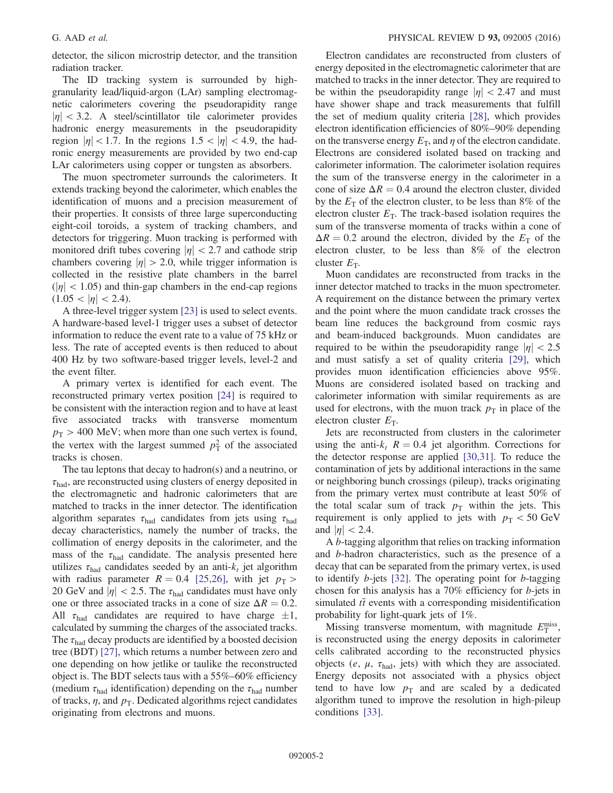detector, the silicon microstrip detector, and the transition radiation tracker.

The ID tracking system is surrounded by highgranularity lead/liquid-argon (LAr) sampling electromagnetic calorimeters covering the pseudorapidity range  $|\eta|$  < 3.2. A steel/scintillator tile calorimeter provides hadronic energy measurements in the pseudorapidity region  $|\eta|$  < 1.7. In the regions 1.5 <  $|\eta|$  < 4.9, the hadronic energy measurements are provided by two end-cap LAr calorimeters using copper or tungsten as absorbers.

The muon spectrometer surrounds the calorimeters. It extends tracking beyond the calorimeter, which enables the identification of muons and a precision measurement of their properties. It consists of three large superconducting eight-coil toroids, a system of tracking chambers, and detectors for triggering. Muon tracking is performed with monitored drift tubes covering  $|\eta| < 2.7$  and cathode strip chambers covering  $|\eta| > 2.0$ , while trigger information is collected in the resistive plate chambers in the barrel  $(|\eta| < 1.05)$  and thin-gap chambers in the end-cap regions  $(1.05 < |\eta| < 2.4)$ .

A three-level trigger system [\[23\]](#page-10-5) is used to select events. A hardware-based level-1 trigger uses a subset of detector information to reduce the event rate to a value of 75 kHz or less. The rate of accepted events is then reduced to about 400 Hz by two software-based trigger levels, level-2 and the event filter.

A primary vertex is identified for each event. The reconstructed primary vertex position [\[24\]](#page-10-6) is required to be consistent with the interaction region and to have at least five associated tracks with transverse momentum  $p_T > 400$  MeV; when more than one such vertex is found, the vertex with the largest summed  $p_T^2$  of the associated tracks is chosen tracks is chosen.

The tau leptons that decay to hadron(s) and a neutrino, or  $\tau_{\text{had}}$ , are reconstructed using clusters of energy deposited in the electromagnetic and hadronic calorimeters that are matched to tracks in the inner detector. The identification algorithm separates  $\tau_{\text{had}}$  candidates from jets using  $\tau_{\text{had}}$ decay characteristics, namely the number of tracks, the collimation of energy deposits in the calorimeter, and the mass of the  $\tau_{\text{had}}$  candidate. The analysis presented here utilizes  $\tau_{\text{had}}$  candidates seeded by an anti- $k_t$  jet algorithm with radius parameter  $R = 0.4$  [\[25,26\]](#page-10-7), with jet  $p<sub>T</sub>$  > 20 GeV and  $|\eta|$  < 2.5. The  $\tau_{\text{had}}$  candidates must have only one or three associated tracks in a cone of size  $\Delta R = 0.2$ . All  $\tau_{\text{had}}$  candidates are required to have charge  $\pm 1$ , calculated by summing the charges of the associated tracks. The  $\tau_{\text{had}}$  decay products are identified by a boosted decision tree (BDT) [\[27\],](#page-10-8) which returns a number between zero and one depending on how jetlike or taulike the reconstructed object is. The BDT selects taus with a 55%–60% efficiency (medium  $\tau_{\text{had}}$  identification) depending on the  $\tau_{\text{had}}$  number of tracks,  $\eta$ , and  $p_T$ . Dedicated algorithms reject candidates originating from electrons and muons.

Electron candidates are reconstructed from clusters of energy deposited in the electromagnetic calorimeter that are matched to tracks in the inner detector. They are required to be within the pseudorapidity range  $|\eta| < 2.47$  and must have shower shape and track measurements that fulfill the set of medium quality criteria [\[28\]](#page-10-9), which provides electron identification efficiencies of 80%–90% depending on the transverse energy  $E_T$ , and  $\eta$  of the electron candidate. Electrons are considered isolated based on tracking and calorimeter information. The calorimeter isolation requires the sum of the transverse energy in the calorimeter in a cone of size  $\Delta R = 0.4$  around the electron cluster, divided by the  $E_T$  of the electron cluster, to be less than 8% of the electron cluster  $E_T$ . The track-based isolation requires the sum of the transverse momenta of tracks within a cone of  $\Delta R = 0.2$  around the electron, divided by the  $E<sub>T</sub>$  of the electron cluster, to be less than 8% of the electron cluster  $E_T$ .

Muon candidates are reconstructed from tracks in the inner detector matched to tracks in the muon spectrometer. A requirement on the distance between the primary vertex and the point where the muon candidate track crosses the beam line reduces the background from cosmic rays and beam-induced backgrounds. Muon candidates are required to be within the pseudorapidity range  $|\eta| < 2.5$ and must satisfy a set of quality criteria [\[29\],](#page-10-10) which provides muon identification efficiencies above 95%. Muons are considered isolated based on tracking and calorimeter information with similar requirements as are used for electrons, with the muon track  $p<sub>T</sub>$  in place of the electron cluster  $E_T$ .

Jets are reconstructed from clusters in the calorimeter using the anti- $k_t$   $R = 0.4$  jet algorithm. Corrections for the detector response are applied [\[30,31\]](#page-10-11). To reduce the contamination of jets by additional interactions in the same or neighboring bunch crossings (pileup), tracks originating from the primary vertex must contribute at least 50% of the total scalar sum of track  $p<sub>T</sub>$  within the jets. This requirement is only applied to jets with  $p_T < 50$  GeV and  $|\eta|$  < 2.4.

<sup>A</sup> b-tagging algorithm that relies on tracking information and b-hadron characteristics, such as the presence of a decay that can be separated from the primary vertex, is used to identify  $b$ -jets [\[32\]](#page-10-12). The operating point for  $b$ -tagging chosen for this analysis has a 70% efficiency for b-jets in simulated  $t\bar{t}$  events with a corresponding misidentification probability for light-quark jets of 1%.

Missing transverse momentum, with magnitude  $E_T^{\text{miss}}$ , reconstructed using the energy denosits in calorimeter is reconstructed using the energy deposits in calorimeter cells calibrated according to the reconstructed physics objects ( $e$ ,  $\mu$ ,  $\tau_{\text{had}}$ , jets) with which they are associated. Energy deposits not associated with a physics object tend to have low  $p_T$  and are scaled by a dedicated algorithm tuned to improve the resolution in high-pileup conditions [\[33\]](#page-10-13).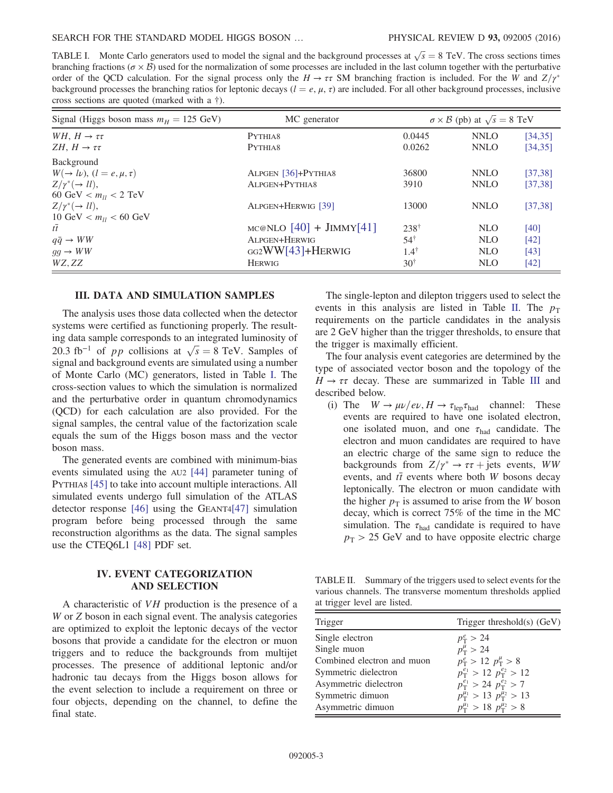<span id="page-2-0"></span>TABLE I. Monte Carlo generators used to model the signal and the background processes at  $\sqrt{s} = 8$  TeV. The cross sections times here  $\sqrt{s}$  and  $\sqrt{s}$  and  $\sqrt{s}$  and  $\sqrt{s}$  and  $\sqrt{s}$  and  $\sqrt{s}$  and  $\sqrt{s}$  and  $\sqrt{s}$  and branching fractions ( $\sigma \times \mathcal{B}$ ) used for the normalization of some processes are included in the last column together with the perturbative order of the QCD calculation. For the signal process only the  $H \to \tau\tau$  SM branching fraction is included. For the W and  $Z/\gamma^*$ background processes the branching ratios for leptonic decays  $(l = e, \mu, \tau)$  are included. For all other background processes, inclusive cross sections are quoted (marked with a †).

| Signal (Higgs boson mass $m_H = 125$ GeV)   | MC generator                |                 | $\sigma \times \mathcal{B}$ (pb) at $\sqrt{s} = 8$ TeV |          |
|---------------------------------------------|-----------------------------|-----------------|--------------------------------------------------------|----------|
| WH, $H \rightarrow \tau \tau$               | PYTHIA8                     | 0.0445          | <b>NNLO</b>                                            | [34, 35] |
| ZH, $H \rightarrow \tau \tau$               | PYTHIA8                     | 0.0262          | <b>NNLO</b>                                            | [34, 35] |
| Background                                  |                             |                 |                                                        |          |
| $W(\rightarrow l\nu),$ $(l = e, \mu, \tau)$ | ALPGEN [36]+PYTHIA8         | 36800           | <b>NNLO</b>                                            | [37, 38] |
| $Z/\gamma^*(\rightarrow ll),$               | ALPGEN+PYTHIA8              | 3910            | <b>NNLO</b>                                            | [37, 38] |
| 60 GeV $< m_{ll} < 2$ TeV                   |                             |                 |                                                        |          |
| $Z/\gamma^*(\rightarrow ll),$               | ALPGEN+HERWIG [39]          | 13000           | <b>NNLO</b>                                            | [37, 38] |
| 10 GeV $< m_{ll} < 60$ GeV                  |                             |                 |                                                        |          |
| $t\overline{t}$                             | $MC@NLO$ [40] + $JIMMY[41]$ | $238^{\dagger}$ | NLO                                                    | [40]     |
| $q\bar{q} \rightarrow WW$                   | ALPGEN+HERWIG               | $54^{\dagger}$  | NLO                                                    | [42]     |
| $gg \rightarrow WW$                         | $GG2WW[43]+HERWIG$          | $1.4^{\dagger}$ | <b>NLO</b>                                             | [43]     |
| WZ, ZZ                                      | <b>HERWIG</b>               | $30^{\dagger}$  | NLO                                                    | [42]     |

#### III. DATA AND SIMULATION SAMPLES

The analysis uses those data collected when the detector systems were certified as functioning properly. The resulting data sample corresponds to an integrated luminosity of ing data sample corresponds to an integrated luminosity of 20.3 fb<sup>-1</sup> of *pp* collisions at  $\sqrt{s} = 8$  TeV. Samples of signal and background events are simulated using a number signal and background events are simulated using a number of Monte Carlo (MC) generators, listed in Table [I.](#page-2-0) The cross-section values to which the simulation is normalized and the perturbative order in quantum chromodynamics (QCD) for each calculation are also provided. For the signal samples, the central value of the factorization scale equals the sum of the Higgs boson mass and the vector boson mass.

The generated events are combined with minimum-bias events simulated using the AU2 [\[44\]](#page-10-14) parameter tuning of PYTHIA8 [\[45\]](#page-10-15) to take into account multiple interactions. All simulated events undergo full simulation of the ATLAS detector response [\[46\]](#page-10-16) using the GEANT[4\[47\]](#page-10-17) simulation program before being processed through the same reconstruction algorithms as the data. The signal samples use the CTEQ6L1 [\[48\]](#page-10-18) PDF set.

## IV. EVENT CATEGORIZATION AND SELECTION

A characteristic of VH production is the presence of a W or Z boson in each signal event. The analysis categories are optimized to exploit the leptonic decays of the vector bosons that provide a candidate for the electron or muon triggers and to reduce the backgrounds from multijet processes. The presence of additional leptonic and/or hadronic tau decays from the Higgs boson allows for the event selection to include a requirement on three or four objects, depending on the channel, to define the final state.

The single-lepton and dilepton triggers used to select the events in this analysis are listed in Table [II.](#page-2-1) The  $p_T$ requirements on the particle candidates in the analysis are 2 GeV higher than the trigger thresholds, to ensure that the trigger is maximally efficient.

The four analysis event categories are determined by the type of associated vector boson and the topology of the  $H \rightarrow \tau \tau$  decay. These are summarized in Table [III](#page-3-0) and described below.

(i) The  $W \to \mu \nu/e \nu$ ,  $H \to \tau_{\rm lep} \tau_{\rm had}$  channel: These events are required to have one isolated electron, one isolated muon, and one  $\tau_{\text{had}}$  candidate. The electron and muon candidates are required to have an electric charge of the same sign to reduce the backgrounds from  $Z/\gamma^* \to \tau \tau$  jets events, WW events, and  $t\bar{t}$  events where both W bosons decay leptonically. The electron or muon candidate with the higher  $p<sub>T</sub>$  is assumed to arise from the W boson decay, which is correct 75% of the time in the MC simulation. The  $\tau_{\text{had}}$  candidate is required to have  $p_T > 25$  GeV and to have opposite electric charge

<span id="page-2-1"></span>TABLE II. Summary of the triggers used to select events for the various channels. The transverse momentum thresholds applied at trigger level are listed.

| Trigger threshold(s) (GeV)                         |
|----------------------------------------------------|
| $p_{\rm T}^e > 24$                                 |
| $p_{\rm T}^{\mu} > 24$                             |
| $p_T^e > 12 p_T^{\mu} > 8$                         |
| $p_T^{e_1} > 12 p_T^{e_2} > 12$                    |
| $p_T^{e_1} > 24 p_T^{e_2} > 7$                     |
| $p_{\rm T}^{\mu_1} > 13 \, p_{\rm T}^{\mu_2} > 13$ |
| $p_{\rm T}^{\mu_1} > 18 \, p_{\rm T}^{\mu_2} > 8$  |
|                                                    |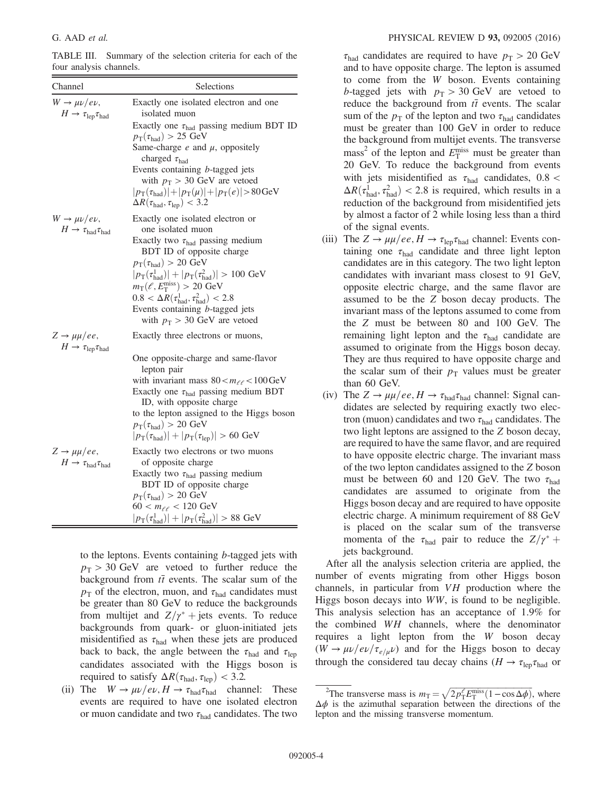<span id="page-3-0"></span>TABLE III. Summary of the selection criteria for each of the four analysis channels.

| Channel                                                                              | Selections                                                                                                                                                                                                                                                                                                                                                                                                                                                  |
|--------------------------------------------------------------------------------------|-------------------------------------------------------------------------------------------------------------------------------------------------------------------------------------------------------------------------------------------------------------------------------------------------------------------------------------------------------------------------------------------------------------------------------------------------------------|
| $W \rightarrow \mu \nu / e \nu$ ,<br>$H \to \tau_{\rm lep} \tau_{\rm had}$           | Exactly one isolated electron and one<br>isolated muon<br>Exactly one $\tau_{had}$ passing medium BDT ID<br>$p_{\text{T}}(\tau_{\text{had}}) > 25 \text{ GeV}$<br>Same-charge $e$ and $\mu$ , oppositely<br>charged $\tau_{\text{had}}$<br>Events containing b-tagged jets<br>with $p_T > 30$ GeV are vetoed<br>$ p_{\rm T}(\tau_{\rm had}) + p_{\rm T}(\mu) + p_{\rm T}(e) >80{\rm GeV}$<br>$\Delta R(\tau_{\text{had}}, \tau_{\text{lep}})$ < 3.2         |
| $W \rightarrow \mu \nu / e \nu$ ,<br>$H \to \tau_{\textrm{had}} \tau_{\textrm{had}}$ | Exactly one isolated electron or<br>one isolated muon<br>Exactly two $\tau_{had}$ passing medium<br>BDT ID of opposite charge<br>$p_T(\tau_{\text{had}}) > 20 \text{ GeV}$<br>$ p_{\rm T}(\tau_{\rm had}^1)  +  p_{\rm T}(\tau_{\rm had}^2)  > 100 \text{ GeV}$<br>$m_T(\ell, E_T^{\text{miss}}) > 20 \text{ GeV}$<br>$0.8 < \Delta R(\tau_{\text{had}}^1, \tau_{\text{had}}^2) < 2.8$<br>Events containing b-tagged jets<br>with $p_T > 30$ GeV are vetoed |
| $Z \rightarrow \mu \mu /ee$ ,<br>$H \to \tau_{\rm lep} \tau_{\rm had}$               | Exactly three electrons or muons,<br>One opposite-charge and same-flavor<br>lepton pair<br>with invariant mass $80 < m_{\ell\ell} < 100$ GeV<br>Exactly one $\tau_{had}$ passing medium BDT<br>ID, with opposite charge<br>to the lepton assigned to the Higgs boson<br>$p_T(\tau_{\text{had}}) > 20 \text{ GeV}$<br>$ p_T(\tau_{\text{had}})  +  p_T(\tau_{\text{lep}})  > 60 \text{ GeV}$                                                                 |
| $Z \rightarrow \mu \mu /ee$ ,<br>$H \to \tau_{\textrm{had}} \tau_{\textrm{had}}$     | Exactly two electrons or two muons<br>of opposite charge<br>Exactly two $\tau_{had}$ passing medium<br>BDT ID of opposite charge<br>$p_{\text{T}}(\tau_{\text{had}}) > 20 \text{ GeV}$<br>$60 < m_{ee} < 120 \text{ GeV}$<br>$ p_{\rm T}(\tau_{\rm had}^1)  +  p_{\rm T}(\tau_{\rm had}^2)  > 88 \text{ GeV}$                                                                                                                                               |

to the leptons. Events containing b-tagged jets with  $p_T > 30$  GeV are vetoed to further reduce the background from  $t\bar{t}$  events. The scalar sum of the  $p_T$  of the electron, muon, and  $\tau_{had}$  candidates must be greater than 80 GeV to reduce the backgrounds from multijet and  $Z/\gamma^*$  + jets events. To reduce backgrounds from quark- or gluon-initiated jets misidentified as  $\tau_{\text{had}}$  when these jets are produced back to back, the angle between the  $\tau_{\text{had}}$  and  $\tau_{\text{lep}}$ candidates associated with the Higgs boson is required to satisfy  $\Delta R(\tau_{\text{had}}, \tau_{\text{lep}})$  < 3.2.

(ii) The  $W \to \mu \nu / e \nu$ ,  $H \to \tau_{\text{had}} \tau_{\text{had}}$  channel: These events are required to have one isolated electron or muon candidate and two  $\tau_{\text{had}}$  candidates. The two  $\tau_{\text{had}}$  candidates are required to have  $p_{\text{T}} > 20 \text{ GeV}$ and to have opposite charge. The lepton is assumed to come from the W boson. Events containing b-tagged jets with  $p_T > 30$  GeV are vetoed to reduce the background from  $t\bar{t}$  events. The scalar sum of the  $p_T$  of the lepton and two  $\tau_{\text{had}}$  candidates must be greater than 100 GeV in order to reduce the background from multijet events. The transverse mass<sup>2</sup> of the lepton and  $E_T^{\text{miss}}$  must be greater than<br>20 GeV. To reduce the background from events 20 GeV. To reduce the background from events with jets misidentified as  $\tau_{\text{had}}$  candidates, 0.8 <  $\Delta R(\tau_{\text{had}}^1, \tau_{\text{had}}^2)$  < 2.8 is required, which results in a reduction of the background from misidentified jets reduction of the background from misidentified jets by almost a factor of 2 while losing less than a third of the signal events.

- (iii) The  $Z \rightarrow \mu\mu/ee$ ,  $H \rightarrow \tau_{\text{lep}}\tau_{\text{had}}$  channel: Events containing one  $\tau_{\text{had}}$  candidate and three light lepton candidates are in this category. The two light lepton candidates with invariant mass closest to 91 GeV, opposite electric charge, and the same flavor are assumed to be the Z boson decay products. The invariant mass of the leptons assumed to come from the Z must be between 80 and 100 GeV. The remaining light lepton and the  $\tau_{\text{had}}$  candidate are assumed to originate from the Higgs boson decay. They are thus required to have opposite charge and the scalar sum of their  $p<sub>T</sub>$  values must be greater than 60 GeV.
- (iv) The  $Z \rightarrow \mu\mu/ee, H \rightarrow \tau_{had}\tau_{had}$  channel: Signal candidates are selected by requiring exactly two electron (muon) candidates and two  $\tau_{\text{had}}$  candidates. The two light leptons are assigned to the Z boson decay, are required to have the same flavor, and are required to have opposite electric charge. The invariant mass of the two lepton candidates assigned to the Z boson must be between 60 and 120 GeV. The two  $\tau_{\text{had}}$ candidates are assumed to originate from the Higgs boson decay and are required to have opposite electric charge. A minimum requirement of 88 GeV is placed on the scalar sum of the transverse momenta of the  $\tau_{\text{had}}$  pair to reduce the  $Z/\gamma^*$  + jets background.

After all the analysis selection criteria are applied, the number of events migrating from other Higgs boson channels, in particular from VH production where the Higgs boson decays into WW, is found to be negligible. This analysis selection has an acceptance of 1.9% for the combined WH channels, where the denominator requires a light lepton from the W boson decay  $(W \rightarrow \mu \nu/e \nu/\tau_{e/\mu} \nu)$  and for the Higgs boson to decay through the considered tau decay chains ( $H \rightarrow \tau_{\text{lep}} \tau_{\text{had}}$  or

<sup>2</sup> The transverse mass is  $m_T = \sqrt{2p_T^{\ell}E_T^{\text{miss}}(1-\cos\Delta\phi)}$ , where is the azimuthal separation between the directions of the  $\Delta \phi$  is the azimuthal separation between the directions of the lepton and the missing transverse momentum.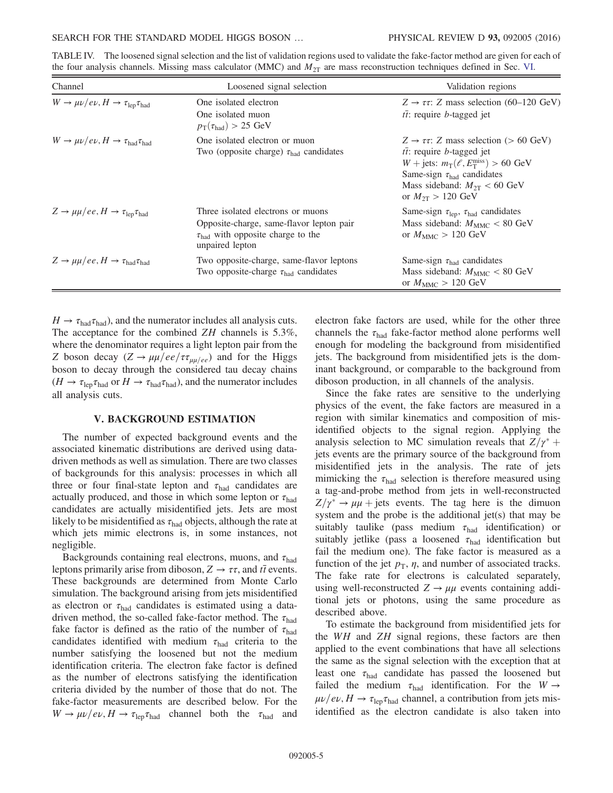<span id="page-4-0"></span>

| the four analysis channels. Missing mass calculator (MMC) and $M_{2T}$ are mass reconstruction techniques defined in Sec. VI.            |  |  |  |  |  |
|------------------------------------------------------------------------------------------------------------------------------------------|--|--|--|--|--|
| TABLE IV. The loosened signal selection and the list of validation regions used to validate the fake-factor method are given for each of |  |  |  |  |  |

| Channel                                                                     | Loosened signal selection                                                                                                                           | Validation regions                                                                                                                                                                                                                                                                 |
|-----------------------------------------------------------------------------|-----------------------------------------------------------------------------------------------------------------------------------------------------|------------------------------------------------------------------------------------------------------------------------------------------------------------------------------------------------------------------------------------------------------------------------------------|
| $W \to \mu \nu / e \nu$ , $H \to \tau_{\rm lep} \tau_{\rm had}$             | One isolated electron<br>One isolated muon<br>$p_{\text{T}}(\tau_{\text{had}}) > 25 \text{ GeV}$                                                    | $Z \rightarrow \tau \tau$ : Z mass selection (60–120 GeV)<br>$t\bar{t}$ : require <i>b</i> -tagged jet                                                                                                                                                                             |
| $W \to \mu \nu / e \nu$ , $H \to \tau_{\text{had}} \tau_{\text{had}}$       | One isolated electron or muon<br>Two (opposite charge) $\tau_{\text{had}}$ candidates                                                               | $Z \rightarrow \tau \tau$ : Z mass selection (> 60 GeV)<br>$t\bar{t}$ : require <i>b</i> -tagged jet<br>$W + \text{jets: } m_T(\ell, E_T^{\text{miss}}) > 60 \text{ GeV}$<br>Same-sign $\tau_{\text{had}}$ candidates<br>Mass sideband: $M_{2T}$ < 60 GeV<br>or $M_{2T} > 120$ GeV |
| $Z \rightarrow \mu\mu/ee, H \rightarrow \tau_{\rm lep}\tau_{\rm had}$       | Three isolated electrons or muons<br>Opposite-charge, same-flavor lepton pair<br>$\tau_{\text{had}}$ with opposite charge to the<br>unpaired lepton | Same-sign $\tau_{\rm lep}$ , $\tau_{\rm had}$ candidates<br>Mass sideband: $M_{\text{MMC}} < 80 \text{ GeV}$<br>or $M_{\text{MMC}} > 120 \text{ GeV}$                                                                                                                              |
| $Z \rightarrow \mu\mu/ee, H \rightarrow \tau_{\text{had}}\tau_{\text{had}}$ | Two opposite-charge, same-flavor leptons<br>Two opposite-charge $\tau_{\text{had}}$ candidates                                                      | Same-sign $\tau_{bad}$ candidates<br>Mass sideband: $M_{\text{MMC}} < 80 \text{ GeV}$<br>or $M_{\text{MMC}} > 120 \text{ GeV}$                                                                                                                                                     |

 $H \rightarrow \tau_{\text{had}} \tau_{\text{had}}$ ), and the numerator includes all analysis cuts. The acceptance for the combined ZH channels is 5.3%, where the denominator requires a light lepton pair from the Z boson decay  $(Z \to \mu\mu/ee/\tau_{\mu\mu/ee})$  and for the Higgs boson to decay through the considered tau decay chains  $(H \to \tau_{\text{lep}} \tau_{\text{had}} \text{ or } H \to \tau_{\text{had}} \tau_{\text{had}})$ , and the numerator includes all analysis cuts.

### V. BACKGROUND ESTIMATION

The number of expected background events and the associated kinematic distributions are derived using datadriven methods as well as simulation. There are two classes of backgrounds for this analysis: processes in which all three or four final-state lepton and  $\tau_{\text{had}}$  candidates are actually produced, and those in which some lepton or  $\tau_{\text{had}}$ candidates are actually misidentified jets. Jets are most likely to be misidentified as  $\tau_{\text{had}}$  objects, although the rate at which jets mimic electrons is, in some instances, not negligible.

Backgrounds containing real electrons, muons, and  $\tau_{\text{had}}$ leptons primarily arise from diboson,  $Z \rightarrow \tau \tau$ , and  $t\bar{t}$  events. These backgrounds are determined from Monte Carlo simulation. The background arising from jets misidentified as electron or  $\tau_{\text{had}}$  candidates is estimated using a datadriven method, the so-called fake-factor method. The  $\tau_{\text{had}}$ fake factor is defined as the ratio of the number of  $\tau_{\text{had}}$ candidates identified with medium  $\tau_{\text{had}}$  criteria to the number satisfying the loosened but not the medium identification criteria. The electron fake factor is defined as the number of electrons satisfying the identification criteria divided by the number of those that do not. The fake-factor measurements are described below. For the  $W \to \mu \nu/e\nu$ ,  $H \to \tau_{\rm lep}\tau_{\rm had}$  channel both the  $\tau_{\rm had}$  and electron fake factors are used, while for the other three channels the  $\tau_{\text{had}}$  fake-factor method alone performs well enough for modeling the background from misidentified jets. The background from misidentified jets is the dominant background, or comparable to the background from diboson production, in all channels of the analysis.

Since the fake rates are sensitive to the underlying physics of the event, the fake factors are measured in a region with similar kinematics and composition of misidentified objects to the signal region. Applying the analysis selection to MC simulation reveals that  $Z/\gamma^*$  + jets events are the primary source of the background from misidentified jets in the analysis. The rate of jets mimicking the  $\tau_{\text{had}}$  selection is therefore measured using a tag-and-probe method from jets in well-reconstructed  $Z/\gamma^* \rightarrow \mu\mu$  + jets events. The tag here is the dimuon system and the probe is the additional jet(s) that may be suitably taulike (pass medium  $\tau_{\text{had}}$  identification) or suitably jetlike (pass a loosened  $\tau_{\text{had}}$  identification but fail the medium one). The fake factor is measured as a function of the jet  $p<sub>T</sub>$ ,  $\eta$ , and number of associated tracks. The fake rate for electrons is calculated separately, using well-reconstructed  $Z \rightarrow \mu\mu$  events containing additional jets or photons, using the same procedure as described above.

To estimate the background from misidentified jets for the WH and ZH signal regions, these factors are then applied to the event combinations that have all selections the same as the signal selection with the exception that at least one  $\tau_{\text{had}}$  candidate has passed the loosened but failed the medium  $\tau_{\text{had}}$  identification. For the  $W \rightarrow$  $\mu\nu/e\nu$ ,  $H \rightarrow \tau_{\text{lep}}\tau_{\text{had}}$  channel, a contribution from jets misidentified as the electron candidate is also taken into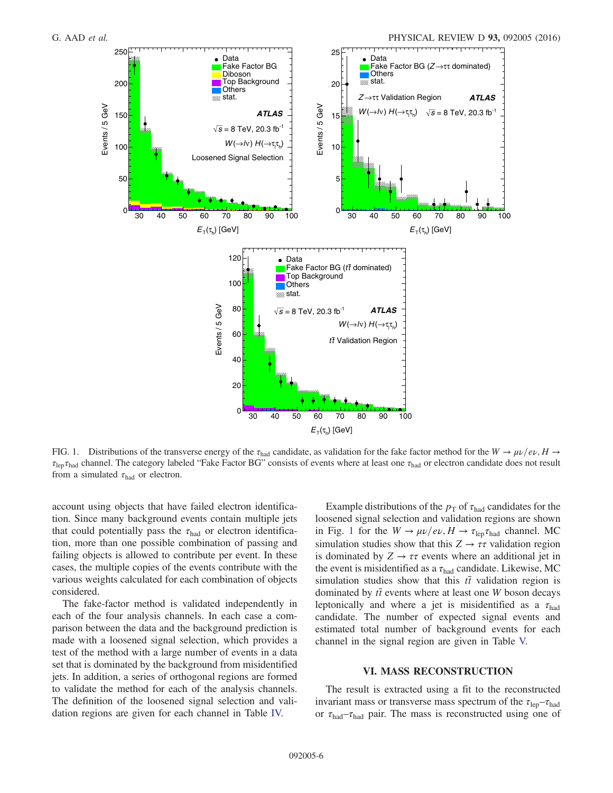<span id="page-5-1"></span>

FIG. 1. Distributions of the transverse energy of the  $\tau_{\text{had}}$  candidate, as validation for the fake factor method for the  $W \to \mu \nu / e \nu$ ,  $H \to$  $\tau_{\text{len}}\tau_{\text{had}}$  channel. The category labeled "Fake Factor BG" consists of events where at least one  $\tau_{\text{had}}$  or electron candidate does not result from a simulated  $\tau_{\text{had}}$  or electron.

account using objects that have failed electron identification. Since many background events contain multiple jets that could potentially pass the  $\tau_{had}$  or electron identification, more than one possible combination of passing and failing objects is allowed to contribute per event. In these cases, the multiple copies of the events contribute with the various weights calculated for each combination of objects considered.

The fake-factor method is validated independently in each of the four analysis channels. In each case a comparison between the data and the background prediction is made with a loosened signal selection, which provides a test of the method with a large number of events in a data set that is dominated by the background from misidentified jets. In addition, a series of orthogonal regions are formed to validate the method for each of the analysis channels. The definition of the loosened signal selection and validation regions are given for each channel in Table [IV.](#page-4-0)

Example distributions of the  $p_T$  of  $\tau_{had}$  candidates for the loosened signal selection and validation regions are shown in Fig. [1](#page-5-1) for the  $W \to \mu \nu / e \nu$ ,  $H \to \tau_{\rm lep} \tau_{\rm had}$  channel. MC simulation studies show that this  $Z \rightarrow \tau \tau$  validation region is dominated by  $Z \rightarrow \tau \tau$  events where an additional jet in the event is misidentified as a  $\tau_{\text{had}}$  candidate. Likewise, MC simulation studies show that this  $t\bar{t}$  validation region is dominated by  $t\bar{t}$  events where at least one W boson decays leptonically and where a jet is misidentified as a  $\tau_{\text{had}}$ candidate. The number of expected signal events and estimated total number of background events for each channel in the signal region are given in Table [V.](#page-6-0)

## VI. MASS RECONSTRUCTION

<span id="page-5-0"></span>The result is extracted using a fit to the reconstructed invariant mass or transverse mass spectrum of the  $\tau_{\text{len}}-\tau_{\text{had}}$ or  $\tau_{\text{had}} - \tau_{\text{had}}$  pair. The mass is reconstructed using one of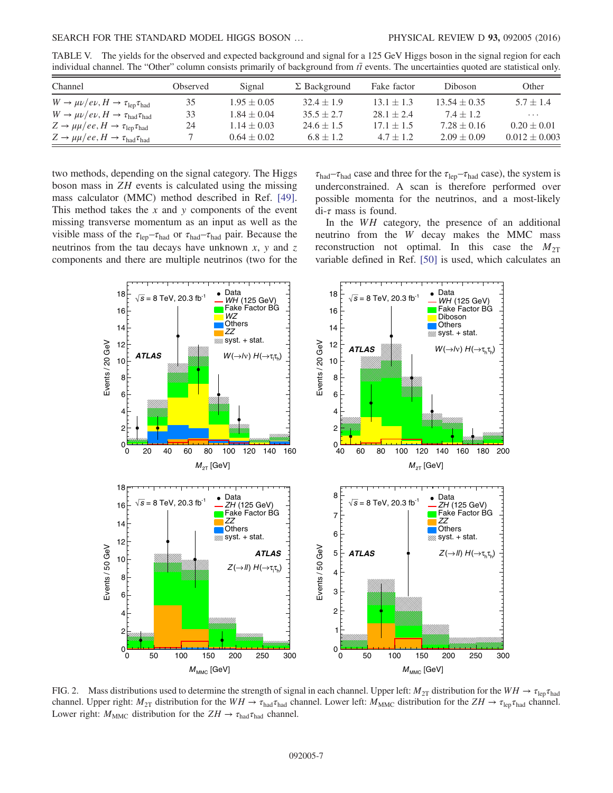| Channel                                                                     | Observed | Signal          | $\Sigma$ Background | Fake factor    | Diboson          | Other             |
|-----------------------------------------------------------------------------|----------|-----------------|---------------------|----------------|------------------|-------------------|
| $W \to \mu \nu / e \nu$ , $H \to \tau_{\rm lep} \tau_{\rm had}$             | 35       | $1.95 \pm 0.05$ | $32.4 \pm 1.9$      | $13.1 \pm 1.3$ | $13.54 \pm 0.35$ | $5.7 \pm 1.4$     |
| $W \to \mu \nu / e \nu$ , $H \to \tau_{\text{had}} \tau_{\text{had}}$       | 33       | $1.84 \pm 0.04$ | $35.5 \pm 2.7$      | $28.1 \pm 2.4$ | $7.4 + 1.2$      | $\cdots$          |
| $Z \rightarrow \mu\mu/ee, H \rightarrow \tau_{\rm lep}\tau_{\rm had}$       | 24       | $1.14 \pm 0.03$ | $24.6 \pm 1.5$      | $17.1 \pm 1.5$ | $7.28 \pm 0.16$  | $0.20 \pm 0.01$   |
| $Z \rightarrow \mu\mu/ee, H \rightarrow \tau_{\text{had}}\tau_{\text{had}}$ |          | $0.64 \pm 0.02$ | $6.8 \pm 1.2$       | $4.7 \pm 1.2$  | $2.09 \pm 0.09$  | $0.012 \pm 0.003$ |

<span id="page-6-0"></span>TABLE V. The yields for the observed and expected background and signal for a 125 GeV Higgs boson in the signal region for each individual channel. The "Other" column consists primarily of background from  $t\bar{t}$  events. The uncertainties quoted are statistical only.

two methods, depending on the signal category. The Higgs boson mass in ZH events is calculated using the missing mass calculator (MMC) method described in Ref. [\[49\]](#page-10-27). This method takes the  $x$  and  $y$  components of the event missing transverse momentum as an input as well as the visible mass of the  $\tau_{\rm lep} - \tau_{\rm had}$  or  $\tau_{\rm had} - \tau_{\rm had}$  pair. Because the neutrinos from the tau decays have unknown  $x$ ,  $y$  and  $z$ components and there are multiple neutrinos (two for the  $\tau_{\text{had}}-\tau_{\text{had}}$  case and three for the  $\tau_{\text{lep}}-\tau_{\text{had}}$  case), the system is underconstrained. A scan is therefore performed over possible momenta for the neutrinos, and a most-likely  $di$ - $\tau$  mass is found.

In the WH category, the presence of an additional neutrino from the W decay makes the MMC mass reconstruction not optimal. In this case the  $M_{2T}$ variable defined in Ref. [\[50\]](#page-10-28) is used, which calculates an

<span id="page-6-1"></span>

FIG. 2. Mass distributions used to determine the strength of signal in each channel. Upper left:  $M_{2T}$  distribution for the  $WH \rightarrow \tau_{\text{len}}\tau_{\text{had}}$ channel. Upper right:  $M_{2T}$  distribution for the  $WH \to \tau_{had} \tau_{had}$  channel. Lower left:  $M_{\text{MMC}}$  distribution for the  $ZH \to \tau_{\text{lep}} \tau_{\text{had}}$  channel. Lower right:  $M_{\text{MMC}}$  distribution for the  $ZH \rightarrow \tau_{\text{had}} \tau_{\text{had}}$  channel.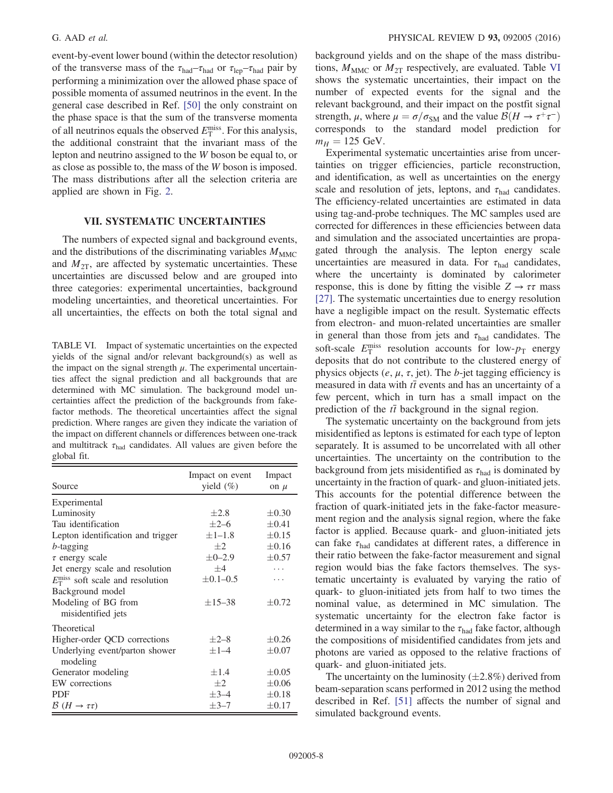event-by-event lower bound (within the detector resolution) of the transverse mass of the  $\tau_{\text{had}}-\tau_{\text{had}}$  or  $\tau_{\text{lep}}-\tau_{\text{had}}$  pair by performing a minimization over the allowed phase space of possible momenta of assumed neutrinos in the event. In the general case described in Ref. [\[50\]](#page-10-28) the only constraint on the phase space is that the sum of the transverse momenta of all neutrinos equals the observed  $E_{\rm T}^{\rm miss}$ . For this analysis, the additional constraint that the invariant mass of the the additional constraint that the invariant mass of the lepton and neutrino assigned to the W boson be equal to, or as close as possible to, the mass of the W boson is imposed. The mass distributions after all the selection criteria are applied are shown in Fig. [2](#page-6-1).

### VII. SYSTEMATIC UNCERTAINTIES

The numbers of expected signal and background events, and the distributions of the discriminating variables  $M_{\text{MMC}}$ and  $M_{2T}$ , are affected by systematic uncertainties. These uncertainties are discussed below and are grouped into three categories: experimental uncertainties, background modeling uncertainties, and theoretical uncertainties. For all uncertainties, the effects on both the total signal and

<span id="page-7-0"></span>TABLE VI. Impact of systematic uncertainties on the expected yields of the signal and/or relevant background(s) as well as the impact on the signal strength  $\mu$ . The experimental uncertainties affect the signal prediction and all backgrounds that are determined with MC simulation. The background model uncertainties affect the prediction of the backgrounds from fakefactor methods. The theoretical uncertainties affect the signal prediction. Where ranges are given they indicate the variation of the impact on different channels or differences between one-track and multitrack  $\tau_{\text{had}}$  candidates. All values are given before the global fit.

| Source                                           | Impact on event<br>yield $(\%)$ | Impact<br>on $\mu$ |
|--------------------------------------------------|---------------------------------|--------------------|
| Experimental                                     |                                 |                    |
| Luminosity                                       | $+2.8$                          | $\pm 0.30$         |
| Tau identification                               | $+2-6$                          | $\pm 0.41$         |
| Lepton identification and trigger                | $\pm$ 1-1.8                     | $\pm 0.15$         |
| $b$ -tagging                                     | $+2$                            | $\pm 0.16$         |
| $\tau$ energy scale                              | $\pm 0 - 2.9$                   | $\pm 0.57$         |
| Jet energy scale and resolution                  | $+4$                            |                    |
| $E_{\rm T}^{\rm miss}$ soft scale and resolution | $\pm 0.1 - 0.5$                 |                    |
| Background model                                 |                                 |                    |
| Modeling of BG from<br>misidentified jets        | $\pm 15 - 38$                   | $\pm 0.72$         |
| Theoretical                                      |                                 |                    |
| Higher-order QCD corrections                     | $\pm 2 - 8$                     | $\pm 0.26$         |
| Underlying event/parton shower<br>modeling       | $\pm 1 - 4$                     | $\pm 0.07$         |
| Generator modeling                               | $\pm 1.4$                       | $\pm 0.05$         |
| EW corrections                                   | $+2$                            | $\pm 0.06$         |
| <b>PDF</b>                                       | $\pm$ 3-4                       | $\pm 0.18$         |
| $\mathcal{B}(H\to\tau\tau)$                      | $\pm$ 3-7                       | $\pm 0.17$         |

background yields and on the shape of the mass distributions,  $M_{\text{MMC}}$  or  $M_{2T}$  respectively, are evaluated. Table [VI](#page-7-0) shows the systematic uncertainties, their impact on the number of expected events for the signal and the relevant background, and their impact on the postfit signal strength,  $\mu$ , where  $\mu = \sigma/\sigma_{SM}$  and the value  $\mathcal{B}(H \to \tau^+\tau^-)$ corresponds to the standard model prediction for  $m_H = 125$  GeV.

Experimental systematic uncertainties arise from uncertainties on trigger efficiencies, particle reconstruction, and identification, as well as uncertainties on the energy scale and resolution of jets, leptons, and  $\tau_{\text{had}}$  candidates. The efficiency-related uncertainties are estimated in data using tag-and-probe techniques. The MC samples used are corrected for differences in these efficiencies between data and simulation and the associated uncertainties are propagated through the analysis. The lepton energy scale uncertainties are measured in data. For  $\tau_{\text{had}}$  candidates, where the uncertainty is dominated by calorimeter response, this is done by fitting the visible  $Z \rightarrow \tau \tau$  mass [\[27\]](#page-10-8). The systematic uncertainties due to energy resolution have a negligible impact on the result. Systematic effects from electron- and muon-related uncertainties are smaller in general than those from jets and  $\tau_{\text{had}}$  candidates. The soft-scale  $E_{\rm T}^{\rm miss}$  resolution accounts for low- $p_{\rm T}$  energy<br>deposits that do not contribute to the clustered energy of deposits that do not contribute to the clustered energy of physics objects (e,  $\mu$ ,  $\tau$ , jet). The b-jet tagging efficiency is measured in data with  $t\bar{t}$  events and has an uncertainty of a few percent, which in turn has a small impact on the prediction of the  $t\bar{t}$  background in the signal region.

The systematic uncertainty on the background from jets misidentified as leptons is estimated for each type of lepton separately. It is assumed to be uncorrelated with all other uncertainties. The uncertainty on the contribution to the background from jets misidentified as  $\tau_{\text{had}}$  is dominated by uncertainty in the fraction of quark- and gluon-initiated jets. This accounts for the potential difference between the fraction of quark-initiated jets in the fake-factor measurement region and the analysis signal region, where the fake factor is applied. Because quark- and gluon-initiated jets can fake  $\tau_{\text{had}}$  candidates at different rates, a difference in their ratio between the fake-factor measurement and signal region would bias the fake factors themselves. The systematic uncertainty is evaluated by varying the ratio of quark- to gluon-initiated jets from half to two times the nominal value, as determined in MC simulation. The systematic uncertainty for the electron fake factor is determined in a way similar to the  $\tau_{\text{had}}$  fake factor, although the compositions of misidentified candidates from jets and photons are varied as opposed to the relative fractions of quark- and gluon-initiated jets.

The uncertainty on the luminosity  $(\pm 2.8\%)$  derived from beam-separation scans performed in 2012 using the method described in Ref. [\[51\]](#page-10-29) affects the number of signal and simulated background events.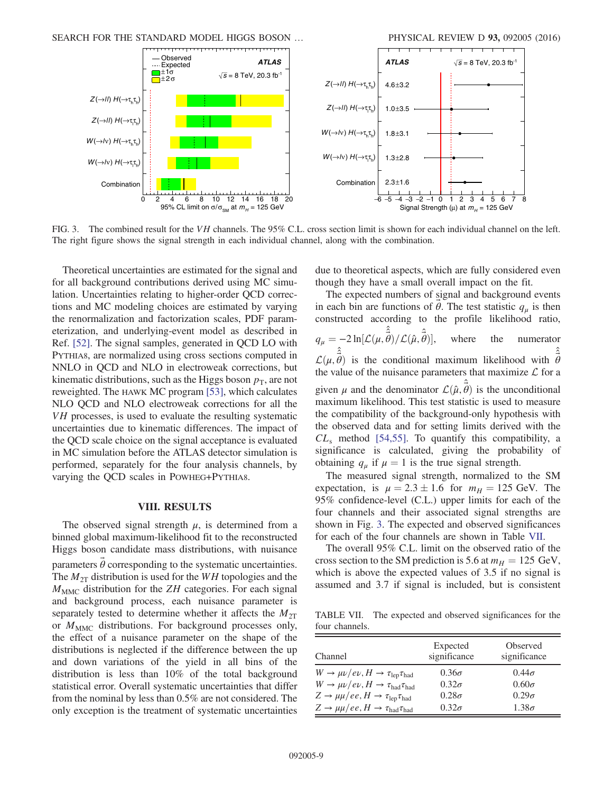<span id="page-8-0"></span>

FIG. 3. The combined result for the VH channels. The 95% C.L. cross section limit is shown for each individual channel on the left. The right figure shows the signal strength in each individual channel, along with the combination.

Theoretical uncertainties are estimated for the signal and for all background contributions derived using MC simulation. Uncertainties relating to higher-order QCD corrections and MC modeling choices are estimated by varying the renormalization and factorization scales, PDF parameterization, and underlying-event model as described in Ref. [\[52\].](#page-11-0) The signal samples, generated in QCD LO with PYTHIA8, are normalized using cross sections computed in NNLO in QCD and NLO in electroweak corrections, but kinematic distributions, such as the Higgs boson  $p<sub>T</sub>$ , are not reweighted. The HAWK MC program [\[53\]](#page-11-1), which calculates NLO QCD and NLO electroweak corrections for all the VH processes, is used to evaluate the resulting systematic uncertainties due to kinematic differences. The impact of the QCD scale choice on the signal acceptance is evaluated in MC simulation before the ATLAS detector simulation is performed, separately for the four analysis channels, by varying the QCD scales in POWHEG+PYTHIA8.

#### VIII. RESULTS

The observed signal strength  $\mu$ , is determined from a binned global maximum-likelihood fit to the reconstructed Higgs boson candidate mass distributions, with nuisance parameters  $\theta$  corresponding to the systematic uncertainties. The  $M_{2T}$  distribution is used for the WH topologies and the  $M<sub>MMC</sub>$  distribution for the ZH categories. For each signal and background process, each nuisance parameter is separately tested to determine whether it affects the  $M_{2T}$ or  $M_{\text{MMC}}$  distributions. For background processes only, the effect of a nuisance parameter on the shape of the distributions is neglected if the difference between the up and down variations of the yield in all bins of the distribution is less than 10% of the total background statistical error. Overall systematic uncertainties that differ from the nominal by less than 0.5% are not considered. The only exception is the treatment of systematic uncertainties due to theoretical aspects, which are fully considered even though they have a small overall impact on the fit.

The expected numbers of signal and background events in each bin are functions of  $\theta$ . The test statistic  $q_{\mu}$  is then<br>constructed according to the profile likelihood ratio constructed according to the profile likelihood ratio,  $q_{\mu} = -2 \ln[\mathcal{L}(\mu,$ ˆˆ  $\hat{\hat{\vec{\theta}}})/\mathcal{L}(\hat{\mu},\hat{\vec{\theta}})$  $\overline{a}$ where the numerator  $\mathcal{L}(\mu,$ <br>the v  $\hat{\hat{\theta}}$  is the conditional maximum likelihood with  $\hat{\hat{\theta}}$  $\mathcal{L}(\mu, \sigma)$  is the conditional maximum intensition with  $\sigma$  the value of the nuisance parameters that maximize  $\mathcal L$  for a given  $\mu$  and the denominator  $\mathcal{L}(\hat{\mu}, \hat{\theta})$  is the unconditional maximum likelihood. This test statistic is used to measure given  $\mu$  and the denominator  $\mathcal{L}(\mu, v)$  is the diffeomorphism<br>maximum likelihood. This test statistic is used to measure the compatibility of the background-only hypothesis with the observed data and for setting limits derived with the  $CL<sub>s</sub>$  method [\[54,55\].](#page-11-2) To quantify this compatibility, a significance is calculated, giving the probability of obtaining  $q_{\mu}$  if  $\mu = 1$  is the true signal strength.

The measured signal strength, normalized to the SM expectation, is  $\mu = 2.3 \pm 1.6$  for  $m_H = 125$  GeV. The 95% confidence-level (CT) upper limits for each of the 95% confidence-level (C.L.) upper limits for each of the four channels and their associated signal strengths are shown in Fig. [3.](#page-8-0) The expected and observed significances for each of the four channels are shown in Table [VII](#page-8-1).

The overall 95% C.L. limit on the observed ratio of the cross section to the SM prediction is 5.6 at  $m_H = 125$  GeV, which is above the expected values of 3.5 if no signal is assumed and 3.7 if signal is included, but is consistent

<span id="page-8-1"></span>TABLE VII. The expected and observed significances for the four channels.

| Channel                                                                     | Expected<br>significance | Observed<br>significance |
|-----------------------------------------------------------------------------|--------------------------|--------------------------|
| $W \to \mu \nu / e \nu$ , $H \to \tau_{\rm lep} \tau_{\rm had}$             | $0.36\sigma$             | $0.44\sigma$             |
| $W \to \mu \nu / e \nu$ , $H \to \tau_{\text{had}} \tau_{\text{had}}$       | $0.32\sigma$             | $0.60\sigma$             |
| $Z \rightarrow \mu \mu / ee, H \rightarrow \tau_{lep} \tau_{had}$           | $0.28\sigma$             | $0.29\sigma$             |
| $Z \rightarrow \mu\mu/ee, H \rightarrow \tau_{\text{had}}\tau_{\text{had}}$ | $0.32\sigma$             | $1.38\sigma$             |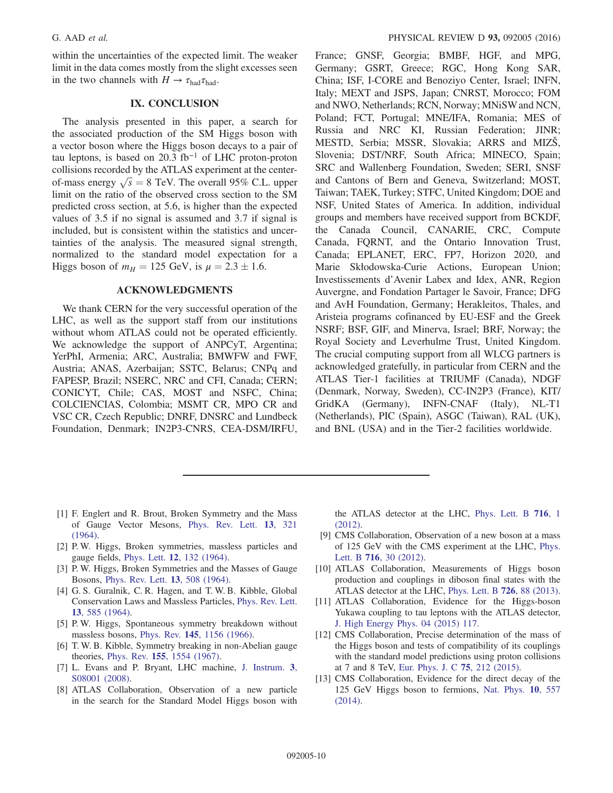within the uncertainties of the expected limit. The weaker limit in the data comes mostly from the slight excesses seen in the two channels with  $H \to \tau_{\text{had}} \tau_{\text{had}}$ .

## IX. CONCLUSION

The analysis presented in this paper, a search for the associated production of the SM Higgs boson with a vector boson where the Higgs boson decays to a pair of tau leptons, is based on 20.3 fb<sup>-1</sup> of LHC proton-proton collisions recorded by the ATLAS experiment at the centercollisions recorded by the ATLAS experiment at the center-<br>of-mass energy  $\sqrt{s} = 8$  TeV. The overall 95% C.L. upper<br>limit on the ratio of the observed cross section to the SM limit on the ratio of the observed cross section to the SM predicted cross section, at 5.6, is higher than the expected values of 3.5 if no signal is assumed and 3.7 if signal is included, but is consistent within the statistics and uncertainties of the analysis. The measured signal strength, normalized to the standard model expectation for a Higgs boson of  $m_H = 125 \text{ GeV}$ , is  $\mu = 2.3 \pm 1.6$ .

#### ACKNOWLEDGMENTS

We thank CERN for the very successful operation of the LHC, as well as the support staff from our institutions without whom ATLAS could not be operated efficiently. We acknowledge the support of ANPCyT, Argentina; YerPhI, Armenia; ARC, Australia; BMWFW and FWF, Austria; ANAS, Azerbaijan; SSTC, Belarus; CNPq and FAPESP, Brazil; NSERC, NRC and CFI, Canada; CERN; CONICYT, Chile; CAS, MOST and NSFC, China; COLCIENCIAS, Colombia; MSMT CR, MPO CR and VSC CR, Czech Republic; DNRF, DNSRC and Lundbeck Foundation, Denmark; IN2P3-CNRS, CEA-DSM/IRFU, France; GNSF, Georgia; BMBF, HGF, and MPG, Germany; GSRT, Greece; RGC, Hong Kong SAR, China; ISF, I-CORE and Benoziyo Center, Israel; INFN, Italy; MEXT and JSPS, Japan; CNRST, Morocco; FOM and NWO, Netherlands; RCN, Norway; MNiSW and NCN, Poland; FCT, Portugal; MNE/IFA, Romania; MES of Russia and NRC KI, Russian Federation; JINR; MESTD, Serbia; MSSR, Slovakia; ARRS and MIZŠ, Slovenia; DST/NRF, South Africa; MINECO, Spain; SRC and Wallenberg Foundation, Sweden; SERI, SNSF and Cantons of Bern and Geneva, Switzerland; MOST, Taiwan; TAEK, Turkey; STFC, United Kingdom; DOE and NSF, United States of America. In addition, individual groups and members have received support from BCKDF, the Canada Council, CANARIE, CRC, Compute Canada, FQRNT, and the Ontario Innovation Trust, Canada; EPLANET, ERC, FP7, Horizon 2020, and Marie Skłodowska-Curie Actions, European Union; Investissements d'Avenir Labex and Idex, ANR, Region Auvergne, and Fondation Partager le Savoir, France; DFG and AvH Foundation, Germany; Herakleitos, Thales, and Aristeia programs cofinanced by EU-ESF and the Greek NSRF; BSF, GIF, and Minerva, Israel; BRF, Norway; the Royal Society and Leverhulme Trust, United Kingdom. The crucial computing support from all WLCG partners is acknowledged gratefully, in particular from CERN and the ATLAS Tier-1 facilities at TRIUMF (Canada), NDGF (Denmark, Norway, Sweden), CC-IN2P3 (France), KIT/ GridKA (Germany), INFN-CNAF (Italy), NL-T1 (Netherlands), PIC (Spain), ASGC (Taiwan), RAL (UK), and BNL (USA) and in the Tier-2 facilities worldwide.

- <span id="page-9-0"></span>[1] F. Englert and R. Brout, Broken Symmetry and the Mass of Gauge Vector Mesons, [Phys. Rev. Lett.](http://dx.doi.org/10.1103/PhysRevLett.13.321) 13, 321 [\(1964\).](http://dx.doi.org/10.1103/PhysRevLett.13.321)
- [2] P. W. Higgs, Broken symmetries, massless particles and gauge fields, Phys. Lett. 12[, 132 \(1964\).](http://dx.doi.org/10.1016/0031-9163(64)91136-9)
- [3] P. W. Higgs, Broken Symmetries and the Masses of Gauge Bosons, [Phys. Rev. Lett.](http://dx.doi.org/10.1103/PhysRevLett.13.508) 13, 508 (1964).
- [4] G. S. Guralnik, C. R. Hagen, and T. W. B. Kibble, Global Conservation Laws and Massless Particles, [Phys. Rev. Lett.](http://dx.doi.org/10.1103/PhysRevLett.13.585) 13[, 585 \(1964\).](http://dx.doi.org/10.1103/PhysRevLett.13.585)
- [5] P. W. Higgs, Spontaneous symmetry breakdown without massless bosons, Phys. Rev. 145[, 1156 \(1966\).](http://dx.doi.org/10.1103/PhysRev.145.1156)
- [6] T. W. B. Kibble, Symmetry breaking in non-Abelian gauge theories, Phys. Rev. 155[, 1554 \(1967\).](http://dx.doi.org/10.1103/PhysRev.155.1554)
- <span id="page-9-1"></span>[7] L. Evans and P. Bryant, LHC machine, [J. Instrum.](http://dx.doi.org/10.1088/1748-0221/3/08/S08001) 3, [S08001 \(2008\)](http://dx.doi.org/10.1088/1748-0221/3/08/S08001).
- <span id="page-9-2"></span>[8] ATLAS Collaboration, Observation of a new particle in the search for the Standard Model Higgs boson with

the ATLAS detector at the LHC, [Phys. Lett. B](http://dx.doi.org/10.1016/j.physletb.2012.08.020) 716, 1 [\(2012\).](http://dx.doi.org/10.1016/j.physletb.2012.08.020)

- <span id="page-9-3"></span>[9] CMS Collaboration, Observation of a new boson at a mass of 125 GeV with the CMS experiment at the LHC, [Phys.](http://dx.doi.org/10.1016/j.physletb.2012.08.021) Lett. B 716[, 30 \(2012\)](http://dx.doi.org/10.1016/j.physletb.2012.08.021).
- <span id="page-9-4"></span>[10] ATLAS Collaboration, Measurements of Higgs boson production and couplings in diboson final states with the ATLAS detector at the LHC, [Phys. Lett. B](http://dx.doi.org/10.1016/j.physletb.2013.08.010) 726, 88 (2013).
- [11] ATLAS Collaboration, Evidence for the Higgs-boson Yukawa coupling to tau leptons with the ATLAS detector, [J. High Energy Phys. 04 \(2015\) 117.](http://dx.doi.org/10.1007/JHEP04(2015)117)
- [12] CMS Collaboration, Precise determination of the mass of the Higgs boson and tests of compatibility of its couplings with the standard model predictions using proton collisions at 7 and 8 TeV, [Eur. Phys. J. C](http://dx.doi.org/10.1140/epjc/s10052-015-3351-7) 75, 212 (2015).
- [13] CMS Collaboration, Evidence for the direct decay of the 125 GeV Higgs boson to fermions, [Nat. Phys.](http://dx.doi.org/10.1038/nphys3005) 10, 557 [\(2014\).](http://dx.doi.org/10.1038/nphys3005)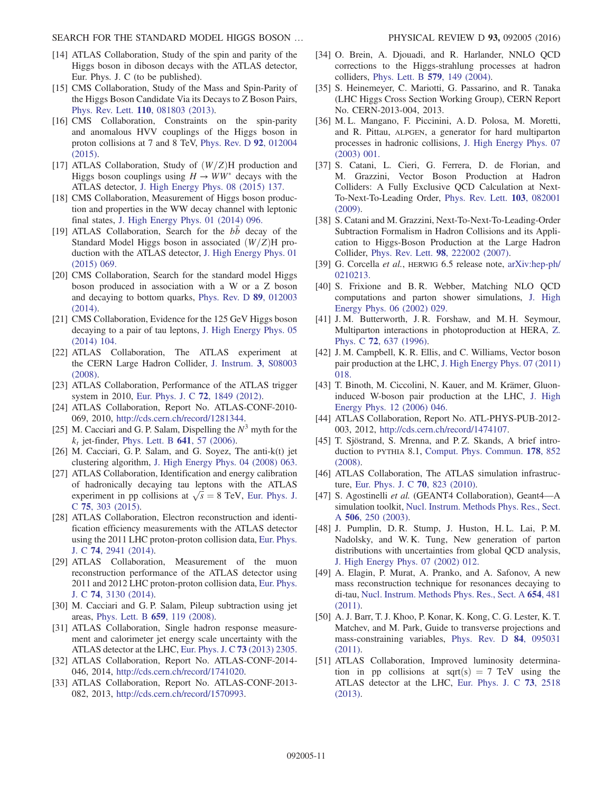- <span id="page-10-0"></span>[14] ATLAS Collaboration, Study of the spin and parity of the Higgs boson in diboson decays with the ATLAS detector, Eur. Phys. J. C (to be published).
- [15] CMS Collaboration, Study of the Mass and Spin-Parity of the Higgs Boson Candidate Via its Decays to Z Boson Pairs, Phys. Rev. Lett. 110[, 081803 \(2013\).](http://dx.doi.org/10.1103/PhysRevLett.110.081803)
- [16] CMS Collaboration, Constraints on the spin-parity and anomalous HVV couplings of the Higgs boson in proton collisions at 7 and 8 TeV, [Phys. Rev. D](http://dx.doi.org/10.1103/PhysRevD.92.012004) 92, 012004 [\(2015\).](http://dx.doi.org/10.1103/PhysRevD.92.012004)
- <span id="page-10-1"></span>[17] ATLAS Collaboration, Study of  $(W/Z)H$  production and Higgs boson couplings using  $H \to WW^*$  decays with the ATLAS detector, [J. High Energy Phys. 08 \(2015\) 137.](http://dx.doi.org/10.1007/JHEP08(2015)137)
- [18] CMS Collaboration, Measurement of Higgs boson production and properties in the WW decay channel with leptonic final states, [J. High Energy Phys. 01 \(2014\) 096.](http://dx.doi.org/10.1007/JHEP01(2014)096)
- <span id="page-10-2"></span>[19] ATLAS Collaboration, Search for the  $b\bar{b}$  decay of the Standard Model Higgs boson in associated  $(W/Z)$ H production with the ATLAS detector, [J. High Energy Phys. 01](http://dx.doi.org/10.1007/JHEP01(2015)069) [\(2015\) 069.](http://dx.doi.org/10.1007/JHEP01(2015)069)
- [20] CMS Collaboration, Search for the standard model Higgs boson produced in association with a W or a Z boson and decaying to bottom quarks, [Phys. Rev. D](http://dx.doi.org/10.1103/PhysRevD.89.012003) 89, 012003 [\(2014\).](http://dx.doi.org/10.1103/PhysRevD.89.012003)
- <span id="page-10-3"></span>[21] CMS Collaboration, Evidence for the 125 GeV Higgs boson decaying to a pair of tau leptons, [J. High Energy Phys. 05](http://dx.doi.org/10.1007/JHEP05(2014)104) [\(2014\) 104.](http://dx.doi.org/10.1007/JHEP05(2014)104)
- <span id="page-10-4"></span>[22] ATLAS Collaboration, The ATLAS experiment at the CERN Large Hadron Collider, [J. Instrum.](http://dx.doi.org/10.1088/1748-0221/3/08/S08003) 3, S08003 [\(2008\).](http://dx.doi.org/10.1088/1748-0221/3/08/S08003)
- <span id="page-10-5"></span>[23] ATLAS Collaboration, Performance of the ATLAS trigger system in 2010, [Eur. Phys. J. C](http://dx.doi.org/10.1140/epjc/s10052-011-1849-1) 72, 1849 (2012).
- <span id="page-10-6"></span>[24] ATLAS Collaboration, Report No. ATLAS-CONF-2010- 069, 2010, [http://cds.cern.ch/record/1281344.](http://cds.cern.ch/record/1281344)
- <span id="page-10-7"></span>[25] M. Cacciari and G. P. Salam, Dispelling the  $N<sup>3</sup>$  myth for the  $k_t$  jet-finder, [Phys. Lett. B](http://dx.doi.org/10.1016/j.physletb.2006.08.037) 641, 57 (2006).
- [26] M. Cacciari, G. P. Salam, and G. Soyez, The anti-k(t) jet clustering algorithm, [J. High Energy Phys. 04 \(2008\) 063.](http://dx.doi.org/10.1088/1126-6708/2008/04/063)
- <span id="page-10-8"></span>[27] ATLAS Collaboration, Identification and energy calibration of hadronically decaying tau leptons with the ATLAS of hadronically decaying tau leptons with the ATLAS<br>experiment in pp collisions at  $\sqrt{s} = 8$  TeV, [Eur. Phys. J.](http://dx.doi.org/10.1140/epjc/s10052-015-3500-z)<br>C 75 303 (2015) C 75[, 303 \(2015\)](http://dx.doi.org/10.1140/epjc/s10052-015-3500-z).
- <span id="page-10-9"></span>[28] ATLAS Collaboration, Electron reconstruction and identification efficiency measurements with the ATLAS detector using the 2011 LHC proton-proton collision data, [Eur. Phys.](http://dx.doi.org/10.1140/epjc/s10052-014-2941-0) J. C 74[, 2941 \(2014\)](http://dx.doi.org/10.1140/epjc/s10052-014-2941-0).
- <span id="page-10-10"></span>[29] ATLAS Collaboration, Measurement of the muon reconstruction performance of the ATLAS detector using 2011 and 2012 LHC proton-proton collision data, [Eur. Phys.](http://dx.doi.org/10.1140/epjc/s10052-014-3130-x) J. C 74[, 3130 \(2014\)](http://dx.doi.org/10.1140/epjc/s10052-014-3130-x).
- <span id="page-10-11"></span>[30] M. Cacciari and G. P. Salam, Pileup subtraction using jet areas, [Phys. Lett. B](http://dx.doi.org/10.1016/j.physletb.2007.09.077) 659, 119 (2008).
- [31] ATLAS Collaboration, Single hadron response measurement and calorimeter jet energy scale uncertainty with the ATLAS detector at the LHC, [Eur. Phys. J. C](http://dx.doi.org/10.1140/epjc/s10052-013-2305-1) 73 (2013) 2305.
- <span id="page-10-12"></span>[32] ATLAS Collaboration, Report No. ATLAS-CONF-2014-046, 2014, [http://cds.cern.ch/record/1741020.](http://cds.cern.ch/record/1741020)
- <span id="page-10-13"></span>[33] ATLAS Collaboration, Report No. ATLAS-CONF-2013- 082, 2013, [http://cds.cern.ch/record/1570993.](http://cds.cern.ch/record/1570993)
- <span id="page-10-19"></span>[34] O. Brein, A. Djouadi, and R. Harlander, NNLO QCD corrections to the Higgs-strahlung processes at hadron colliders, [Phys. Lett. B](http://dx.doi.org/10.1016/j.physletb.2003.10.112) 579, 149 (2004).
- [35] S. Heinemeyer, C. Mariotti, G. Passarino, and R. Tanaka (LHC Higgs Cross Section Working Group), CERN Report No. CERN-2013-004, 2013.
- <span id="page-10-20"></span>[36] M. L. Mangano, F. Piccinini, A. D. Polosa, M. Moretti, and R. Pittau, ALPGEN, a generator for hard multiparton processes in hadronic collisions, [J. High Energy Phys. 07](http://dx.doi.org/10.1088/1126-6708/2003/07/001) [\(2003\) 001.](http://dx.doi.org/10.1088/1126-6708/2003/07/001)
- <span id="page-10-21"></span>[37] S. Catani, L. Cieri, G. Ferrera, D. de Florian, and M. Grazzini, Vector Boson Production at Hadron Colliders: A Fully Exclusive QCD Calculation at Next-To-Next-To-Leading Order, [Phys. Rev. Lett.](http://dx.doi.org/10.1103/PhysRevLett.103.082001) 103, 082001 [\(2009\).](http://dx.doi.org/10.1103/PhysRevLett.103.082001)
- [38] S. Catani and M. Grazzini, Next-To-Next-To-Leading-Order Subtraction Formalism in Hadron Collisions and its Application to Higgs-Boson Production at the Large Hadron Collider, Phys. Rev. Lett. 98[, 222002 \(2007\)](http://dx.doi.org/10.1103/PhysRevLett.98.222002).
- <span id="page-10-22"></span>[39] G. Corcella et al., HERWIG 6.5 release note, [arXiv:hep-ph/](http://arXiv.org/abs/hep-ph/0210213) [0210213.](http://arXiv.org/abs/hep-ph/0210213)
- <span id="page-10-23"></span>[40] S. Frixione and B. R. Webber, Matching NLO QCD computations and parton shower simulations, [J. High](http://dx.doi.org/10.1088/1126-6708/2002/06/029) [Energy Phys. 06 \(2002\) 029.](http://dx.doi.org/10.1088/1126-6708/2002/06/029)
- <span id="page-10-24"></span>[41] J. M. Butterworth, J. R. Forshaw, and M. H. Seymour, Multiparton interactions in photoproduction at HERA, [Z.](http://dx.doi.org/10.1007/s002880050286) Phys. C 72[, 637 \(1996\).](http://dx.doi.org/10.1007/s002880050286)
- <span id="page-10-25"></span>[42] J. M. Campbell, K. R. Ellis, and C. Williams, Vector boson pair production at the LHC, [J. High Energy Phys. 07 \(2011\)](http://dx.doi.org/10.1007/JHEP07(2011)018) [018.](http://dx.doi.org/10.1007/JHEP07(2011)018)
- <span id="page-10-26"></span>[43] T. Binoth, M. Ciccolini, N. Kauer, and M. Krämer, Gluoninduced W-boson pair production at the LHC, [J. High](http://dx.doi.org/10.1088/1126-6708/2006/12/046) [Energy Phys. 12 \(2006\) 046.](http://dx.doi.org/10.1088/1126-6708/2006/12/046)
- <span id="page-10-14"></span>[44] ATLAS Collaboration, Report No. ATL-PHYS-PUB-2012-003, 2012, [http://cds.cern.ch/record/1474107.](http://cds.cern.ch/record/1474107)
- <span id="page-10-15"></span>[45] T. Sjöstrand, S. Mrenna, and P. Z. Skands, A brief introduction to PYTHIA 8.1, [Comput. Phys. Commun.](http://dx.doi.org/10.1016/j.cpc.2008.01.036) 178, 852 [\(2008\).](http://dx.doi.org/10.1016/j.cpc.2008.01.036)
- <span id="page-10-16"></span>[46] ATLAS Collaboration, The ATLAS simulation infrastructure, [Eur. Phys. J. C](http://dx.doi.org/10.1140/epjc/s10052-010-1429-9) 70, 823 (2010).
- <span id="page-10-17"></span>[47] S. Agostinelli et al. (GEANT4 Collaboration), Geant4-A simulation toolkit, [Nucl. Instrum. Methods Phys. Res., Sect.](http://dx.doi.org/10.1016/S0168-9002(03)01368-8) A 506[, 250 \(2003\).](http://dx.doi.org/10.1016/S0168-9002(03)01368-8)
- <span id="page-10-18"></span>[48] J. Pumplin, D. R. Stump, J. Huston, H. L. Lai, P. M. Nadolsky, and W. K. Tung, New generation of parton distributions with uncertainties from global QCD analysis, [J. High Energy Phys. 07 \(2002\) 012.](http://dx.doi.org/10.1088/1126-6708/2002/07/012)
- <span id="page-10-27"></span>[49] A. Elagin, P. Murat, A. Pranko, and A. Safonov, A new mass reconstruction technique for resonances decaying to di-tau, [Nucl. Instrum. Methods Phys. Res., Sect. A](http://dx.doi.org/10.1016/j.nima.2011.07.009) 654, 481 [\(2011\).](http://dx.doi.org/10.1016/j.nima.2011.07.009)
- <span id="page-10-28"></span>[50] A. J. Barr, T. J. Khoo, P. Konar, K. Kong, C. G. Lester, K. T. Matchev, and M. Park, Guide to transverse projections and mass-constraining variables, [Phys. Rev. D](http://dx.doi.org/10.1103/PhysRevD.84.095031) 84, 095031 [\(2011\).](http://dx.doi.org/10.1103/PhysRevD.84.095031)
- <span id="page-10-29"></span>[51] ATLAS Collaboration, Improved luminosity determination in pp collisions at sqrt(s) = 7 TeV using the ATLAS detector at the LHC, [Eur. Phys. J. C](http://dx.doi.org/10.1140/epjc/s10052-013-2518-3) 73, 2518 [\(2013\).](http://dx.doi.org/10.1140/epjc/s10052-013-2518-3)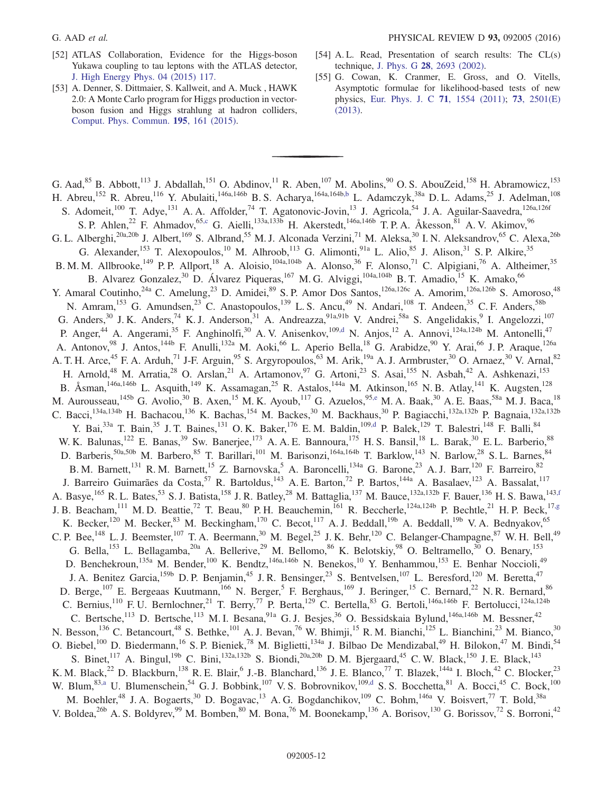- <span id="page-11-0"></span>[52] ATLAS Collaboration, Evidence for the Higgs-boson Yukawa coupling to tau leptons with the ATLAS detector, [J. High Energy Phys. 04 \(2015\) 117.](http://dx.doi.org/10.1007/JHEP04(2015)117)
- <span id="page-11-1"></span>[53] A. Denner, S. Dittmaier, S. Kallweit, and A. Muck , HAWK 2.0: A Monte Carlo program for Higgs production in vectorboson fusion and Higgs strahlung at hadron colliders, [Comput. Phys. Commun.](http://dx.doi.org/10.1016/j.cpc.2015.04.021) 195, 161 (2015).
- <span id="page-11-2"></span>[54] A. L. Read, Presentation of search results: The CL(s) technique, J. Phys. G 28[, 2693 \(2002\)](http://dx.doi.org/10.1088/0954-3899/28/10/313).
- [55] G. Cowan, K. Cranmer, E. Gross, and O. Vitells, Asymptotic formulae for likelihood-based tests of new physics, [Eur. Phys. J. C](http://dx.doi.org/10.1140/epjc/s10052-011-1554-0) 71, 1554 (2011); 73[, 2501\(E\)](http://dx.doi.org/10.1140/epjc/s10052-013-2501-z) [\(2013\).](http://dx.doi.org/10.1140/epjc/s10052-013-2501-z)

<span id="page-11-8"></span><span id="page-11-7"></span><span id="page-11-6"></span><span id="page-11-5"></span><span id="page-11-4"></span><span id="page-11-3"></span>G. Aad,  $85$  B. Abbott,<sup>113</sup> J. Abdallah,<sup>151</sup> O. Abdinov,<sup>11</sup> R. Aben,<sup>107</sup> M. Abolins,<sup>90</sup> O. S. AbouZeid,<sup>158</sup> H. Abramowicz,<sup>153</sup> H. Abreu,<sup>152</sup> R. Abreu,<sup>116</sup> Y. Abulaiti,<sup>146a,146b</sup> B.S. Acharya,<sup>164a,164[b,b](#page-23-0)</sup> L. Adamczyk,<sup>38a</sup> D.L. Adams,<sup>25</sup> J. Adelman,<sup>108</sup> S. Adomeit,<sup>100</sup> T. Adye,<sup>131</sup> A. A. Affolder,<sup>74</sup> T. Agatonovic-Jovin,<sup>13</sup> J. Agricola,<sup>54</sup> J. A. Aguilar-Saavedra,<sup>126a,126f</sup> S. P. Ahlen,<sup>22</sup> F. Ahmadov,<sup>65[,c](#page-23-1)</sup> G. Aielli,<sup>133a,133b</sup> H. Akerstedt,<sup>146a,146b</sup> T. P. A. Åkesson,<sup>81</sup> A. V. Akimov,<sup>96</sup> G. L. Alberghi,<sup>20a,20b</sup> J. Albert,<sup>169</sup> S. Albrand,<sup>55</sup> M. J. Alconada Verzini,<sup>71</sup> M. Aleksa,<sup>30</sup> I. N. Aleksandrov,<sup>65</sup> C. Alexa,<sup>26b</sup> G. Alexander,<sup>153</sup> T. Alexopoulos,<sup>10</sup> M. Alhroob,<sup>113</sup> G. Alimonti,<sup>91a</sup> L. Alio,<sup>85</sup> J. Alison,<sup>31</sup> S. P. Alkire,<sup>35</sup> B. M. M. Allbrooke,<sup>149</sup> P. P. Allport,<sup>18</sup> A. Aloisio,<sup>104a,104b</sup> A. Alonso,<sup>36</sup> F. Alonso,<sup>71</sup> C. Alpigiani,<sup>76</sup> A. Altheimer,<sup>35</sup> B. Alvarez Gonzalez,<sup>30</sup> D. Álvarez Piqueras,<sup>167</sup> M. G. Alviggi,<sup>104a,104b</sup> B. T. Amadio,<sup>15</sup> K. Amako,<sup>66</sup> Y. Amaral Coutinho,<sup>24a</sup> C. Amelung,<sup>23</sup> D. Amidei,<sup>89</sup> S. P. Amor Dos Santos,<sup>126a,126c</sup> A. Amorim,<sup>126a,126b</sup> S. Amoroso,<sup>48</sup> N. Amram, <sup>153</sup> G. Amundsen, <sup>23</sup> C. Anastopoulos, <sup>139</sup> L. S. Ancu, <sup>49</sup> N. Andari, <sup>108</sup> T. Andeen, <sup>35</sup> C. F. Anders, <sup>58b</sup> G. Anders,  $30$  J. K. Anders,  $74$  K. J. Anderson,  $31$  A. Andreazza,  $91a,91b$  V. Andrei,  $58a$  S. Angelidakis,  $9$  I. Angelozzi,  $107$ P. Anger,<sup>44</sup> A. Angerami,<sup>35</sup> F. Anghinolfi,<sup>30</sup> A. V. Anisenkov,<sup>109[,d](#page-23-2)</sup> N. Anjos,<sup>12</sup> A. Annovi,<sup>124a,124b</sup> M. Antonelli,<sup>47</sup> A. Antonov,<sup>98</sup> J. Antos,<sup>144b</sup> F. Anulli,<sup>132a</sup> M. Aoki,<sup>66</sup> L. Aperio Bella,<sup>18</sup> G. Arabidze,<sup>90</sup> Y. Arai,<sup>66</sup> J. P. Araque,<sup>126a</sup> A. T. H. Arce,<sup>45</sup> F. A. Arduh,<sup>71</sup> J-F. Arguin,<sup>95</sup> S. Argyropoulos,<sup>63</sup> M. Arik,<sup>19a</sup> A. J. Armbruster,<sup>30</sup> O. Arnaez,<sup>30</sup> V. Arnal,<sup>82</sup> H. Arnold,<sup>48</sup> M. Arratia,<sup>28</sup> O. Arslan,<sup>21</sup> A. Artamonov,<sup>97</sup> G. Artoni,<sup>23</sup> S. Asai,<sup>155</sup> N. Asbah,<sup>42</sup> A. Ashkenazi,<sup>153</sup> B. Åsman,<sup>146a,146b</sup> L. Asquith,<sup>149</sup> K. Assamagan,<sup>25</sup> R. Astalos,<sup>144a</sup> M. Atkinson,<sup>165</sup> N. B. Atlay,<sup>141</sup> K. Augsten,<sup>128</sup> M. Aurousseau,<sup>145b</sup> G. Avolio,<sup>30</sup> B. Axen,<sup>15</sup> M. K. Ayoub,<sup>117</sup> G. Azuelos,<sup>9[5,e](#page-23-3)</sup> M. A. Baak,<sup>30</sup> A. E. Baas,<sup>58a</sup> M. J. Baca,<sup>18</sup> C. Bacci,<sup>134a,134b</sup> H. Bachacou,<sup>136</sup> K. Bachas,<sup>154</sup> M. Backes,<sup>30</sup> M. Backhaus,<sup>30</sup> P. Bagiacchi,<sup>132a,132b</sup> P. Bagnaia,<sup>132a,132b</sup> Y. Bai,<sup>33a</sup> T. Bain,<sup>35</sup> J. T. Baines,<sup>131</sup> O. K. Baker,<sup>176</sup> E. M. Baldin,<sup>109[,d](#page-23-2)</sup> P. Balek,<sup>129</sup> T. Balestri,<sup>148</sup> F. Balli,<sup>84</sup> W. K. Balunas,<sup>122</sup> E. Banas,<sup>39</sup> Sw. Banerjee,<sup>173</sup> A. A. E. Bannoura,<sup>175</sup> H. S. Bansil,<sup>18</sup> L. Barak,<sup>30</sup> E. L. Barberio,<sup>88</sup> D. Barberis,<sup>50a,50b</sup> M. Barbero,<sup>85</sup> T. Barillari,<sup>101</sup> M. Barisonzi,<sup>164a,164b</sup> T. Barklow,<sup>143</sup> N. Barlow,<sup>28</sup> S. L. Barnes,<sup>84</sup> B. M. Barnett,<sup>131</sup> R. M. Barnett,<sup>15</sup> Z. Barnovska,<sup>5</sup> A. Baroncelli,<sup>134a</sup> G. Barone,<sup>23</sup> A. J. Barr,<sup>120</sup> F. Barreiro,<sup>82</sup> J. Barreiro Guimarães da Costa,<sup>57</sup> R. Bartoldus,<sup>143</sup> A.E. Barton,<sup>72</sup> P. Bartos,<sup>144a</sup> A. Basalaev,<sup>123</sup> A. Bassalat,<sup>117</sup> A. Basye,<sup>165</sup> R. L. Bates,<sup>53</sup> S. J. Batista,<sup>158</sup> J. R. Batley,<sup>28</sup> M. Battaglia,<sup>137</sup> M. Bauce,<sup>132a,132b</sup> F. Bauer,<sup>136</sup> H. S. Bawa,<sup>143[,f](#page-23-4)</sup> J. B. Beacham, <sup>111</sup> M. D. Beattie, <sup>72</sup> T. Beau, <sup>80</sup> P. H. Beauchemin, <sup>161</sup> R. Beccherle, <sup>124a, 124b</sup> P. Bechtle, <sup>21</sup> H. P. Beck, <sup>1[7,g](#page-23-5)</sup> K. Becker,<sup>120</sup> M. Becker,<sup>83</sup> M. Beckingham,<sup>170</sup> C. Becot,<sup>117</sup> A. J. Beddall,<sup>19b</sup> A. Beddall,<sup>19b</sup> V. A. Bednyakov,<sup>65</sup> C. P. Bee,  $^{148}$  L. J. Beemster,  $^{107}$  T. A. Beermann,  $^{30}$  M. Begel,  $^{25}$  J. K. Behr,  $^{120}$  C. Belanger-Champagne,  $^{87}$  W. H. Bell,  $^{49}$ G. Bella,<sup>153</sup> L. Bellagamba,<sup>20a</sup> A. Bellerive,<sup>29</sup> M. Bellomo,<sup>86</sup> K. Belotskiy,<sup>98</sup> O. Beltramello,<sup>30</sup> O. Benary,<sup>153</sup> D. Benchekroun,<sup>135a</sup> M. Bender,<sup>100</sup> K. Bendtz,<sup>146a,146b</sup> N. Benekos,<sup>10</sup> Y. Benhammou,<sup>153</sup> E. Benhar Noccioli,<sup>49</sup> J. A. Benitez Garcia,<sup>159b</sup> D. P. Benjamin,<sup>45</sup> J. R. Bensinger,<sup>23</sup> S. Bentvelsen,<sup>107</sup> L. Beresford,<sup>120</sup> M. Beretta,<sup>47</sup> D. Berge,<sup>107</sup> E. Bergeaas Kuutmann,<sup>166</sup> N. Berger,<sup>5</sup> F. Berghaus,<sup>169</sup> J. Beringer,<sup>15</sup> C. Bernard,<sup>22</sup> N. R. Bernard,<sup>86</sup> C. Bernius,<sup>110</sup> F. U. Bernlochner,<sup>21</sup> T. Berry,<sup>77</sup> P. Berta,<sup>129</sup> C. Bertella,<sup>83</sup> G. Bertoli,<sup>146a,146b</sup> F. Bertolucci,<sup>124a,124b</sup> C. Bertsche,<sup>113</sup> D. Bertsche,<sup>113</sup> M. I. Besana,<sup>91a</sup> G. J. Besjes,<sup>36</sup> O. Bessidskaia Bylund,<sup>146a,146b</sup> M. Bessner,<sup>42</sup> N. Besson, <sup>136</sup> C. Betancourt, <sup>48</sup> S. Bethke, <sup>101</sup> A. J. Bevan, <sup>76</sup> W. Bhimji, <sup>15</sup> R. M. Bianchi, <sup>125</sup> L. Bianchini, <sup>23</sup> M. Bianco, <sup>30</sup> O. Biebel,<sup>100</sup> D. Biedermann,<sup>16</sup> S. P. Bieniek,<sup>78</sup> M. Biglietti,<sup>134a</sup> J. Bilbao De Mendizabal,<sup>49</sup> H. Bilokon,<sup>47</sup> M. Bindi,<sup>54</sup> S. Binet,<sup>117</sup> A. Bingul,<sup>19b</sup> C. Bini,<sup>132a,132b</sup> S. Biondi,<sup>20a,20b</sup> D. M. Bjergaard,<sup>45</sup> C. W. Black,<sup>150</sup> J. E. Black,<sup>143</sup> K. M. Black,<sup>22</sup> D. Blackburn,<sup>138</sup> R. E. Blair,<sup>6</sup> J.-B. Blanchard,<sup>136</sup> J. E. Blanco,<sup>77</sup> T. Blazek,<sup>144a</sup> I. Bloch,<sup>42</sup> C. Blocker,<sup>23</sup> W. Blum,  $83, a$  U. Blumenschein,  $54$  G. J. Bobbink,  $107$  V. S. Bobrovnikov,  $109, d$  S. S. Bocchetta,  $81$  A. Bocci,  $45$  C. Bock,  $100$ M. Boehler,<sup>48</sup> J. A. Bogaerts,<sup>30</sup> D. Bogavac,<sup>13</sup> A. G. Bogdanchikov,<sup>109</sup> C. Bohm,<sup>146a</sup> V. Boisvert,<sup>77</sup> T. Bold,<sup>38a</sup> V. Boldea,<sup>26b</sup> A. S. Boldyrev,<sup>99</sup> M. Bomben,<sup>80</sup> M. Bona,<sup>76</sup> M. Boonekamp,<sup>136</sup> A. Borisov,<sup>130</sup> G. Borissov,<sup>72</sup> S. Borroni,<sup>42</sup>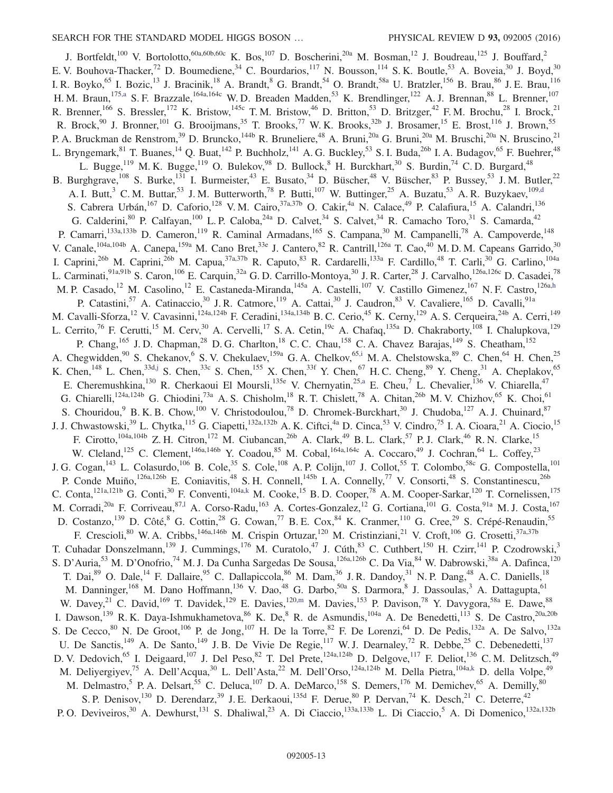<span id="page-12-5"></span><span id="page-12-4"></span><span id="page-12-3"></span><span id="page-12-2"></span><span id="page-12-1"></span><span id="page-12-0"></span>J. Bortfeldt,<sup>100</sup> V. Bortolotto,<sup>60a,60b,60c</sup> K. Bos,<sup>107</sup> D. Boscherini,<sup>20a</sup> M. Bosman,<sup>12</sup> J. Boudreau,<sup>125</sup> J. Bouffard,<sup>2</sup> E. V. Bouhova-Thacker,<sup>72</sup> D. Boumediene,<sup>34</sup> C. Bourdarios,<sup>117</sup> N. Bousson,<sup>114</sup> S. K. Boutle,<sup>53</sup> A. Boveia,<sup>30</sup> J. Boyd,<sup>30</sup> I. R. Boyko,<sup>65</sup> I. Bozic,<sup>13</sup> J. Bracinik,<sup>18</sup> A. Brandt,<sup>8</sup> G. Brandt,<sup>54</sup> O. Brandt,<sup>58a</sup> U. Bratzler,<sup>156</sup> B. Brau,<sup>86</sup> J. E. Brau,<sup>116</sup> H. M. Braun,<sup>17[5,a](#page-23-6)</sup> S. F. Brazzale,<sup>164a,164c</sup> W. D. Breaden Madden,<sup>53</sup> K. Brendlinger,<sup>122</sup> A. J. Brennan,<sup>88</sup> L. Brenner,<sup>107</sup> R. Brenner,<sup>166</sup> S. Bressler,<sup>172</sup> K. Bristow,<sup>145c</sup> T.M. Bristow,<sup>46</sup> D. Britton,<sup>53</sup> D. Britzger,<sup>42</sup> F.M. Brochu,<sup>28</sup> I. Brock,<sup>21</sup> R. Brock,<sup>90</sup> J. Bronner,<sup>101</sup> G. Brooijmans,<sup>35</sup> T. Brooks,<sup>77</sup> W. K. Brooks,<sup>32b</sup> J. Brosamer,<sup>15</sup> E. Brost,<sup>116</sup> J. Brown,<sup>55</sup> P. A. Bruckman de Renstrom,<sup>39</sup> D. Bruncko,<sup>144b</sup> R. Bruneliere,<sup>48</sup> A. Bruni,<sup>20a</sup> G. Bruni,<sup>20a</sup> M. Bruschi,<sup>20a</sup> N. Bruscino,<sup>21</sup> L. Bryngemark,<sup>81</sup> T. Buanes,<sup>14</sup> Q. Buat,<sup>142</sup> P. Buchholz,<sup>141</sup> A. G. Buckley,<sup>53</sup> S. I. Buda,<sup>26b</sup> I. A. Budagov,<sup>65</sup> F. Buehrer,<sup>48</sup> L. Bugge,<sup>119</sup> M. K. Bugge,<sup>119</sup> O. Bulekov,<sup>98</sup> D. Bullock,<sup>8</sup> H. Burckhart,<sup>30</sup> S. Burdin,<sup>74</sup> C. D. Burgard,<sup>48</sup> B. Burghgrave,<sup>108</sup> S. Burke,<sup>131</sup> I. Burmeister,<sup>43</sup> E. Busato,<sup>34</sup> D. Büscher,<sup>48</sup> V. Büscher,<sup>83</sup> P. Bussey,<sup>53</sup> J. M. Butler,<sup>22</sup> A. I. Butt,<sup>3</sup> C. M. Buttar,<sup>53</sup> J. M. Butterworth,<sup>78</sup> P. Butti,<sup>107</sup> W. Buttinger,<sup>25</sup> A. Buzatu,<sup>53</sup> A. R. Buzykaev,<sup>10[9,d](#page-23-2)</sup> S. Cabrera Urbán, <sup>167</sup> D. Caforio, <sup>128</sup> V. M. Cairo, <sup>37a, 37b</sup> O. Cakir, <sup>4a</sup> N. Calace, <sup>49</sup> P. Calafiura, <sup>15</sup> A. Calandri, <sup>136</sup> G. Calderini,  $80$  P. Calfayan,  $100$  L. P. Caloba,  $24a$  D. Calvet,  $34$  S. Calvet,  $34$  R. Camacho Toro,  $31$  S. Camarda,  $42$ P. Camarri,<sup>133a,133b</sup> D. Cameron,<sup>119</sup> R. Caminal Armadans,<sup>165</sup> S. Campana,<sup>30</sup> M. Campanelli,<sup>78</sup> A. Campoverde,<sup>148</sup> V. Canale, <sup>104a, 104b</sup> A. Canepa, <sup>159a</sup> M. Cano Bret, <sup>33e</sup> J. Cantero, <sup>82</sup> R. Cantrill, <sup>126a</sup> T. Cao, <sup>40</sup> M. D. M. Capeans Garrido, <sup>30</sup> I. Caprini,<sup>26b</sup> M. Caprini,<sup>26b</sup> M. Capua,<sup>37a,37b</sup> R. Caputo,<sup>83</sup> R. Cardarelli,<sup>133a</sup> F. Cardillo,<sup>48</sup> T. Carli,<sup>30</sup> G. Carlino,<sup>104a</sup> L. Carminati,<sup>91a,91b</sup> S. Caron,<sup>106</sup> E. Carquin,<sup>32a</sup> G. D. Carrillo-Montoya,<sup>30</sup> J. R. Carter,<sup>28</sup> J. Carvalho,<sup>126a,126c</sup> D. Casadei,<sup>78</sup> M. P. Casado,<sup>12</sup> M. Casolino,<sup>12</sup> E. Castaneda-Miranda,<sup>145a</sup> A. Castelli,<sup>107</sup> V. Castillo Gimenez,<sup>167</sup> N. F. Castro,<sup>126[a,h](#page-23-7)</sup> P. Catastini,<sup>57</sup> A. Catinaccio,<sup>30</sup> J. R. Catmore,<sup>119</sup> A. Cattai,<sup>30</sup> J. Caudron,<sup>83</sup> V. Cavaliere,<sup>165</sup> D. Cavalli,<sup>91a</sup> M. Cavalli-Sforza,<sup>12</sup> V. Cavasinni,<sup>124a,124b</sup> F. Ceradini,<sup>134a,134b</sup> B. C. Cerio,<sup>45</sup> K. Cerny,<sup>129</sup> A. S. Cerqueira,<sup>24b</sup> A. Cerri,<sup>149</sup> L. Cerrito,<sup>76</sup> F. Cerutti,<sup>15</sup> M. Cerv,<sup>30</sup> A. Cervelli,<sup>17</sup> S. A. Cetin,<sup>19c</sup> A. Chafaq,<sup>135a</sup> D. Chakraborty,<sup>108</sup> I. Chalupkova,<sup>129</sup> P. Chang,<sup>165</sup> J.D. Chapman,<sup>28</sup> D.G. Charlton,<sup>18</sup> C.C. Chau,<sup>158</sup> C.A. Chavez Barajas,<sup>149</sup> S. Cheatham,<sup>152</sup> A. Chegwidden,  $90^\circ$  S. Chekanov,  $^6$  S. V. Chekulaev,  $^{159a}$  G. A. Chelkov,  $^{65,i}$  $^{65,i}$  $^{65,i}$  M. A. Chelstowska,  $^{89}$  C. Chen,  $^{64}$  H. Chen,  $^{25}$ K. Chen,<sup>148</sup> L. Chen,<sup>33d[,j](#page-23-9)</sup> S. Chen,<sup>33c</sup> S. Chen,<sup>155</sup> X. Chen,<sup>33f</sup> Y. Chen,<sup>67</sup> H. C. Cheng,<sup>89</sup> Y. Cheng,<sup>31</sup> A. Cheplakov,<sup>65</sup> E. Cheremushkina,<sup>130</sup> R. Cherkaoui El Moursli,<sup>135e</sup> V. Chernyatin,<sup>2[5,a](#page-23-6)</sup> E. Cheu,<sup>7</sup> L. Chevalier,<sup>136</sup> V. Chiarella,<sup>47</sup> G. Chiarelli,<sup>124a,124b</sup> G. Chiodini,<sup>73a</sup> A. S. Chisholm,<sup>18</sup> R. T. Chislett,<sup>78</sup> A. Chitan,<sup>26b</sup> M. V. Chizhov,<sup>65</sup> K. Choi,<sup>61</sup> S. Chouridou,  $9B$ . K. B. Chow,<sup>100</sup> V. Christodoulou,<sup>78</sup> D. Chromek-Burckhart,<sup>30</sup> J. Chudoba,<sup>127</sup> A. J. Chuinard,<sup>87</sup> J. J. Chwastowski,<sup>39</sup> L. Chytka,<sup>115</sup> G. Ciapetti,<sup>132a,132b</sup> A. K. Ciftci,<sup>4a</sup> D. Cinca,<sup>53</sup> V. Cindro,<sup>75</sup> I. A. Cioara,<sup>21</sup> A. Ciocio,<sup>15</sup> F. Cirotto,<sup>104a,104b</sup> Z. H. Citron,<sup>172</sup> M. Ciubancan,<sup>26b</sup> A. Clark,<sup>49</sup> B. L. Clark,<sup>57</sup> P. J. Clark,<sup>46</sup> R. N. Clarke,<sup>15</sup> W. Cleland,<sup>125</sup> C. Clement,<sup>146a,146b</sup> Y. Coadou,<sup>85</sup> M. Cobal,<sup>164a,164c</sup> A. Coccaro,<sup>49</sup> J. Cochran,<sup>64</sup> L. Coffey,<sup>23</sup> J. G. Cogan,<sup>143</sup> L. Colasurdo,<sup>106</sup> B. Cole,<sup>35</sup> S. Cole,<sup>108</sup> A. P. Colijn,<sup>107</sup> J. Collot,<sup>55</sup> T. Colombo,<sup>58c</sup> G. Compostella,<sup>101</sup> P. Conde Muiño,<sup>126a,126b</sup> E. Coniavitis,<sup>48</sup> S. H. Connell,<sup>145b</sup> I. A. Connelly,<sup>77</sup> V. Consorti,<sup>48</sup> S. Constantinescu,<sup>26b</sup> C. Conta,<sup>121a,121b</sup> G. Conti,<sup>30</sup> F. Conventi,<sup>104a[,k](#page-23-10)</sup> M. Cooke,<sup>15</sup> B. D. Cooper,<sup>78</sup> A. M. Cooper-Sarkar,<sup>120</sup> T. Cornelissen,<sup>175</sup> M. Corradi,<sup>20a</sup> F. Corriveau,<sup>87,1</sup> A. Corso-Radu,<sup>163</sup> A. Cortes-Gonzalez,<sup>12</sup> G. Cortiana,<sup>101</sup> G. Costa,<sup>91a</sup> M.J. Costa,<sup>167</sup> D. Costanzo,<sup>139</sup> D. Côté, <sup>8</sup> G. Cottin,<sup>28</sup> G. Cowan,<sup>77</sup> B.E. Cox, <sup>84</sup> K. Cranmer, 110 G. Cree, 29 S. Crépé-Renaudin, 55 F. Crescioli,<sup>80</sup> W. A. Cribbs,<sup>146a,146b</sup> M. Crispin Ortuzar,<sup>120</sup> M. Cristinziani,<sup>21</sup> V. Croft,<sup>106</sup> G. Crosetti,<sup>37a,37b</sup> T. Cuhadar Donszelmann,<sup>139</sup> J. Cummings,<sup>176</sup> M. Curatolo,<sup>47</sup> J. Cúth,<sup>83</sup> C. Cuthbert,<sup>150</sup> H. Czirr,<sup>141</sup> P. Czodrowski,<sup>3</sup> S. D'Auria,<sup>53</sup> M. D'Onofrio,<sup>74</sup> M. J. Da Cunha Sargedas De Sousa,<sup>126a,126b</sup> C. Da Via,<sup>84</sup> W. Dabrowski,<sup>38a</sup> A. Dafinca,<sup>120</sup> T. Dai,<sup>89</sup> O. Dale,<sup>14</sup> F. Dallaire,<sup>95</sup> C. Dallapiccola,<sup>86</sup> M. Dam,<sup>36</sup> J. R. Dandoy,<sup>31</sup> N. P. Dang,<sup>48</sup> A. C. Daniells,<sup>18</sup> M. Danninger,<sup>168</sup> M. Dano Hoffmann,<sup>136</sup> V. Dao,<sup>48</sup> G. Darbo,<sup>50a</sup> S. Darmora,<sup>8</sup> J. Dassoulas,<sup>3</sup> A. Dattagupta,<sup>61</sup> W. Davey,<sup>21</sup> C. David,<sup>169</sup> T. Davidek,<sup>129</sup> E. Davies,<sup>12[0,m](#page-23-12)</sup> M. Davies,<sup>153</sup> P. Davison,<sup>78</sup> Y. Davygora,<sup>58a</sup> E. Dawe,<sup>88</sup> I. Dawson,<sup>139</sup> R. K. Daya-Ishmukhametova,  $8^6$  K. De,  $8^8$  R. de Asmundis,  $10^{4a}$  A. De Benedetti,  $11^3$  S. De Castro,  $20a,20b$ S. De Cecco,<sup>80</sup> N. De Groot,<sup>106</sup> P. de Jong,<sup>107</sup> H. De la Torre,<sup>82</sup> F. De Lorenzi,<sup>64</sup> D. De Pedis,<sup>132a</sup> A. De Salvo,<sup>132a</sup> U. De Sanctis,<sup>149</sup> A. De Santo,<sup>149</sup> J. B. De Vivie De Regie,<sup>117</sup> W. J. Dearnaley,<sup>72</sup> R. Debbe,<sup>25</sup> C. Debenedetti,<sup>137</sup> D. V. Dedovich, <sup>65</sup> I. Deigaard, <sup>107</sup> J. Del Peso, <sup>82</sup> T. Del Prete, <sup>124a, 124b</sup> D. Delgove, <sup>117</sup> F. Deliot, <sup>136</sup> C. M. Delitzsch, <sup>49</sup> M. Deliyergiyev,<sup>75</sup> A. Dell'Acqua,<sup>30</sup> L. Dell'Asta,<sup>22</sup> M. Dell'Orso,<sup>124a,124b</sup> M. Della Pietra,<sup>104a[,k](#page-23-10)</sup> D. della Volpe,<sup>49</sup> M. Delmastro,<sup>5</sup> P. A. Delsart,<sup>55</sup> C. Deluca,<sup>107</sup> D. A. DeMarco,<sup>158</sup> S. Demers,<sup>176</sup> M. Demichev,<sup>65</sup> A. Demilly,<sup>80</sup> S. P. Denisov, <sup>130</sup> D. Derendarz, <sup>39</sup> J. E. Derkaoui, <sup>135d</sup> F. Derue, <sup>80</sup> P. Dervan, <sup>74</sup> K. Desch, <sup>21</sup> C. Deterre, <sup>42</sup> P. O. Deviveiros,<sup>30</sup> A. Dewhurst,<sup>131</sup> S. Dhaliwal,<sup>23</sup> A. Di Ciaccio,<sup>133a,133b</sup> L. Di Ciaccio,<sup>5</sup> A. Di Domenico,<sup>132a,132b</sup>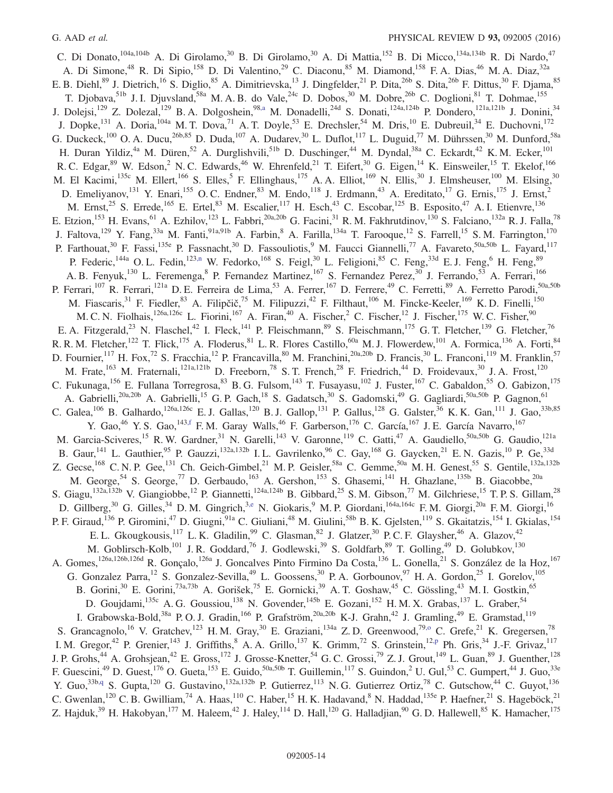<span id="page-13-3"></span><span id="page-13-2"></span><span id="page-13-1"></span><span id="page-13-0"></span>C. Di Donato,<sup>104a,104b</sup> A. Di Girolamo,<sup>30</sup> B. Di Girolamo,<sup>30</sup> A. Di Mattia,<sup>152</sup> B. Di Micco,<sup>134a,134b</sup> R. Di Nardo,<sup>47</sup> A. Di Simone,<sup>48</sup> R. Di Sipio,<sup>158</sup> D. Di Valentino,<sup>29</sup> C. Diaconu,<sup>85</sup> M. Diamond,<sup>158</sup> F. A. Dias,<sup>46</sup> M. A. Diaz,<sup>32a</sup> E. B. Diehl, <sup>89</sup> J. Dietrich, <sup>16</sup> S. Diglio, <sup>85</sup> A. Dimitrievska, <sup>13</sup> J. Dingfelder, <sup>21</sup> P. Dita, <sup>26b</sup> S. Dita, <sup>26b</sup> F. Dittus, <sup>30</sup> F. Djama, <sup>85</sup> T. Djobava, Ib J. I. Djuvsland, <sup>58a</sup> M. A. B. do Vale, <sup>24c</sup> D. Dobos, <sup>30</sup> M. Dobre, <sup>26b</sup> C. Doglioni, <sup>81</sup> T. Dohmae, <sup>155</sup> J. Dolejsi,<sup>129</sup> Z. Dolezal,<sup>129</sup> B. A. Dolgoshein,<sup>9[8,a](#page-23-6)</sup> M. Donadelli,<sup>24d</sup> S. Donati,<sup>124a,124b</sup> P. Dondero,<sup>121a,121b</sup> J. Donini,<sup>34</sup> J. Dopke,<sup>131</sup> A. Doria,<sup>104a</sup> M. T. Dova,<sup>71</sup> A. T. Doyle,<sup>53</sup> E. Drechsler,<sup>54</sup> M. Dris,<sup>10</sup> E. Dubreuil,<sup>34</sup> E. Duchovni,<sup>172</sup> G. Duckeck,<sup>100</sup> O. A. Ducu,<sup>26b,85</sup> D. Duda,<sup>107</sup> A. Dudarev,<sup>30</sup> L. Duflot,<sup>117</sup> L. Duguid,<sup>77</sup> M. Dührssen,<sup>30</sup> M. Dunford,<sup>58a</sup> H. Duran Yildiz,<sup>4a</sup> M. Düren,<sup>52</sup> A. Durglishvili,<sup>51b</sup> D. Duschinger,<sup>44</sup> M. Dyndal,<sup>38a</sup> C. Eckardt,<sup>42</sup> K. M. Ecker,<sup>101</sup> R. C. Edgar, <sup>89</sup> W. Edson, <sup>2</sup> N. C. Edwards, <sup>46</sup> W. Ehrenfeld, <sup>21</sup> T. Eifert, <sup>30</sup> G. Eigen, <sup>14</sup> K. Einsweiler, <sup>15</sup> T. Ekelof, <sup>166</sup> M. El Kacimi,<sup>135c</sup> M. Ellert,<sup>166</sup> S. Elles,<sup>5</sup> F. Ellinghaus,<sup>175</sup> A. A. Elliot,<sup>169</sup> N. Ellis,<sup>30</sup> J. Elmsheuser,<sup>100</sup> M. Elsing,<sup>30</sup> D. Emeliyanov,<sup>131</sup> Y. Enari,<sup>155</sup> O. C. Endner,<sup>83</sup> M. Endo,<sup>118</sup> J. Erdmann,<sup>43</sup> A. Ereditato,<sup>17</sup> G. Ernis,<sup>175</sup> J. Ernst,<sup>2</sup> M. Ernst,<sup>25</sup> S. Errede,<sup>165</sup> E. Ertel,<sup>83</sup> M. Escalier,<sup>117</sup> H. Esch,<sup>43</sup> C. Escobar,<sup>125</sup> B. Esposito,<sup>47</sup> A. I. Etienvre,<sup>136</sup> E. Etzion,<sup>153</sup> H. Evans,<sup>61</sup> A. Ezhilov,<sup>123</sup> L. Fabbri,<sup>20a,20b</sup> G. Facini,<sup>31</sup> R. M. Fakhrutdinov,<sup>130</sup> S. Falciano,<sup>132a</sup> R. J. Falla,<sup>78</sup> J. Faltova,<sup>129</sup> Y. Fang,<sup>33a</sup> M. Fanti,<sup>91a,91b</sup> A. Farbin,<sup>8</sup> A. Farilla,<sup>134a</sup> T. Farooque,<sup>12</sup> S. Farrell,<sup>15</sup> S. M. Farrington,<sup>170</sup> P. Farthouat,<sup>30</sup> F. Fassi,<sup>135e</sup> P. Fassnacht,<sup>30</sup> D. Fassouliotis,<sup>9</sup> M. Faucci Giannelli,<sup>77</sup> A. Favareto,<sup>50a,50b</sup> L. Fayard,<sup>117</sup> P. Federic,<sup>144a</sup> O. L. Fedin,<sup>12[3,n](#page-23-13)</sup> W. Fedorko,<sup>168</sup> S. Feigl,<sup>30</sup> L. Feligioni,<sup>85</sup> C. Feng,<sup>33d</sup> E. J. Feng,<sup>6</sup> H. Feng,<sup>89</sup> A. B. Fenyuk,<sup>130</sup> L. Feremenga, <sup>8</sup> P. Fernandez Martinez, <sup>167</sup> S. Fernandez Perez, <sup>30</sup> J. Ferrando, <sup>53</sup> A. Ferrari, <sup>166</sup> P. Ferrari,<sup>107</sup> R. Ferrari,<sup>121a</sup> D. E. Ferreira de Lima,<sup>53</sup> A. Ferrer,<sup>167</sup> D. Ferrere,<sup>49</sup> C. Ferretti,<sup>89</sup> A. Ferretto Parodi,<sup>50a,50b</sup> M. Fiascaris,<sup>31</sup> F. Fiedler,<sup>83</sup> A. Filipčič,<sup>75</sup> M. Filipuzzi,<sup>42</sup> F. Filthaut,<sup>106</sup> M. Fincke-Keeler,<sup>169</sup> K.D. Finelli,<sup>150</sup> M. C. N. Fiolhais,<sup>126a,126c</sup> L. Fiorini,<sup>167</sup> A. Firan,<sup>40</sup> A. Fischer,<sup>2</sup> C. Fischer,<sup>12</sup> J. Fischer,<sup>175</sup> W. C. Fisher,<sup>90</sup> E. A. Fitzgerald,<sup>23</sup> N. Flaschel,<sup>42</sup> I. Fleck,<sup>141</sup> P. Fleischmann,<sup>89</sup> S. Fleischmann,<sup>175</sup> G. T. Fletcher,<sup>139</sup> G. Fletcher,<sup>76</sup> R. R. M. Fletcher,<sup>122</sup> T. Flick,<sup>175</sup> A. Floderus,<sup>81</sup> L. R. Flores Castillo,<sup>60a</sup> M. J. Flowerdew,<sup>101</sup> A. Formica,<sup>136</sup> A. Forti,<sup>84</sup> D. Fournier, <sup>117</sup> H. Fox, <sup>72</sup> S. Fracchia, <sup>12</sup> P. Francavilla, <sup>80</sup> M. Franchini, <sup>20a, 20b</sup> D. Francis, <sup>30</sup> L. Franconi, <sup>119</sup> M. Franklin, <sup>57</sup> M. Frate,<sup>163</sup> M. Fraternali,<sup>121a,121b</sup> D. Freeborn,<sup>78</sup> S. T. French,<sup>28</sup> F. Friedrich,<sup>44</sup> D. Froidevaux,<sup>30</sup> J. A. Frost,<sup>120</sup> C. Fukunaga,<sup>156</sup> E. Fullana Torregrosa,<sup>83</sup> B. G. Fulsom,<sup>143</sup> T. Fusayasu,<sup>102</sup> J. Fuster,<sup>167</sup> C. Gabaldon,<sup>55</sup> O. Gabizon,<sup>175</sup> A. Gabrielli,<sup>20a,20b</sup> A. Gabrielli,<sup>15</sup> G. P. Gach,<sup>18</sup> S. Gadatsch,<sup>30</sup> S. Gadomski,<sup>49</sup> G. Gagliardi,<sup>50a,50b</sup> P. Gagnon,<sup>61</sup> C. Galea,<sup>106</sup> B. Galhardo,<sup>126a,126c</sup> E. J. Gallas,<sup>120</sup> B. J. Gallop,<sup>131</sup> P. Gallus,<sup>128</sup> G. Galster,<sup>36</sup> K. K. Gan,<sup>111</sup> J. Gao,<sup>33b,85</sup> Y. Gao,<sup>46</sup> Y. S. Gao,<sup>14[3,f](#page-23-4)</sup> F. M. Garay Walls,<sup>46</sup> F. Garberson,<sup>176</sup> C. García,<sup>167</sup> J. E. García Navarro,<sup>167</sup> M. Garcia-Sciveres,<sup>15</sup> R. W. Gardner,<sup>31</sup> N. Garelli,<sup>143</sup> V. Garonne,<sup>119</sup> C. Gatti,<sup>47</sup> A. Gaudiello,<sup>50a,50b</sup> G. Gaudio,<sup>121a</sup> B. Gaur,  $^{141}$  L. Gauthier,  $^{95}$  P. Gauzzi,  $^{132a,132b}$  I.L. Gavrilenko,  $^{96}$  C. Gay,  $^{168}$  G. Gaycken,  $^{21}$  E.N. Gazis,  $^{10}$  P. Ge,  $^{33d}$ Z. Gecse,<sup>168</sup> C. N. P. Gee,<sup>131</sup> Ch. Geich-Gimbel,<sup>21</sup> M. P. Geisler,<sup>58a</sup> C. Gemme,<sup>50a</sup> M. H. Genest,<sup>55</sup> S. Gentile,<sup>132a,132b</sup> M. George,<sup>54</sup> S. George,<sup>77</sup> D. Gerbaudo,<sup>163</sup> A. Gershon,<sup>153</sup> S. Ghasemi,<sup>141</sup> H. Ghazlane,<sup>135b</sup> B. Giacobbe,<sup>20a</sup> S. Giagu,<sup>132a,132b</sup> V. Giangiobbe,<sup>12</sup> P. Giannetti,<sup>124a,124b</sup> B. Gibbard,<sup>25</sup> S. M. Gibson,<sup>77</sup> M. Gilchriese,<sup>15</sup> T. P. S. Gillam,<sup>28</sup> D. Gillberg,<sup>30</sup> G. Gilles,<sup>34</sup> D. M. Gingrich,<sup>3[,e](#page-23-3)</sup> N. Giokaris,<sup>9</sup> M. P. Giordani,<sup>164a,164c</sup> F. M. Giorgi,<sup>20a</sup> F. M. Giorgi,<sup>16</sup> P. F. Giraud,<sup>136</sup> P. Giromini,<sup>47</sup> D. Giugni,<sup>91a</sup> C. Giuliani,<sup>48</sup> M. Giulini,<sup>58b</sup> B. K. Gjelsten,<sup>119</sup> S. Gkaitatzis,<sup>154</sup> I. Gkialas,<sup>154</sup> E. L. Gkougkousis,  $^{117}$  L. K. Gladilin,  $^{99}$  C. Glasman,  $^{82}$  J. Glatzer,  $^{30}$  P. C. F. Glaysher,  $^{46}$  A. Glazov,  $^{42}$ M. Goblirsch-Kolb,<sup>101</sup> J. R. Goddard,<sup>76</sup> J. Godlewski,<sup>39</sup> S. Goldfarb,<sup>89</sup> T. Golling,<sup>49</sup> D. Golubkov,<sup>130</sup> A. Gomes,<sup>126a,126b,126d</sup> R. Gonçalo,<sup>126a</sup> J. Goncalves Pinto Firmino Da Costa,<sup>136</sup> L. Gonella,<sup>21</sup> S. González de la Hoz,<sup>167</sup> G. Gonzalez Parra,<sup>12</sup> S. Gonzalez-Sevilla,<sup>49</sup> L. Goossens,<sup>30</sup> P. A. Gorbounov,<sup>97</sup> H. A. Gordon,<sup>25</sup> I. Gorelov,<sup>105</sup> B. Gorini,<sup>30</sup> E. Gorini,<sup>73a,73b</sup> A. Gorišek,<sup>75</sup> E. Gornicki,<sup>39</sup> A. T. Goshaw,<sup>45</sup> C. Gössling,<sup>43</sup> M. I. Gostkin,<sup>65</sup> D. Goujdami, 135c A. G. Goussiou, 138 N. Govender, 145b E. Gozani, 152 H. M. X. Grabas, 137 L. Graber, 54 I. Grabowska-Bold,<sup>38a</sup> P.O.J. Gradin,<sup>166</sup> P. Grafström,<sup>20a,20b</sup> K-J. Grahn,<sup>42</sup> J. Gramling,<sup>49</sup> E. Gramstad,<sup>119</sup> S. Grancagnolo,<sup>16</sup> V. Gratchev,<sup>123</sup> H. M. Gray,<sup>30</sup> E. Graziani,<sup>134a</sup> Z. D. Greenwood,<sup>7[9,o](#page-23-14)</sup> C. Grefe,<sup>21</sup> K. Gregersen,<sup>78</sup> I. M. Gregor,<sup>42</sup> P. Grenier,<sup>143</sup> J. Griffiths,<sup>8</sup> A. A. Grillo,<sup>137</sup> K. Grimm,<sup>72</sup> S. Grinstein,<sup>12[,p](#page-23-15)</sup> Ph. Gris,<sup>34</sup> J.-F. Grivaz,<sup>117</sup> J. P. Grohs,<sup>44</sup> A. Grohsjean,<sup>42</sup> E. Gross,<sup>172</sup> J. Grosse-Knetter,<sup>54</sup> G. C. Grossi,<sup>79</sup> Z. J. Grout,<sup>149</sup> L. Guan,<sup>89</sup> J. Guenther,<sup>128</sup> F. Guescini,<sup>49</sup> D. Guest,<sup>176</sup> O. Gueta,<sup>153</sup> E. Guido,<sup>50a,50b</sup> T. Guillemin,<sup>117</sup> S. Guindon,<sup>2</sup> U. Gul,<sup>53</sup> C. Gumpert,<sup>44</sup> J. Guo,<sup>33e</sup> Y. Guo,<sup>33[b,q](#page-23-16)</sup> S. Gupta,<sup>120</sup> G. Gustavino,<sup>132a,132b</sup> P. Gutierrez,<sup>113</sup> N. G. Gutierrez Ortiz,<sup>78</sup> C. Gutschow,<sup>44</sup> C. Guyot,<sup>136</sup> C. Gwenlan,<sup>120</sup> C. B. Gwilliam,<sup>74</sup> A. Haas,<sup>110</sup> C. Haber,<sup>15</sup> H. K. Hadavand,<sup>8</sup> N. Haddad,<sup>135e</sup> P. Haefner,<sup>21</sup> S. Hageböck,<sup>21</sup> Z. Hajduk,<sup>39</sup> H. Hakobyan,<sup>177</sup> M. Haleem,<sup>42</sup> J. Haley,<sup>114</sup> D. Hall,<sup>120</sup> G. Halladjian,<sup>90</sup> G. D. Hallewell,<sup>85</sup> K. Hamacher,<sup>175</sup>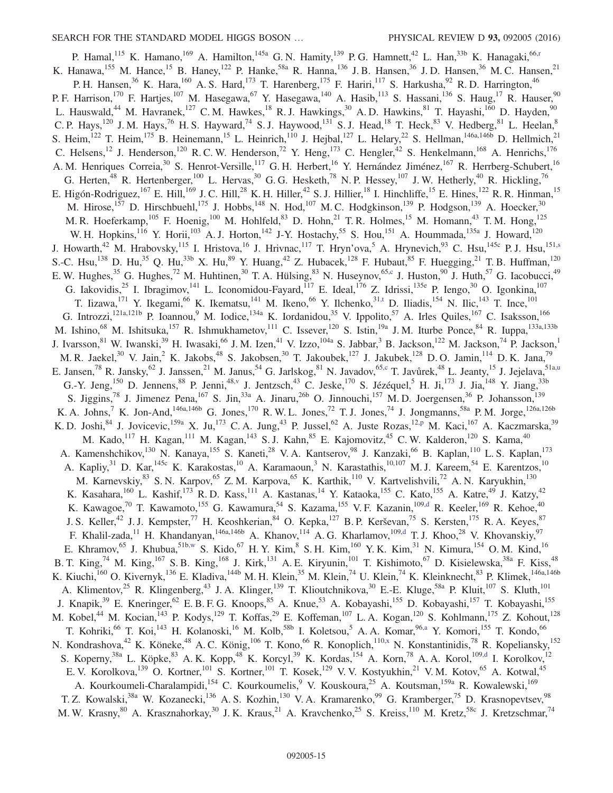<span id="page-14-6"></span><span id="page-14-5"></span><span id="page-14-4"></span><span id="page-14-3"></span><span id="page-14-2"></span><span id="page-14-1"></span><span id="page-14-0"></span>P. Hamal,<sup>115</sup> K. Hamano,<sup>169</sup> A. Hamilton,<sup>145a</sup> G. N. Hamity,<sup>139</sup> P. G. Hamnett,<sup>42</sup> L. Han,<sup>33b</sup> K. Hanagaki,<sup>6[6,r](#page-23-17)</sup> K. Hanawa,  $^{155}$  M. Hance,  $^{15}$  B. Haney,  $^{122}$  P. Hanke,  $^{58a}$  R. Hanna,  $^{136}$  J. B. Hansen,  $^{36}$  J. D. Hansen,  $^{36}$  M. C. Hansen,  $^{21}$ P. H. Hansen,<sup>36</sup> K. Hara,<sup>160</sup> A. S. Hard,<sup>173</sup> T. Harenberg,<sup>175</sup> F. Hariri,<sup>117</sup> S. Harkusha,<sup>92</sup> R. D. Harrington,<sup>46</sup> P. F. Harrison,<sup>170</sup> F. Hartjes,<sup>107</sup> M. Hasegawa,<sup>67</sup> Y. Hasegawa,<sup>140</sup> A. Hasib,<sup>113</sup> S. Hassani,<sup>136</sup> S. Haug,<sup>17</sup> R. Hauser,<sup>90</sup> L. Hauswald,<sup>44</sup> M. Havranek,<sup>127</sup> C. M. Hawkes,<sup>18</sup> R. J. Hawkings,<sup>30</sup> A. D. Hawkins,<sup>81</sup> T. Hayashi,<sup>160</sup> D. Hayden,<sup>90</sup> C. P. Hays,<sup>120</sup> J. M. Hays,<sup>76</sup> H. S. Hayward,<sup>74</sup> S. J. Haywood,<sup>131</sup> S. J. Head,<sup>18</sup> T. Heck,<sup>83</sup> V. Hedberg,<sup>81</sup> L. Heelan,<sup>8</sup> S. Heim,<sup>122</sup> T. Heim,<sup>175</sup> B. Heinemann,<sup>15</sup> L. Heinrich,<sup>110</sup> J. Hejbal,<sup>127</sup> L. Helary,<sup>22</sup> S. Hellman,<sup>146a,146b</sup> D. Hellmich,<sup>21</sup> C. Helsens,<sup>12</sup> J. Henderson,<sup>120</sup> R. C. W. Henderson,<sup>72</sup> Y. Heng,<sup>173</sup> C. Hengler,<sup>42</sup> S. Henkelmann,<sup>168</sup> A. Henrichs,<sup>176</sup> A. M. Henriques Correia,<sup>30</sup> S. Henrot-Versille,<sup>117</sup> G. H. Herbert,<sup>16</sup> Y. Hernández Jiménez,<sup>167</sup> R. Herrberg-Schubert,<sup>16</sup> G. Herten,<sup>48</sup> R. Hertenberger,<sup>100</sup> L. Hervas,<sup>30</sup> G. G. Hesketh,<sup>78</sup> N. P. Hessey,<sup>107</sup> J. W. Hetherly,<sup>40</sup> R. Hickling,<sup>76</sup> E. Higón-Rodriguez,<sup>167</sup> E. Hill,<sup>169</sup> J. C. Hill,<sup>28</sup> K. H. Hiller,<sup>42</sup> S. J. Hillier,<sup>18</sup> I. Hinchliffe,<sup>15</sup> E. Hines,<sup>122</sup> R. R. Hinman,<sup>15</sup> M. Hirose,<sup>157</sup> D. Hirschbuehl,<sup>175</sup> J. Hobbs,<sup>148</sup> N. Hod,<sup>107</sup> M. C. Hodgkinson,<sup>139</sup> P. Hodgson,<sup>139</sup> A. Hoecker,<sup>30</sup> M. R. Hoeferkamp,  $^{105}$  F. Hoenig,  $^{100}$  M. Hohlfeld,  $^{83}$  D. Hohn,  $^{21}$  T. R. Holmes,  $^{15}$  M. Homann,  $^{43}$  T. M. Hong,  $^{125}$ W. H. Hopkins,<sup>116</sup> Y. Horii,<sup>103</sup> A. J. Horton,<sup>142</sup> J-Y. Hostachy,<sup>55</sup> S. Hou,<sup>151</sup> A. Hoummada,<sup>135a</sup> J. Howard,<sup>120</sup> J. Howarth,<sup>42</sup> M. Hrabovsky,<sup>115</sup> I. Hristova,<sup>16</sup> J. Hrivnac,<sup>117</sup> T. Hryn'ova,<sup>5</sup> A. Hrynevich,<sup>93</sup> C. Hsu,<sup>145c</sup> P.J. Hsu,<sup>151[,s](#page-23-18)</sup> S.-C. Hsu,<sup>138</sup> D. Hu,<sup>35</sup> Q. Hu,<sup>33b</sup> X. Hu,<sup>89</sup> Y. Huang,<sup>42</sup> Z. Hubacek,<sup>128</sup> F. Hubaut,<sup>85</sup> F. Huegging,<sup>21</sup> T. B. Huffman,<sup>120</sup> E. W. Hughes,<sup>35</sup> G. Hughes,<sup>72</sup> M. Huhtinen,<sup>30</sup> T. A. Hülsing,<sup>83</sup> N. Huseynov,<sup>65[,c](#page-23-1)</sup> J. Huston,<sup>90</sup> J. Huth,<sup>57</sup> G. Iacobucci,<sup>49</sup> G. Iakovidis,<sup>25</sup> I. Ibragimov,<sup>141</sup> L. Iconomidou-Fayard,<sup>117</sup> E. Ideal,<sup>176</sup> Z. Idrissi,<sup>135e</sup> P. Iengo,<sup>30</sup> O. Igonkina,<sup>107</sup> T. Iizawa,<sup>171</sup> Y. Ikegami,<sup>66</sup> K. Ikematsu,<sup>141</sup> M. Ikeno,<sup>66</sup> Y. Ilchenko,<sup>31[,t](#page-23-19)</sup> D. Iliadis,<sup>154</sup> N. Ilic,<sup>143</sup> T. Ince,<sup>101</sup> G. Introzzi,<sup>121a,121b</sup> P. Ioannou,<sup>9</sup> M. Iodice,<sup>134a</sup> K. Iordanidou,<sup>35</sup> V. Ippolito,<sup>57</sup> A. Irles Quiles,<sup>167</sup> C. Isaksson,<sup>166</sup> M. Ishino,<sup>68</sup> M. Ishitsuka,<sup>157</sup> R. Ishmukhametov,<sup>111</sup> C. Issever,<sup>120</sup> S. Istin,<sup>19a</sup> J.M. Iturbe Ponce,<sup>84</sup> R. Iuppa,<sup>133a,133b</sup> J. Ivarsson,  $81$  W. Iwanski,  $39$  H. Iwasaki,  $66$  J. M. Izen,  $41$  V. Izzo,  $104a$  S. Jabbar,  $3$  B. Jackson,  $122$  M. Jackson,  $74$  P. Jackson,  $1$ M. R. Jaekel,<sup>30</sup> V. Jain,<sup>2</sup> K. Jakobs,<sup>48</sup> S. Jakobsen,<sup>30</sup> T. Jakoubek,<sup>127</sup> J. Jakubek,<sup>128</sup> D. O. Jamin,<sup>114</sup> D. K. Jana,<sup>79</sup> E. Jansen,<sup>78</sup> R. Jansky,<sup>62</sup> J. Janssen,<sup>21</sup> M. Janus,<sup>54</sup> G. Jarlskog,<sup>81</sup> N. Javadov,<sup>65[,c](#page-23-1)</sup> T. Javůrek,<sup>48</sup> L. Jeanty,<sup>15</sup> J. Jejelava,<sup>51a[,u](#page-23-20)</sup> G.-Y. Jeng,<sup>150</sup> D. Jennens,<sup>88</sup> P. Jenni,<sup>48[,v](#page-23-21)</sup> J. Jentzsch,<sup>43</sup> C. Jeske,<sup>170</sup> S. Jézéquel,<sup>5</sup> H. Ji,<sup>173</sup> J. Jia,<sup>148</sup> Y. Jiang,<sup>33b</sup> S. Jiggins,<sup>78</sup> J. Jimenez Pena,<sup>167</sup> S. Jin,<sup>33a</sup> A. Jinaru,<sup>26b</sup> O. Jinnouchi,<sup>157</sup> M. D. Joergensen,<sup>36</sup> P. Johansson,<sup>139</sup> K. A. Johns,<sup>7</sup> K. Jon-And,<sup>146a,146b</sup> G. Jones,<sup>170</sup> R. W. L. Jones,<sup>72</sup> T. J. Jones,<sup>74</sup> J. Jongmanns,<sup>58a</sup> P. M. Jorge,<sup>126a,126b</sup> K. D. Joshi,  $84$  J. Jovicevic,<sup>159a</sup> X. Ju,<sup>173</sup> C. A. Jung,<sup>43</sup> P. Jussel,<sup>62</sup> A. Juste Rozas,<sup>12[,p](#page-23-15)</sup> M. Kaci,<sup>167</sup> A. Kaczmarska,<sup>39</sup> M. Kado,<sup>117</sup> H. Kagan,<sup>111</sup> M. Kagan,<sup>143</sup> S. J. Kahn,<sup>85</sup> E. Kajomovitz,<sup>45</sup> C. W. Kalderon,<sup>120</sup> S. Kama,<sup>40</sup> A. Kamenshchikov,<sup>130</sup> N. Kanaya,<sup>155</sup> S. Kaneti,<sup>28</sup> V. A. Kantserov,<sup>98</sup> J. Kanzaki,<sup>66</sup> B. Kaplan,<sup>110</sup> L. S. Kaplan,<sup>173</sup> A. Kapliy,<sup>31</sup> D. Kar,<sup>145c</sup> K. Karakostas,<sup>10</sup> A. Karamaoun,<sup>3</sup> N. Karastathis,<sup>10,107</sup> M.J. Kareem,<sup>54</sup> E. Karentzos,<sup>10</sup> M. Karnevskiy, <sup>83</sup> S. N. Karpov, <sup>65</sup> Z. M. Karpova, <sup>65</sup> K. Karthik, <sup>110</sup> V. Kartvelishvili, <sup>72</sup> A. N. Karyukhin, <sup>130</sup> K. Kasahara,<sup>160</sup> L. Kashif,<sup>173</sup> R. D. Kass,<sup>111</sup> A. Kastanas,<sup>14</sup> Y. Kataoka,<sup>155</sup> C. Kato,<sup>155</sup> A. Katre,<sup>49</sup> J. Katzy,<sup>42</sup> K. Kawagoe,<sup>70</sup> T. Kawamoto,<sup>155</sup> G. Kawamura,<sup>54</sup> S. Kazama,<sup>155</sup> V. F. Kazanin,<sup>109[,d](#page-23-2)</sup> R. Keeler,<sup>169</sup> R. Kehoe,<sup>40</sup> J. S. Keller,<sup>42</sup> J. J. Kempster,<sup>77</sup> H. Keoshkerian,<sup>84</sup> O. Kepka,<sup>127</sup> B. P. Kerševan,<sup>75</sup> S. Kersten,<sup>175</sup> R. A. Keyes,<sup>87</sup> F. Khalil-zada,<sup>11</sup> H. Khandanyan,<sup>146a,146b</sup> A. Khanov,<sup>114</sup> A. G. Kharlamov,<sup>10[9,d](#page-23-2)</sup> T. J. Khoo,<sup>28</sup> V. Khovanskiy,<sup>97</sup> E. Khramov, <sup>65</sup> J. Khubua,  $^{51b,w}$  $^{51b,w}$  $^{51b,w}$  S. Kido,  $^{67}$  H. Y. Kim,  $^{8}$  S. H. Kim,  $^{160}$  Y. K. Kim,  $^{31}$  N. Kimura,  $^{154}$  O. M. Kind,  $^{16}$ B. T. King,<sup>74</sup> M. King,<sup>167</sup> S. B. King,<sup>168</sup> J. Kirk,<sup>131</sup> A. E. Kiryunin,<sup>101</sup> T. Kishimoto,<sup>67</sup> D. Kisielewska,<sup>38a</sup> F. Kiss,<sup>48</sup> K. Kiuchi,<sup>160</sup> O. Kivernyk,<sup>136</sup> E. Kladiva,<sup>144b</sup> M. H. Klein,<sup>35</sup> M. Klein,<sup>74</sup> U. Klein,<sup>74</sup> K. Kleinknecht,<sup>83</sup> P. Klimek,<sup>146a,146b</sup> A. Klimentov,<sup>25</sup> R. Klingenberg,<sup>43</sup> J. A. Klinger,<sup>139</sup> T. Klioutchnikova,<sup>30</sup> E.-E. Kluge,<sup>58a</sup> P. Kluit,<sup>107</sup> S. Kluth,<sup>101</sup> J. Knapik,<sup>39</sup> E. Kneringer,<sup>62</sup> E. B. F. G. Knoops,<sup>85</sup> A. Knue,<sup>53</sup> A. Kobayashi,<sup>155</sup> D. Kobayashi,<sup>157</sup> T. Kobayashi,<sup>155</sup> M. Kobel,<sup>44</sup> M. Kocian,<sup>143</sup> P. Kodys,<sup>129</sup> T. Koffas,<sup>29</sup> E. Koffeman,<sup>107</sup> L. A. Kogan,<sup>120</sup> S. Kohlmann,<sup>175</sup> Z. Kohout,<sup>128</sup> T. Kohriki,<sup>66</sup> T. Koi,<sup>143</sup> H. Kolanoski,<sup>16</sup> M. Kolb,<sup>58b</sup> I. Koletsou,<sup>5</sup> A. A. Komar,<sup>9[6,a](#page-23-6)</sup> Y. Komori,<sup>155</sup> T. Kondo,<sup>66</sup> N. Kondrashova,<sup>42</sup> K. Köneke,<sup>48</sup> A. C. König,<sup>106</sup> T. Kono,<sup>66</sup> R. Konoplich,<sup>11[0,x](#page-24-1)</sup> N. Konstantinidis,<sup>78</sup> R. Kopeliansky,<sup>152</sup> S. Koperny,<sup>38a</sup> L. Köpke,<sup>83</sup> A. K. Kopp,<sup>48</sup> K. Korcyl,<sup>39</sup> K. Kordas,<sup>154</sup> A. Korn,<sup>78</sup> A. A. Korol,<sup>109[,d](#page-23-2)</sup> I. Korolkov,<sup>12</sup> E. V. Korolkova, <sup>139</sup> O. Kortner, <sup>101</sup> S. Kortner, <sup>101</sup> T. Kosek, <sup>129</sup> V. V. Kostyukhin, <sup>21</sup> V. M. Kotov, <sup>65</sup> A. Kotwal, <sup>45</sup> A. Kourkoumeli-Charalampidi,<sup>154</sup> C. Kourkoumelis, <sup>9</sup> V. Kouskoura, <sup>25</sup> A. Koutsman, <sup>159a</sup> R. Kowalewski, <sup>169</sup> T. Z. Kowalski,<sup>38a</sup> W. Kozanecki,<sup>136</sup> A. S. Kozhin,<sup>130</sup> V. A. Kramarenko,<sup>99</sup> G. Kramberger,<sup>75</sup> D. Krasnopevtsev,<sup>98</sup> M. W. Krasny,  $80$  A. Krasznahorkay,  $30$  J. K. Kraus,  $21$  A. Kravchenko,  $25$  S. Kreiss,  $110$  M. Kretz,  $58c$  J. Kretzschmar,  $74$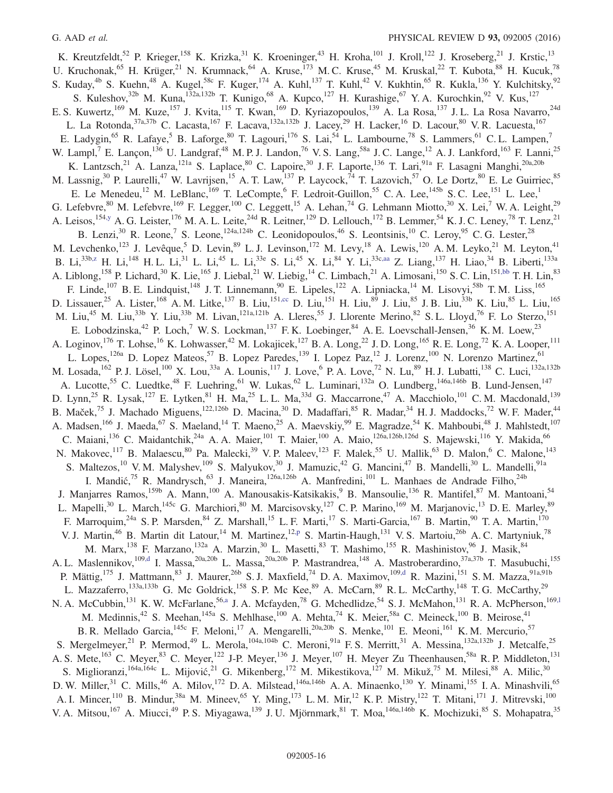<span id="page-15-3"></span><span id="page-15-2"></span><span id="page-15-1"></span><span id="page-15-0"></span>K. Kreutzfeldt,<sup>52</sup> P. Krieger,<sup>158</sup> K. Krizka,<sup>31</sup> K. Kroeninger,<sup>43</sup> H. Kroha,<sup>101</sup> J. Kroll,<sup>122</sup> J. Kroseberg,<sup>21</sup> J. Krstic,<sup>13</sup> U. Kruchonak,<sup>65</sup> H. Krüger,<sup>21</sup> N. Krumnack,<sup>64</sup> A. Kruse,<sup>173</sup> M. C. Kruse,<sup>45</sup> M. Kruskal,<sup>22</sup> T. Kubota,<sup>88</sup> H. Kucuk,<sup>78</sup> S. Kuday,<sup>4b</sup> S. Kuehn,<sup>48</sup> A. Kugel,<sup>58c</sup> F. Kuger,<sup>174</sup> A. Kuhl,<sup>137</sup> T. Kuhl,<sup>42</sup> V. Kukhtin,<sup>65</sup> R. Kukla,<sup>136</sup> Y. Kulchitsky,<sup>92</sup> S. Kuleshov,<sup>32b</sup> M. Kuna,<sup>132a,132b</sup> T. Kunigo,<sup>68</sup> A. Kupco,<sup>127</sup> H. Kurashige,<sup>67</sup> Y. A. Kurochkin,<sup>92</sup> V. Kus,<sup>127</sup> E. S. Kuwertz,<sup>169</sup> M. Kuze,<sup>157</sup> J. Kvita,<sup>115</sup> T. Kwan,<sup>169</sup> D. Kyriazopoulos,<sup>139</sup> A. La Rosa,<sup>137</sup> J. L. La Rosa Navarro,<sup>24d</sup> L. La Rotonda,<sup>37a,37b</sup> C. Lacasta,<sup>167</sup> F. Lacava,<sup>132a,132b</sup> J. Lacey,<sup>29</sup> H. Lacker,<sup>16</sup> D. Lacour,<sup>80</sup> V. R. Lacuesta,<sup>167</sup> E. Ladygin,<sup>65</sup> R. Lafaye,<sup>5</sup> B. Laforge,<sup>80</sup> T. Lagouri,<sup>176</sup> S. Lai,<sup>54</sup> L. Lambourne,<sup>78</sup> S. Lammers,<sup>61</sup> C. L. Lampen,<sup>7</sup> W. Lampl,<sup>7</sup> E. Lançon,<sup>136</sup> U. Landgraf,<sup>48</sup> M. P. J. Landon,<sup>76</sup> V. S. Lang,<sup>58a</sup> J. C. Lange,<sup>12</sup> A. J. Lankford,<sup>163</sup> F. Lanni,<sup>25</sup> K. Lantzsch,<sup>21</sup> A. Lanza,<sup>121a</sup> S. Laplace,<sup>80</sup> C. Lapoire,<sup>30</sup> J. F. Laporte,<sup>136</sup> T. Lari,<sup>91a</sup> F. Lasagni Manghi,<sup>20a,20b</sup> M. Lassnig,<sup>30</sup> P. Laurelli,<sup>47</sup> W. Lavrijsen,<sup>15</sup> A. T. Law,<sup>137</sup> P. Laycock,<sup>74</sup> T. Lazovich,<sup>57</sup> O. Le Dortz,<sup>80</sup> E. Le Guirriec,<sup>85</sup> E. Le Menedeu,<sup>12</sup> M. LeBlanc,<sup>169</sup> T. LeCompte,<sup>6</sup> F. Ledroit-Guillon,<sup>55</sup> C. A. Lee,<sup>145b</sup> S. C. Lee,<sup>151</sup> L. Lee,<sup>1</sup> G. Lefebvre,<sup>80</sup> M. Lefebvre,<sup>169</sup> F. Legger,<sup>100</sup> C. Leggett,<sup>15</sup> A. Lehan,<sup>74</sup> G. Lehmann Miotto,<sup>30</sup> X. Lei,<sup>7</sup> W. A. Leight,<sup>29</sup> A. Leisos,<sup>154[,y](#page-24-2)</sup> A. G. Leister,<sup>176</sup> M. A. L. Leite,<sup>24d</sup> R. Leitner,<sup>129</sup> D. Lellouch,<sup>172</sup> B. Lemmer,<sup>54</sup> K. J. C. Leney,<sup>78</sup> T. Lenz,<sup>21</sup> B. Lenzi,<sup>30</sup> R. Leone,<sup>7</sup> S. Leone,<sup>124a,124b</sup> C. Leonidopoulos,<sup>46</sup> S. Leontsinis,<sup>10</sup> C. Leroy,<sup>95</sup> C. G. Lester,<sup>28</sup> M. Levchenko,<sup>123</sup> J. Levêque,<sup>5</sup> D. Levin,<sup>89</sup> L. J. Levinson,<sup>172</sup> M. Levy,<sup>18</sup> A. Lewis,<sup>120</sup> A. M. Leyko,<sup>21</sup> M. Leyton,<sup>41</sup> B. Li,<sup>33b[,z](#page-24-3)</sup> H. Li,<sup>148</sup> H. L. Li,<sup>31</sup> L. Li,<sup>45</sup> L. Li,<sup>33e</sup> S. Li,<sup>45</sup> X. Li,<sup>84</sup> Y. Li,<sup>33[c,aa](#page-24-4)</sup> Z. Liang,<sup>137</sup> H. Liao,<sup>34</sup> B. Liberti,<sup>133a</sup> A. Liblong, <sup>158</sup> P. Lichard, <sup>30</sup> K. Lie, <sup>165</sup> J. Liebal, <sup>21</sup> W. Liebig, <sup>14</sup> C. Limbach, <sup>21</sup> A. Limosani, <sup>150</sup> S. C. Lin, <sup>15[1,bb](#page-24-5)</sup> T. H. Lin, <sup>83</sup> F. Linde,<sup>107</sup> B. E. Lindquist,<sup>148</sup> J. T. Linnemann,<sup>90</sup> E. Lipeles,<sup>122</sup> A. Lipniacka,<sup>14</sup> M. Lisovyi,<sup>58b</sup> T. M. Liss,<sup>165</sup> D. Lissauer,<sup>25</sup> A. Lister,<sup>168</sup> A. M. Litke,<sup>137</sup> B. Liu,<sup>15[1,cc](#page-24-6)</sup> D. Liu,<sup>151</sup> H. Liu,<sup>85</sup> J. Liu,<sup>85</sup> J. B. Liu,<sup>33b</sup> K. Liu,<sup>85</sup> L. Liu,<sup>165</sup> M. Liu,<sup>45</sup> M. Liu,<sup>33b</sup> Y. Liu,<sup>33b</sup> M. Livan,<sup>121a,121b</sup> A. Lleres,<sup>55</sup> J. Llorente Merino,<sup>82</sup> S. L. Lloyd,<sup>76</sup> F. Lo Sterzo,<sup>151</sup> E. Lobodzinska,<sup>42</sup> P. Loch,<sup>7</sup> W. S. Lockman,<sup>137</sup> F. K. Loebinger,<sup>84</sup> A. E. Loevschall-Jensen,<sup>36</sup> K. M. Loew,<sup>23</sup> A. Loginov,<sup>176</sup> T. Lohse,<sup>16</sup> K. Lohwasser,<sup>42</sup> M. Lokajicek,<sup>127</sup> B. A. Long,<sup>22</sup> J. D. Long,<sup>165</sup> R. E. Long,<sup>72</sup> K. A. Looper,<sup>111</sup> L. Lopes,<sup>126a</sup> D. Lopez Mateos,<sup>57</sup> B. Lopez Paredes,<sup>139</sup> I. Lopez Paz,<sup>12</sup> J. Lorenz,<sup>100</sup> N. Lorenzo Martinez,<sup>61</sup> M. Losada,  $^{162}$  P. J. Lösel,  $^{100}$  X. Lou,  $^{33a}$  A. Lounis,  $^{117}$  J. Love,  $^{6}$  P. A. Love,  $^{72}$  N. Lu,  $^{89}$  H. J. Lubatti,  $^{138}$  C. Luci,  $^{132a,132b}$ A. Lucotte,<sup>55</sup> C. Luedtke,<sup>48</sup> F. Luehring,<sup>61</sup> W. Lukas,<sup>62</sup> L. Luminari,<sup>132a</sup> O. Lundberg,<sup>146a,146b</sup> B. Lund-Jensen,<sup>147</sup> D. Lynn,<sup>25</sup> R. Lysak,<sup>127</sup> E. Lytken,<sup>81</sup> H. Ma,<sup>25</sup> L. L. Ma,<sup>33d</sup> G. Maccarrone,<sup>47</sup> A. Macchiolo,<sup>101</sup> C. M. Macdonald,<sup>139</sup> B. Maček,<sup>75</sup> J. Machado Miguens,<sup>122,126b</sup> D. Macina,<sup>30</sup> D. Madaffari,<sup>85</sup> R. Madar,<sup>34</sup> H. J. Maddocks,<sup>72</sup> W. F. Mader,<sup>44</sup> A. Madsen,<sup>166</sup> J. Maeda,<sup>67</sup> S. Maeland,<sup>14</sup> T. Maeno,<sup>25</sup> A. Maevskiy,<sup>99</sup> E. Magradze,<sup>54</sup> K. Mahboubi,<sup>48</sup> J. Mahlstedt,<sup>107</sup> C. Maiani,<sup>136</sup> C. Maidantchik,<sup>24a</sup> A. A. Maier,<sup>101</sup> T. Maier,<sup>100</sup> A. Maio,<sup>126a,126b,126d</sup> S. Majewski,<sup>116</sup> Y. Makida,<sup>66</sup> N. Makovec,<sup>117</sup> B. Malaescu,<sup>80</sup> Pa. Malecki,<sup>39</sup> V. P. Maleev,<sup>123</sup> F. Malek,<sup>55</sup> U. Mallik,<sup>63</sup> D. Malon,<sup>6</sup> C. Malone,<sup>143</sup> S. Maltezos,<sup>10</sup> V. M. Malyshev,<sup>109</sup> S. Malyukov,<sup>30</sup> J. Mamuzic,<sup>42</sup> G. Mancini,<sup>47</sup> B. Mandelli,<sup>30</sup> L. Mandelli,<sup>91a</sup> I. Mandić,<sup>75</sup> R. Mandrysch,<sup>63</sup> J. Maneira,<sup>126a,126b</sup> A. Manfredini,<sup>101</sup> L. Manhaes de Andrade Filho,<sup>24b</sup> J. Manjarres Ramos,<sup>159b</sup> A. Mann,<sup>100</sup> A. Manousakis-Katsikakis,<sup>9</sup> B. Mansoulie,<sup>136</sup> R. Mantifel,<sup>87</sup> M. Mantoani,<sup>54</sup> L. Mapelli,<sup>30</sup> L. March,<sup>145c</sup> G. Marchiori,<sup>80</sup> M. Marcisovsky,<sup>127</sup> C. P. Marino,<sup>169</sup> M. Marjanovic,<sup>13</sup> D. E. Marley,<sup>89</sup> F. Marroquim,<sup>24a</sup> S. P. Marsden,<sup>84</sup> Z. Marshall,<sup>15</sup> L. F. Marti,<sup>17</sup> S. Marti-Garcia,<sup>167</sup> B. Martin,<sup>90</sup> T. A. Martin,<sup>170</sup> V. J. Martin,<sup>46</sup> B. Martin dit Latour,<sup>14</sup> M. Martinez,<sup>12[,p](#page-23-15)</sup> S. Martin-Haugh,<sup>131</sup> V. S. Martoiu,<sup>26b</sup> A. C. Martyniuk,<sup>78</sup> M. Marx, <sup>138</sup> F. Marzano, <sup>132a</sup> A. Marzin, <sup>30</sup> L. Masetti, <sup>83</sup> T. Mashimo, <sup>155</sup> R. Mashinistov, <sup>96</sup> J. Masik, <sup>84</sup> A. L. Maslennikov,<sup>109[,d](#page-23-2)</sup> I. Massa,<sup>20a,20b</sup> L. Massa,<sup>20a,20b</sup> P. Mastrandrea,<sup>148</sup> A. Mastroberardino,<sup>37a,37b</sup> T. Masubuchi,<sup>155</sup> P. Mättig,<sup>175</sup> J. Mattmann,<sup>83</sup> J. Maurer,<sup>26b</sup> S. J. Maxfield,<sup>74</sup> D. A. Maximov,<sup>10[9,d](#page-23-2)</sup> R. Mazini,<sup>151</sup> S. M. Mazza,<sup>91a,91b</sup> L. Mazzaferro,<sup>133a,133b</sup> G. Mc Goldrick,<sup>158</sup> S. P. Mc Kee,<sup>89</sup> A. McCarn,<sup>89</sup> R. L. McCarthy,<sup>148</sup> T. G. McCarthy,<sup>29</sup> N. A. McCubbin,<sup>131</sup> K. W. McFarlane,<sup>56[,a](#page-23-6)</sup> J. A. Mcfayden,<sup>78</sup> G. Mchedlidze,<sup>54</sup> S. J. McMahon,<sup>131</sup> R. A. McPherson,<sup>169,1</sup> M. Medinnis,<sup>42</sup> S. Meehan,<sup>145a</sup> S. Mehlhase,<sup>100</sup> A. Mehta,<sup>74</sup> K. Meier,<sup>58a</sup> C. Meineck,<sup>100</sup> B. Meirose,<sup>41</sup> B. R. Mellado Garcia, <sup>145c</sup> F. Meloni,<sup>17</sup> A. Mengarelli,<sup>20a,20b</sup> S. Menke,<sup>101</sup> E. Meoni,<sup>161</sup> K. M. Mercurio,<sup>57</sup> S. Mergelmeyer,<sup>21</sup> P. Mermod,<sup>49</sup> L. Merola,<sup>104a,104b</sup> C. Meroni,<sup>91a</sup> F. S. Merritt,<sup>31</sup> A. Messina,<sup>132a,132b</sup> J. Metcalfe,<sup>25</sup> A. S. Mete,<sup>163</sup> C. Meyer,<sup>83</sup> C. Meyer,<sup>122</sup> J-P. Meyer,<sup>136</sup> J. Meyer,<sup>107</sup> H. Meyer Zu Theenhausen,<sup>58a</sup> R. P. Middleton,<sup>131</sup> S. Miglioranzi, <sup>164a,164c</sup> L. Mijović, 21 G. Mikenberg, <sup>172</sup> M. Mikestikova, <sup>127</sup> M. Mikuž, <sup>75</sup> M. Milesi, <sup>88</sup> A. Milic, <sup>30</sup> D. W. Miller,<sup>31</sup> C. Mills,<sup>46</sup> A. Milov,<sup>172</sup> D. A. Milstead,<sup>146a,146b</sup> A. A. Minaenko,<sup>130</sup> Y. Minami,<sup>155</sup> I. A. Minashvili,<sup>65</sup> A. I. Mincer,<sup>110</sup> B. Mindur,<sup>38a</sup> M. Mineev,<sup>65</sup> Y. Ming,<sup>173</sup> L. M. Mir,<sup>12</sup> K. P. Mistry,<sup>122</sup> T. Mitani,<sup>171</sup> J. Mitrevski,<sup>100</sup> V. A. Mitsou,<sup>167</sup> A. Miucci,<sup>49</sup> P. S. Miyagawa,<sup>139</sup> J. U. Mjörnmark,<sup>81</sup> T. Moa,<sup>146a,146b</sup> K. Mochizuki,<sup>85</sup> S. Mohapatra,<sup>35</sup>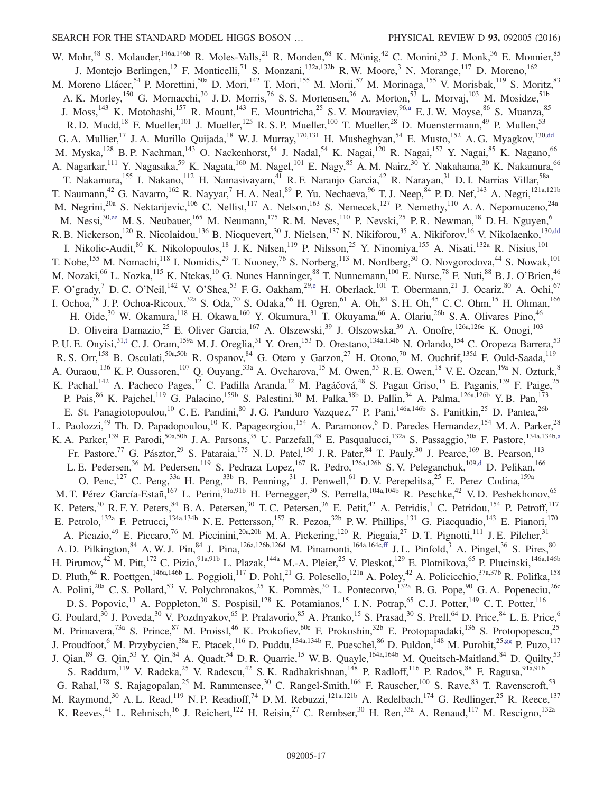<span id="page-16-3"></span><span id="page-16-2"></span><span id="page-16-1"></span><span id="page-16-0"></span>W. Mohr,<sup>48</sup> S. Molander,<sup>146a,146b</sup> R. Moles-Valls,<sup>21</sup> R. Monden,<sup>68</sup> K. Mönig,<sup>42</sup> C. Monini,<sup>55</sup> J. Monk,<sup>36</sup> E. Monnier,<sup>85</sup> J. Montejo Berlingen,<sup>12</sup> F. Monticelli,<sup>71</sup> S. Monzani,<sup>132a,132b</sup> R.W. Moore,<sup>3</sup> N. Morange,<sup>117</sup> D. Moreno,<sup>162</sup> M. Moreno Llácer,<sup>54</sup> P. Morettini,<sup>50a</sup> D. Mori,<sup>142</sup> T. Mori,<sup>155</sup> M. Morii,<sup>57</sup> M. Morinaga,<sup>155</sup> V. Morisbak,<sup>119</sup> S. Moritz,<sup>83</sup> A. K. Morley,<sup>150</sup> G. Mornacchi,<sup>30</sup> J. D. Morris,<sup>76</sup> S. S. Mortensen,<sup>36</sup> A. Morton,<sup>53</sup> L. Morvaj,<sup>103</sup> M. Mosidze,<sup>51b</sup> J. Moss,<sup>143</sup> K. Motohashi,<sup>157</sup> R. Mount,<sup>143</sup> E. Mountricha,<sup>25</sup> S. V. Mouraviev,<sup>96[,a](#page-23-6)</sup> E. J. W. Moyse,<sup>86</sup> S. Muanza,<sup>85</sup> R. D. Mudd,<sup>18</sup> F. Mueller,<sup>101</sup> J. Mueller,<sup>125</sup> R. S. P. Mueller,<sup>100</sup> T. Mueller,<sup>28</sup> D. Muenstermann,<sup>49</sup> P. Mullen,<sup>53</sup> G. A. Mullier,<sup>17</sup> J. A. Murillo Quijada,<sup>18</sup> W. J. Murray,<sup>170,131</sup> H. Musheghyan,<sup>54</sup> E. Musto,<sup>152</sup> A. G. Myagkov,<sup>130[,dd](#page-24-7)</sup> M. Myska,<sup>128</sup> B. P. Nachman,<sup>143</sup> O. Nackenhorst,<sup>54</sup> J. Nadal,<sup>54</sup> K. Nagai,<sup>120</sup> R. Nagai,<sup>157</sup> Y. Nagai,<sup>85</sup> K. Nagano,<sup>66</sup> A. Nagarkar,<sup>111</sup> Y. Nagasaka,<sup>59</sup> K. Nagata,<sup>160</sup> M. Nagel,<sup>101</sup> E. Nagy,<sup>85</sup> A. M. Nairz,<sup>30</sup> Y. Nakahama,<sup>30</sup> K. Nakamura,<sup>66</sup> T. Nakamura,<sup>155</sup> I. Nakano,<sup>112</sup> H. Namasivayam,<sup>41</sup> R. F. Naranjo Garcia,<sup>42</sup> R. Narayan,<sup>31</sup> D. I. Narrias Villar,<sup>58a</sup> T. Naumann,<sup>42</sup> G. Navarro,<sup>162</sup> R. Nayyar,<sup>7</sup> H. A. Neal,<sup>89</sup> P. Yu. Nechaeva,<sup>96</sup> T. J. Neep, <sup>84</sup> P. D. Nef, <sup>143</sup> A. Negri,<sup>121a,121b</sup> M. Negrini,<sup>20a</sup> S. Nektarijevic,<sup>106</sup> C. Nellist,<sup>117</sup> A. Nelson,<sup>163</sup> S. Nemecek,<sup>127</sup> P. Nemethy,<sup>110</sup> A. A. Nepomuceno,<sup>24a</sup> M. Nessi,<sup>30[,ee](#page-24-8)</sup> M. S. Neubauer,<sup>165</sup> M. Neumann,<sup>175</sup> R. M. Neves,<sup>110</sup> P. Nevski,<sup>25</sup> P. R. Newman,<sup>18</sup> D. H. Nguyen,<sup>6</sup> M. Newman,<sup>18</sup> D. H. Nguyen,<sup>6</sup> R. B. Nickerson,<sup>120</sup> R. Nicolaidou,<sup>136</sup> B. Nicquevert,<sup>30</sup> J. Nielsen,<sup>137</sup> N. Nikiforou,<sup>35</sup> A. Nikiforov,<sup>16</sup> V. Nikolaenko,<sup>13[0,dd](#page-24-7)</sup> I. Nikolic-Audit,<sup>80</sup> K. Nikolopoulos,<sup>18</sup> J. K. Nilsen,<sup>119</sup> P. Nilsson,<sup>25</sup> Y. Ninomiya,<sup>155</sup> A. Nisati,<sup>132a</sup> R. Nisius,<sup>101</sup> T. Nobe,<sup>155</sup> M. Nomachi,<sup>118</sup> I. Nomidis,<sup>29</sup> T. Nooney,<sup>76</sup> S. Norberg,<sup>113</sup> M. Nordberg,<sup>30</sup> O. Novgorodova,<sup>44</sup> S. Nowak,<sup>101</sup> M. Nozaki,<sup>66</sup> L. Nozka,<sup>115</sup> K. Ntekas,<sup>10</sup> G. Nunes Hanninger,<sup>88</sup> T. Nunnemann,<sup>100</sup> E. Nurse,<sup>78</sup> F. Nuti,<sup>88</sup> B. J. O'Brien,<sup>46</sup> F. O'grady,<sup>7</sup> D. C. O'Neil,<sup>142</sup> V. O'Shea,<sup>53</sup> F. G. Oakham,<sup>29[,e](#page-23-3)</sup> H. Oberlack,<sup>101</sup> T. Obermann,<sup>21</sup> J. Ocariz,<sup>80</sup> A. Ochi,<sup>67</sup> I. Ochoa,<sup>78</sup> J. P. Ochoa-Ricoux,<sup>32a</sup> S. Oda,<sup>70</sup> S. Odaka,<sup>66</sup> H. Ogren,<sup>61</sup> A. Oh,<sup>84</sup> S. H. Oh,<sup>45</sup> C. C. Ohm,<sup>15</sup> H. Ohman,<sup>166</sup> H. Oide,<sup>30</sup> W. Okamura,<sup>118</sup> H. Okawa,<sup>160</sup> Y. Okumura,<sup>31</sup> T. Okuyama,<sup>66</sup> A. Olariu,<sup>26b</sup> S. A. Olivares Pino,<sup>46</sup> D. Oliveira Damazio,<sup>25</sup> E. Oliver Garcia,<sup>167</sup> A. Olszewski,<sup>39</sup> J. Olszowska,<sup>39</sup> A. Onofre,<sup>126a,126e</sup> K. Onogi,<sup>103</sup> P. U. E. Onyisi,<sup>31[,t](#page-23-19)</sup> C. J. Oram,<sup>159a</sup> M. J. Oreglia,<sup>31</sup> Y. Oren,<sup>153</sup> D. Orestano,<sup>134a,134b</sup> N. Orlando,<sup>154</sup> C. Oropeza Barrera,<sup>53</sup> R. S. Orr,<sup>158</sup> B. Osculati,<sup>50a,50b</sup> R. Ospanov,<sup>84</sup> G. Otero y Garzon,<sup>27</sup> H. Otono,<sup>70</sup> M. Ouchrif,<sup>135d</sup> F. Ould-Saada,<sup>119</sup> A. Ouraou,<sup>136</sup> K. P. Oussoren,<sup>107</sup> Q. Ouyang,<sup>33a</sup> A. Ovcharova,<sup>15</sup> M. Owen,<sup>53</sup> R. E. Owen,<sup>18</sup> V. E. Ozcan,<sup>19a</sup> N. Ozturk,<sup>8</sup> K. Pachal,<sup>142</sup> A. Pacheco Pages,<sup>12</sup> C. Padilla Aranda,<sup>12</sup> M. Pagáčová,<sup>48</sup> S. Pagan Griso,<sup>15</sup> E. Paganis,<sup>139</sup> F. Paige,<sup>25</sup> P. Pais,  $86$  K. Pajchel,  $^{119}$  G. Palacino,  $^{159b}$  S. Palestini,  $^{30}$  M. Palka,  $^{38b}$  D. Pallin,  $^{34}$  A. Palma,  $^{126a,126b}$  Y. B. Pan,  $^{173}$ E. St. Panagiotopoulou,<sup>10</sup> C. E. Pandini,<sup>80</sup> J. G. Panduro Vazquez,<sup>77</sup> P. Pani,<sup>146a,146b</sup> S. Panitkin,<sup>25</sup> D. Pantea,<sup>26b</sup> L. Paolozzi,<sup>49</sup> Th. D. Papadopoulou,<sup>10</sup> K. Papageorgiou,<sup>154</sup> A. Paramonov,<sup>6</sup> D. Paredes Hernandez,<sup>154</sup> M. A. Parker,<sup>28</sup> K. A. Parker,<sup>139</sup> F. Parodi,<sup>50a,50b</sup> J. A. Parsons,<sup>35</sup> U. Parzefall,<sup>48</sup> E. Pasqualucci,<sup>132a</sup> S. Passaggio,<sup>50a</sup> F. Pastore,<sup>134a,134[b,a](#page-23-6)</sup> Fr. Pastore,<sup>77</sup> G. Pásztor,<sup>29</sup> S. Pataraia,<sup>175</sup> N. D. Patel,<sup>150</sup> J. R. Pater,<sup>84</sup> T. Pauly,<sup>30</sup> J. Pearce,<sup>169</sup> B. Pearson,<sup>113</sup> L. E. Pedersen,<sup>36</sup> M. Pedersen,<sup>119</sup> S. Pedraza Lopez,<sup>167</sup> R. Pedro,<sup>126a,126b</sup> S. V. Peleganchuk,<sup>109[,d](#page-23-2)</sup> D. Pelikan,<sup>166</sup> O. Penc,<sup>127</sup> C. Peng,<sup>33a</sup> H. Peng,<sup>33b</sup> B. Penning,<sup>31</sup> J. Penwell,<sup>61</sup> D. V. Perepelitsa,<sup>25</sup> E. Perez Codina,<sup>159a</sup> M. T. Pérez García-Estañ,<sup>167</sup> L. Perini,<sup>91a,91b</sup> H. Pernegger,<sup>30</sup> S. Perrella,<sup>104a,104b</sup> R. Peschke,<sup>42</sup> V. D. Peshekhonov,<sup>65</sup> K. Peters,<sup>30</sup> R. F. Y. Peters,<sup>84</sup> B. A. Petersen,<sup>30</sup> T. C. Petersen,<sup>36</sup> E. Petit,<sup>42</sup> A. Petridis,<sup>1</sup> C. Petridou,<sup>154</sup> P. Petroff,<sup>117</sup> E. Petrolo,<sup>132a</sup> F. Petrucci,<sup>134a,134b</sup> N. E. Pettersson,<sup>157</sup> R. Pezoa,<sup>32b</sup> P. W. Phillips,<sup>131</sup> G. Piacquadio,<sup>143</sup> E. Pianori,<sup>170</sup> A. Picazio,<sup>49</sup> E. Piccaro,<sup>76</sup> M. Piccinini,<sup>20a,20b</sup> M. A. Pickering,<sup>120</sup> R. Piegaia,<sup>27</sup> D. T. Pignotti,<sup>111</sup> J. E. Pilcher,<sup>31</sup> A. D. Pilkington,  $84$  A. W. J. Pin,  $84$  J. Pina,  $126a, 126b, 126d$  M. Pinamonti,  $164a, 164c, ff$  J. L. Pinfold,  $3$  A. Pingel,  $36$  S. Pires,  $80$ H. Pirumov,<sup>42</sup> M. Pitt,<sup>172</sup> C. Pizio,<sup>91a,91b</sup> L. Plazak,<sup>144a</sup> M.-A. Pleier,<sup>25</sup> V. Pleskot,<sup>129</sup> E. Plotnikova,<sup>65</sup> P. Plucinski,<sup>146a,146b</sup> D. Pluth,<sup>64</sup> R. Poettgen,<sup>146a,146b</sup> L. Poggioli,<sup>117</sup> D. Pohl,<sup>21</sup> G. Polesello,<sup>121a</sup> A. Poley,<sup>42</sup> A. Policicchio,<sup>37a,37b</sup> R. Polifka,<sup>158</sup> A. Polini,<sup>20a</sup> C. S. Pollard,<sup>53</sup> V. Polychronakos,<sup>25</sup> K. Pommès,<sup>30</sup> L. Pontecorvo,<sup>132a</sup> B. G. Pope,<sup>90</sup> G. A. Popeneciu,<sup>26c</sup> D. S. Popovic,<sup>13</sup> A. Poppleton,<sup>30</sup> S. Pospisil,<sup>128</sup> K. Potamianos,<sup>15</sup> I. N. Potrap,<sup>65</sup> C. J. Potter,<sup>149</sup> C. T. Potter,<sup>116</sup> G. Poulard,<sup>30</sup> J. Poveda,<sup>30</sup> V. Pozdnyakov,<sup>65</sup> P. Pralavorio,<sup>85</sup> A. Pranko,<sup>15</sup> S. Prasad,<sup>30</sup> S. Prell,<sup>64</sup> D. Price,<sup>84</sup> L. E. Price,<sup>6</sup> M. Primavera,<sup>73a</sup> S. Prince,<sup>87</sup> M. Proissl,<sup>46</sup> K. Prokofiev,<sup>60c</sup> F. Prokoshin,<sup>32b</sup> E. Protopapadaki,<sup>136</sup> S. Protopopescu,<sup>25</sup> J. Proudfoot,<sup>6</sup> M. Przybycien,<sup>38a</sup> E. Ptacek,<sup>116</sup> D. Puddu,<sup>134a,134b</sup> E. Pueschel,<sup>86</sup> D. Puldon,<sup>148</sup> M. Purohit,<sup>25[,gg](#page-24-10)</sup> P. Puzo,<sup>117</sup> J. Qian,<sup>89</sup> G. Qin,<sup>53</sup> Y. Qin,<sup>84</sup> A. Quadt,<sup>54</sup> D. R. Quarrie,<sup>15</sup> W. B. Quayle,<sup>164a,164b</sup> M. Queitsch-Maitland,<sup>84</sup> D. Quilty,<sup>53</sup> S. Raddum, <sup>119</sup> V. Radeka, <sup>25</sup> V. Radescu, <sup>42</sup> S. K. Radhakrishnan, <sup>148</sup> P. Radloff, <sup>116</sup> P. Rados, <sup>88</sup> F. Ragusa, <sup>91a, 91b</sup> G. Rahal,  $^{178}$  S. Rajagopalan,  $^{25}$  M. Rammensee,  $^{30}$  C. Rangel-Smith,  $^{166}$  F. Rauscher,  $^{100}$  S. Rave,  $^{83}$  T. Ravenscroft,  $^{53}$ M. Raymond,<sup>30</sup> A. L. Read,<sup>119</sup> N. P. Readioff,<sup>74</sup> D. M. Rebuzzi,<sup>121a,121b</sup> A. Redelbach,<sup>174</sup> G. Redlinger,<sup>25</sup> R. Reece,<sup>137</sup> K. Reeves,<sup>41</sup> L. Rehnisch,<sup>16</sup> J. Reichert,<sup>122</sup> H. Reisin,<sup>27</sup> C. Rembser,<sup>30</sup> H. Ren,<sup>33a</sup> A. Renaud,<sup>117</sup> M. Rescigno,<sup>132a</sup>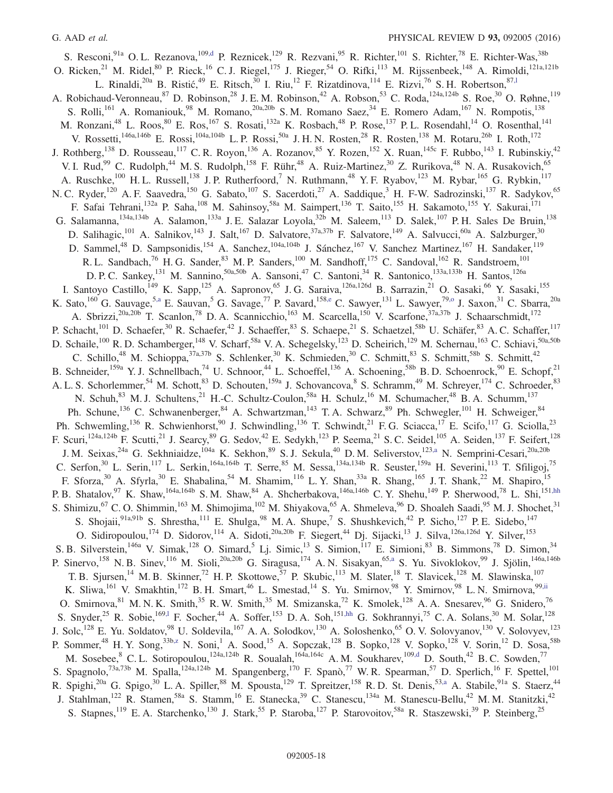<span id="page-17-1"></span><span id="page-17-0"></span>S. Resconi,<sup>91a</sup> O. L. Rezanova,<sup>10[9,d](#page-23-2)</sup> P. Reznicek,<sup>129</sup> R. Rezvani,<sup>95</sup> R. Richter,<sup>101</sup> S. Richter,<sup>78</sup> E. Richter-Was,<sup>38b</sup> O. Ricken,<sup>21</sup> M. Ridel,<sup>80</sup> P. Rieck,<sup>16</sup> C. J. Riegel,<sup>175</sup> J. Rieger,<sup>54</sup> O. Rifki,<sup>113</sup> M. Rijssenbeek,<sup>148</sup> A. Rimoldi,<sup>121a,121b</sup> L. Rinaldi,  $20a$  B. Ristić,  $49$  E. Ritsch,  $30$  I. Riu,  $12$  F. Rizatdinova,  $114$  E. Rizvi,  $76$  S. H. Robertson,  $87,1$ A. Robichaud-Veronneau,<sup>87</sup> D. Robinson,<sup>28</sup> J. E. M. Robinson,<sup>42</sup> A. Robson,<sup>53</sup> C. Roda,<sup>124a,124b</sup> S. Roe,<sup>30</sup> O. Røhne,<sup>119</sup> S. Rolli,<sup>161</sup> A. Romaniouk,<sup>98</sup> M. Romano,<sup>20a,20b</sup> S.M. Romano Saez,<sup>34</sup> E. Romero Adam,<sup>167</sup> N. Rompotis,<sup>138</sup> M. Ronzani,<sup>48</sup> L. Roos,<sup>80</sup> E. Ros,<sup>167</sup> S. Rosati,<sup>132a</sup> K. Rosbach,<sup>48</sup> P. Rose,<sup>137</sup> P. L. Rosendahl,<sup>14</sup> O. Rosenthal,<sup>141</sup> V. Rossetti,<sup>146a,146b</sup> E. Rossi,<sup>104a,104b</sup> L. P. Rossi,<sup>50a</sup> J. H. N. Rosten,<sup>28</sup> R. Rosten,<sup>138</sup> M. Rotaru,<sup>26b</sup> I. Roth,<sup>172</sup> J. Rothberg,<sup>138</sup> D. Rousseau,<sup>117</sup> C. R. Royon,<sup>136</sup> A. Rozanov,<sup>85</sup> Y. Rozen,<sup>152</sup> X. Ruan,<sup>145c</sup> F. Rubbo,<sup>143</sup> I. Rubinskiy,<sup>42</sup> V. I. Rud,<sup>99</sup> C. Rudolph,<sup>44</sup> M. S. Rudolph,<sup>158</sup> F. Rühr,<sup>48</sup> A. Ruiz-Martinez,<sup>30</sup> Z. Rurikova,<sup>48</sup> N. A. Rusakovich,<sup>65</sup> A. Ruschke,<sup>100</sup> H. L. Russell,<sup>138</sup> J. P. Rutherfoord,<sup>7</sup> N. Ruthmann,<sup>48</sup> Y. F. Ryabov,<sup>123</sup> M. Rybar,<sup>165</sup> G. Rybkin,<sup>117</sup> N. C. Ryder,<sup>120</sup> A. F. Saavedra,<sup>150</sup> G. Sabato,<sup>107</sup> S. Sacerdoti,<sup>27</sup> A. Saddique,<sup>3</sup> H. F-W. Sadrozinski,<sup>137</sup> R. Sadykov,<sup>65</sup> F. Safai Tehrani,<sup>132a</sup> P. Saha,<sup>108</sup> M. Sahinsoy,<sup>58a</sup> M. Saimpert,<sup>136</sup> T. Saito,<sup>155</sup> H. Sakamoto,<sup>155</sup> Y. Sakurai,<sup>171</sup> G. Salamanna, <sup>134a, 134b</sup> A. Salamon, <sup>133a</sup> J. E. Salazar Loyola, <sup>32b</sup> M. Saleem, <sup>113</sup> D. Salek, <sup>107</sup> P. H. Sales De Bruin, <sup>138</sup> D. Salihagic,<sup>101</sup> A. Salnikov,<sup>143</sup> J. Salt,<sup>167</sup> D. Salvatore,<sup>37a,37b</sup> F. Salvatore,<sup>149</sup> A. Salvucci,<sup>60a</sup> A. Salzburger,<sup>30</sup> D. Sammel,<sup>48</sup> D. Sampsonidis,<sup>154</sup> A. Sanchez,<sup>104a,104b</sup> J. Sánchez,<sup>167</sup> V. Sanchez Martinez,<sup>167</sup> H. Sandaker,<sup>119</sup> R. L. Sandbach,  $^{76}$  H. G. Sander,  $^{83}$  M. P. Sanders,  $^{100}$  M. Sandhoff,  $^{175}$  C. Sandoval,  $^{162}$  R. Sandstroem,  $^{101}$ D. P. C. Sankey, <sup>131</sup> M. Sannino, <sup>50a, 50b</sup> A. Sansoni, <sup>47</sup> C. Santoni, <sup>34</sup> R. Santonico, <sup>133a, 133b</sup> H. Santos, <sup>126a</sup> I. Santoyo Castillo,<sup>149</sup> K. Sapp,<sup>125</sup> A. Sapronov,<sup>65</sup> J.G. Saraiva,<sup>126a,126d</sup> B. Sarrazin,<sup>21</sup> O. Sasaki,<sup>66</sup> Y. Sasaki,<sup>155</sup> K. Sato,<sup>160</sup> G. Sauvage,<sup>5[,a](#page-23-6)</sup> E. Sauvan,<sup>5</sup> G. Savage,<sup>77</sup> P. Savard,<sup>15[8,e](#page-23-3)</sup> C. Sawyer,<sup>131</sup> L. Sawyer,<sup>79[,o](#page-23-14)</sup> J. Saxon,<sup>31</sup> C. Sbarra,<sup>20a</sup> A. Sbrizzi,<sup>20a,20b</sup> T. Scanlon,<sup>78</sup> D. A. Scannicchio,<sup>163</sup> M. Scarcella,<sup>150</sup> V. Scarfone,<sup>37a,37b</sup> J. Schaarschmidt,<sup>172</sup> P. Schacht,<sup>101</sup> D. Schaefer,<sup>30</sup> R. Schaefer,<sup>42</sup> J. Schaeffer,<sup>83</sup> S. Schaepe,<sup>21</sup> S. Schaetzel,<sup>58b</sup> U. Schäfer,<sup>83</sup> A. C. Schaffer,<sup>117</sup> D. Schaile,<sup>100</sup> R. D. Schamberger,<sup>148</sup> V. Scharf,<sup>58a</sup> V. A. Schegelsky,<sup>123</sup> D. Scheirich,<sup>129</sup> M. Schernau,<sup>163</sup> C. Schiavi,<sup>50a,50b</sup> C. Schillo,<sup>48</sup> M. Schioppa,<sup>37a,37b</sup> S. Schlenker,<sup>30</sup> K. Schmieden,<sup>30</sup> C. Schmitt,<sup>83</sup> S. Schmitt,<sup>58b</sup> S. Schmitt,<sup>42</sup> B. Schneider,<sup>159a</sup> Y. J. Schnellbach,<sup>74</sup> U. Schnoor,<sup>44</sup> L. Schoeffel,<sup>136</sup> A. Schoening,<sup>58b</sup> B. D. Schoenrock,<sup>90</sup> E. Schopf,<sup>21</sup> A. L. S. Schorlemmer,<sup>54</sup> M. Schott,<sup>83</sup> D. Schouten,<sup>159a</sup> J. Schovancova,<sup>8</sup> S. Schramm,<sup>49</sup> M. Schreyer,<sup>174</sup> C. Schroeder,<sup>83</sup> N. Schuh,<sup>83</sup> M. J. Schultens,<sup>21</sup> H.-C. Schultz-Coulon,<sup>58a</sup> H. Schulz,<sup>16</sup> M. Schumacher,<sup>48</sup> B. A. Schumm,<sup>137</sup> Ph. Schune,<sup>136</sup> C. Schwanenberger,<sup>84</sup> A. Schwartzman,<sup>143</sup> T. A. Schwarz,<sup>89</sup> Ph. Schwegler,<sup>101</sup> H. Schweiger,<sup>84</sup> Ph. Schwemling,<sup>136</sup> R. Schwienhorst,<sup>90</sup> J. Schwindling,<sup>136</sup> T. Schwindt,<sup>21</sup> F. G. Sciacca,<sup>17</sup> E. Scifo,<sup>117</sup> G. Sciolla,<sup>23</sup> F. Scuri,<sup>124a,124b</sup> F. Scutti,<sup>21</sup> J. Searcy,<sup>89</sup> G. Sedov,<sup>42</sup> E. Sedykh,<sup>123</sup> P. Seema,<sup>21</sup> S. C. Seidel,<sup>105</sup> A. Seiden,<sup>137</sup> F. Seifert,<sup>128</sup> J. M. Seixas,<sup>24a</sup> G. Sekhniaidze,<sup>104a</sup> K. Sekhon,<sup>89</sup> S. J. Sekula,<sup>40</sup> D. M. Seliverstov,<sup>12[3,a](#page-23-6)</sup> N. Semprini-Cesari,<sup>20a,20b</sup> C. Serfon,<sup>30</sup> L. Serin,<sup>117</sup> L. Serkin,<sup>164a,164b</sup> T. Serre,<sup>85</sup> M. Sessa,<sup>134a,134b</sup> R. Seuster,<sup>159a</sup> H. Severini,<sup>113</sup> T. Sfiligoj,<sup>75</sup> F. Sforza,<sup>30</sup> A. Sfyrla,<sup>30</sup> E. Shabalina,<sup>54</sup> M. Shamim,<sup>116</sup> L. Y. Shan,<sup>33a</sup> R. Shang,<sup>165</sup> J. T. Shank,<sup>22</sup> M. Shapiro,<sup>15</sup> P. B. Shatalov, <sup>97</sup> K. Shaw, <sup>164a, 164b</sup> S. M. Shaw,  $84$  A. Shcherbakova,  $146a, 146b$  C. Y. Shehu,  $149$  P. Sherwood,  $78$  L. Shi,  $151, hh$ S. Shimizu,<sup>67</sup> C. O. Shimmin,<sup>163</sup> M. Shimojima,<sup>102</sup> M. Shiyakova,<sup>65</sup> A. Shmeleva,<sup>96</sup> D. Shoaleh Saadi,<sup>95</sup> M. J. Shochet,<sup>31</sup> S. Shojaii,<sup>91a,91b</sup> S. Shrestha,<sup>111</sup> E. Shulga,<sup>98</sup> M. A. Shupe,<sup>7</sup> S. Shushkevich,<sup>42</sup> P. Sicho,<sup>127</sup> P. E. Sidebo,<sup>147</sup> O. Sidiropoulou,<sup>174</sup> D. Sidorov,<sup>114</sup> A. Sidoti,<sup>20a,20b</sup> F. Siegert,<sup>44</sup> Dj. Sijacki,<sup>13</sup> J. Silva,<sup>126a,126d</sup> Y. Silver,<sup>153</sup> S. B. Silverstein,<sup>146a</sup> V. Simak,<sup>128</sup> O. Simard,<sup>5</sup> Lj. Simic,<sup>13</sup> S. Simion,<sup>117</sup> E. Simioni,<sup>83</sup> B. Simmons,<sup>78</sup> D. Simon,<sup>34</sup> P. Sinervo,<sup>158</sup> N. B. Sinev,<sup>116</sup> M. Sioli,<sup>20a,20b</sup> G. Siragusa,<sup>174</sup> A. N. Sisakyan,<sup>6[5,a](#page-23-6)</sup> S. Yu. Sivoklokov,<sup>99</sup> J. Sjölin,<sup>146a,146b</sup> T. B. Sjursen,<sup>14</sup> M. B. Skinner,<sup>72</sup> H. P. Skottowe,<sup>57</sup> P. Skubic,<sup>113</sup> M. Slater,<sup>18</sup> T. Slavicek,<sup>128</sup> M. Slawinska,<sup>107</sup> K. Sliwa,<sup>161</sup> V. Smakhtin,<sup>172</sup> B. H. Smart,<sup>46</sup> L. Smestad,<sup>14</sup> S. Yu. Smirnov,<sup>98</sup> Y. Smirnov,<sup>98</sup> L. N. Smirnova,<sup>99[,ii](#page-24-12)</sup> O. Smirnova, <sup>81</sup> M. N. K. Smith,<sup>35</sup> R. W. Smith,<sup>35</sup> M. Smizanska,<sup>72</sup> K. Smolek,<sup>128</sup> A. A. Snesarev,<sup>96</sup> G. Snidero,<sup>76</sup> S. Snyder,<sup>25</sup> R. Sobie,<sup>16[9,l](#page-23-11)</sup> F. Socher,<sup>44</sup> A. Soffer,<sup>153</sup> D. A. Soh,<sup>151[,hh](#page-24-11)</sup> G. Sokhrannyi,<sup>75</sup> C. A. Solans,<sup>30</sup> M. Solar,<sup>128</sup> J. Solc,<sup>128</sup> E. Yu. Soldatov,<sup>98</sup> U. Soldevila,<sup>167</sup> A. A. Solodkov,<sup>130</sup> A. Soloshenko,<sup>65</sup> O. V. Solovyanov,<sup>130</sup> V. Solovyev,<sup>123</sup> P. Sommer,<sup>48</sup> H. Y. Song,<sup>33[b,z](#page-24-3)</sup> N. Soni,<sup>1</sup> A. Sood,<sup>15</sup> A. Sopczak,<sup>128</sup> B. Sopko,<sup>128</sup> V. Sopko,<sup>128</sup> V. Sorin,<sup>12</sup> D. Sosa,<sup>58b</sup> M. Sosebee,  $8$  C. L. Sotiropoulou,<sup>124a,124b</sup> R. Soualah,<sup>164a,164c</sup> A. M. Soukharev,<sup>109[,d](#page-23-2)</sup> D. South,<sup>42</sup> B. C. Sowden,<sup>77</sup> S. Spagnolo,<sup>73a,73b</sup> M. Spalla,<sup>124a,124b</sup> M. Spangenberg,<sup>170</sup> F. Spanò,<sup>77</sup> W. R. Spearman,<sup>57</sup> D. Sperlich,<sup>16</sup> F. Spettel,<sup>101</sup> R. Spighi,<sup>20a</sup> G. Spigo,<sup>30</sup> L. A. Spiller,<sup>88</sup> M. Spousta,<sup>129</sup> T. Spreitzer,<sup>158</sup> R. D. St. Denis,<sup>53[,a](#page-23-6)</sup> A. Stabile,<sup>91a</sup> S. Staerz,<sup>44</sup> J. Stahlman,<sup>122</sup> R. Stamen,<sup>58a</sup> S. Stamm,<sup>16</sup> E. Stanecka,<sup>39</sup> C. Stanescu,<sup>134a</sup> M. Stanescu-Bellu,<sup>42</sup> M. M. Stanitzki,<sup>42</sup> S. Stapnes,<sup>119</sup> E. A. Starchenko,<sup>130</sup> J. Stark,<sup>55</sup> P. Staroba,<sup>127</sup> P. Starovoitov,<sup>58a</sup> R. Staszewski,<sup>39</sup> P. Steinberg,<sup>25</sup>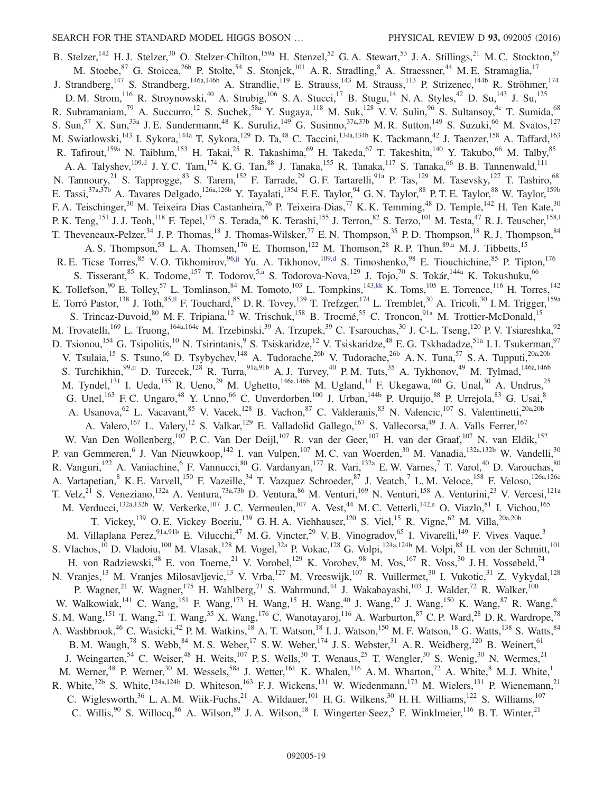<span id="page-18-2"></span><span id="page-18-1"></span><span id="page-18-0"></span>B. Stelzer,<sup>142</sup> H. J. Stelzer,<sup>30</sup> O. Stelzer-Chilton,<sup>159a</sup> H. Stenzel,<sup>52</sup> G. A. Stewart,<sup>53</sup> J. A. Stillings,<sup>21</sup> M. C. Stockton,<sup>87</sup> M. Stoebe, <sup>87</sup> G. Stoicea, <sup>26b</sup> P. Stolte, <sup>54</sup> S. Stonjek, <sup>101</sup> A. R. Stradling, <sup>8</sup> A. Straessner, <sup>44</sup> M. E. Stramaglia, <sup>17</sup> J. Strandberg,<sup>147</sup> S. Strandberg,<sup>146a,146b</sup> A. Strandlie,<sup>119</sup> E. Strauss,<sup>143</sup> M. Strauss,<sup>113</sup> P. Strizenec,<sup>144b</sup> R. Ströhmer,<sup>174</sup> D. M. Strom, <sup>116</sup> R. Stroynowski, <sup>40</sup> A. Strubig, <sup>106</sup> S. A. Stucci, <sup>17</sup> B. Stugu, <sup>14</sup> N. A. Styles, <sup>42</sup> D. Su, <sup>143</sup> J. Su, <sup>125</sup> R. Subramaniam,<sup>79</sup> A. Succurro,<sup>12</sup> S. Suchek,<sup>58a</sup> Y. Sugaya,<sup>118</sup> M. Suk,<sup>128</sup> V. V. Sulin,<sup>96</sup> S. Sultansoy,<sup>4c</sup> T. Sumida,<sup>68</sup> S. Sun,<sup>57</sup> X. Sun,<sup>33a</sup> J. E. Sundermann,<sup>48</sup> K. Suruliz,<sup>149</sup> G. Susinno,<sup>37a,37b</sup> M. R. Sutton,<sup>149</sup> S. Suzuki,<sup>66</sup> M. Svatos,<sup>127</sup> M. Swiatlowski,<sup>143</sup> I. Sykora,<sup>144a</sup> T. Sykora,<sup>129</sup> D. Ta,<sup>48</sup> C. Taccini,<sup>134a,134b</sup> K. Tackmann,<sup>42</sup> J. Taenzer,<sup>158</sup> A. Taffard,<sup>163</sup> R. Tafirout,<sup>159a</sup> N. Taiblum,<sup>153</sup> H. Takai,<sup>25</sup> R. Takashima,<sup>69</sup> H. Takeda,<sup>67</sup> T. Takeshita,<sup>140</sup> Y. Takubo,<sup>66</sup> M. Talby,<sup>85</sup> A. A. Talyshev,<sup>109[,d](#page-23-2)</sup> J. Y. C. Tam, <sup>174</sup> K. G. Tan, <sup>88</sup> J. Tanaka, <sup>155</sup> R. Tanaka, <sup>117</sup> S. Tanaka, <sup>66</sup> B. B. Tannenwald, <sup>111</sup> N. Tannoury,<sup>21</sup> S. Tapprogge,<sup>83</sup> S. Tarem,<sup>152</sup> F. Tarrade,<sup>29</sup> G. F. Tartarelli,<sup>91a</sup> P. Tas,<sup>129</sup> M. Tasevsky,<sup>127</sup> T. Tashiro,<sup>68</sup> E. Tassi,<sup>37a,37b</sup> A. Tavares Delgado,<sup>126a,126b</sup> Y. Tayalati,<sup>135d</sup> F. E. Taylor,<sup>94</sup> G. N. Taylor,<sup>88</sup> P. T. E. Taylor,<sup>88</sup> W. Taylor,<sup>159b</sup> F. A. Teischinger,<sup>30</sup> M. Teixeira Dias Castanheira,<sup>76</sup> P. Teixeira-Dias,<sup>77</sup> K. K. Temming,<sup>48</sup> D. Temple,<sup>142</sup> H. Ten Kate,<sup>30</sup> P. K. Teng,<sup>151</sup> J. J. Teoh,<sup>118</sup> F. Tepel,<sup>175</sup> S. Terada,<sup>66</sup> K. Terashi,<sup>155</sup> J. Terron,<sup>82</sup> S. Terzo,<sup>101</sup> M. Testa,<sup>47</sup> R. J. Teuscher,<sup>158,1</sup> T. Theveneaux-Pelzer,<sup>34</sup> J. P. Thomas,<sup>18</sup> J. Thomas-Wilsker,<sup>77</sup> E. N. Thompson,<sup>35</sup> P. D. Thompson,<sup>18</sup> R. J. Thompson,<sup>84</sup> A. S. Thompson,<sup>53</sup> L. A. Thomsen,<sup>176</sup> E. Thomson,<sup>122</sup> M. Thomson,<sup>28</sup> R. P. Thun,<sup>89[,a](#page-23-6)</sup> M. J. Tibbetts,<sup>15</sup> R. E. Ticse Torres, <sup>85</sup> V. O. Tikhomirov, <sup>96[,jj](#page-24-13)</sup> Yu. A. Tikhonov, <sup>109[,d](#page-23-2)</sup> S. Timoshenko, <sup>98</sup> E. Tiouchichine, <sup>85</sup> P. Tipton, <sup>176</sup> S. Tisserant,<sup>85</sup> K. Todome,<sup>157</sup> T. Todorov,<sup>[5,a](#page-23-6)</sup> S. Todorova-Nova,<sup>129</sup> J. Tojo,<sup>70</sup> S. Tokár,<sup>144a</sup> K. Tokushuku,<sup>66</sup> K. Tollefson,<sup>90</sup> E. Tolley,<sup>57</sup> L. Tomlinson,<sup>84</sup> M. Tomoto,<sup>103</sup> L. Tompkins,<sup>14[3,kk](#page-24-14)</sup> K. Toms,<sup>105</sup> E. Torrence,<sup>116</sup> H. Torres,<sup>142</sup> E. Torró Pastor,<sup>138</sup> J. Toth,<sup>8[5,ll](#page-24-15)</sup> F. Touchard,<sup>85</sup> D. R. Tovey,<sup>139</sup> T. Trefzger,<sup>174</sup> L. Tremblet,<sup>30</sup> A. Tricoli,<sup>30</sup> I. M. Trigger,<sup>159a</sup> S. Trincaz-Duvoid,<sup>80</sup> M. F. Tripiana,<sup>12</sup> W. Trischuk,<sup>158</sup> B. Trocmé,<sup>55</sup> C. Troncon,<sup>91a</sup> M. Trottier-McDonald,<sup>15</sup> M. Trovatelli,<sup>169</sup> L. Truong,<sup>164a,164c</sup> M. Trzebinski,<sup>39</sup> A. Trzupek,<sup>39</sup> C. Tsarouchas,<sup>30</sup> J. C-L. Tseng,<sup>120</sup> P. V. Tsiareshka,<sup>92</sup> D. Tsionou,<sup>154</sup> G. Tsipolitis,<sup>10</sup> N. Tsirintanis,<sup>9</sup> S. Tsiskaridze,<sup>12</sup> V. Tsiskaridze,<sup>48</sup> E. G. Tskhadadze,<sup>51a</sup> I. I. Tsukerman,<sup>97</sup> V. Tsulaia,<sup>15</sup> S. Tsuno,<sup>66</sup> D. Tsybychev,<sup>148</sup> A. Tudorache,<sup>26b</sup> V. Tudorache,<sup>26b</sup> A. N. Tuna,<sup>57</sup> S. A. Tupputi,<sup>20a,20b</sup> S. Turchikhin,<sup>9[9,ii](#page-24-12)</sup> D. Turecek,<sup>128</sup> R. Turra,<sup>91a,91b</sup> A. J. Turvey,<sup>40</sup> P. M. Tuts,<sup>35</sup> A. Tykhonov,<sup>49</sup> M. Tylmad,<sup>146a,146b</sup> M. Tyndel,<sup>131</sup> I. Ueda,<sup>155</sup> R. Ueno,<sup>29</sup> M. Ughetto,<sup>146a,146b</sup> M. Ugland,<sup>14</sup> F. Ukegawa,<sup>160</sup> G. Unal,<sup>30</sup> A. Undrus,<sup>25</sup> G. Unel,<sup>163</sup> F. C. Ungaro,<sup>48</sup> Y. Unno,<sup>66</sup> C. Unverdorben,<sup>100</sup> J. Urban,<sup>144b</sup> P. Urquijo,<sup>88</sup> P. Urrejola,<sup>83</sup> G. Usai,<sup>8</sup> A. Usanova, <sup>62</sup> L. Vacavant, <sup>85</sup> V. Vacek, <sup>128</sup> B. Vachon, <sup>87</sup> C. Valderanis, <sup>83</sup> N. Valencic, <sup>107</sup> S. Valentinetti, <sup>20a, 20b</sup> A. Valero,<sup>167</sup> L. Valery,<sup>12</sup> S. Valkar,<sup>129</sup> E. Valladolid Gallego,<sup>167</sup> S. Vallecorsa,<sup>49</sup> J. A. Valls Ferrer,<sup>167</sup> W. Van Den Wollenberg,<sup>107</sup> P. C. Van Der Deijl,<sup>107</sup> R. van der Geer,<sup>107</sup> H. van der Graaf,<sup>107</sup> N. van Eldik,<sup>152</sup> P. van Gemmeren, <sup>6</sup> J. Van Nieuwkoop, <sup>142</sup> I. van Vulpen, <sup>107</sup> M. C. van Woerden, <sup>30</sup> M. Vanadia, <sup>132a, 132b</sup> W. Vandelli, <sup>30</sup> R. Vanguri,<sup>122</sup> A. Vaniachine,<sup>6</sup> F. Vannucci,<sup>80</sup> G. Vardanyan,<sup>177</sup> R. Vari,<sup>132a</sup> E.W. Varnes,<sup>7</sup> T. Varol,<sup>40</sup> D. Varouchas,<sup>80</sup> A. Vartapetian, <sup>8</sup> K. E. Varvell,<sup>150</sup> F. Vazeille,<sup>34</sup> T. Vazquez Schroeder,<sup>87</sup> J. Veatch,<sup>7</sup> L. M. Veloce,<sup>158</sup> F. Veloso,<sup>126a,126c</sup> T. Velz,<sup>21</sup> S. Veneziano,<sup>132a</sup> A. Ventura,<sup>73a,73b</sup> D. Ventura,<sup>86</sup> M. Venturi,<sup>169</sup> N. Venturi,<sup>158</sup> A. Venturini,<sup>23</sup> V. Vercesi,<sup>121a</sup> M. Verducci,<sup>132a,132b</sup> W. Verkerke,<sup>107</sup> J. C. Vermeulen,<sup>107</sup> A. Vest,<sup>44</sup> M. C. Vetterli,<sup>142[,e](#page-23-3)</sup> O. Viazlo,<sup>81</sup> I. Vichou,<sup>165</sup> T. Vickey,<sup>139</sup> O. E. Vickey Boeriu,<sup>139</sup> G. H. A. Viehhauser,<sup>120</sup> S. Viel,<sup>15</sup> R. Vigne,<sup>62</sup> M. Villa,<sup>20a,20b</sup> M. Villaplana Perez, <sup>91a,91b</sup> E. Vilucchi,<sup>47</sup> M. G. Vincter,<sup>29</sup> V. B. Vinogradov,<sup>65</sup> I. Vivarelli,<sup>149</sup> F. Vives Vaque,<sup>3</sup> S. Vlachos,<sup>10</sup> D. Vladoiu,<sup>100</sup> M. Vlasak,<sup>128</sup> M. Vogel,<sup>32a</sup> P. Vokac,<sup>128</sup> G. Volpi,<sup>124a,124b</sup> M. Volpi,<sup>88</sup> H. von der Schmitt,<sup>101</sup> H. von Radziewski,<sup>48</sup> E. von Toerne,<sup>21</sup> V. Vorobel,<sup>129</sup> K. Vorobev,<sup>98</sup> M. Vos,<sup>167</sup> R. Voss,<sup>30</sup> J. H. Vossebeld,<sup>74</sup> N. Vranjes,<sup>13</sup> M. Vranjes Milosavljevic,<sup>13</sup> V. Vrba,<sup>127</sup> M. Vreeswijk,<sup>107</sup> R. Vuillermet,<sup>30</sup> I. Vukotic,<sup>31</sup> Z. Vykydal,<sup>128</sup> P. Wagner,<sup>21</sup> W. Wagner,<sup>175</sup> H. Wahlberg,<sup>71</sup> S. Wahrmund,<sup>44</sup> J. Wakabayashi,<sup>103</sup> J. Walder,<sup>72</sup> R. Walker,<sup>100</sup> W. Walkowiak,<sup>141</sup> C. Wang,<sup>151</sup> F. Wang,<sup>173</sup> H. Wang,<sup>15</sup> H. Wang,<sup>40</sup> J. Wang,<sup>42</sup> J. Wang,<sup>150</sup> K. Wang,<sup>87</sup> R. Wang,<sup>6</sup> S. M. Wang,<sup>151</sup> T. Wang,<sup>21</sup> T. Wang,<sup>35</sup> X. Wang,<sup>176</sup> C. Wanotayaroj,<sup>116</sup> A. Warburton,<sup>87</sup> C. P. Ward,<sup>28</sup> D. R. Wardrope,<sup>78</sup> A. Washbrook,<sup>46</sup> C. Wasicki,<sup>42</sup> P. M. Watkins,<sup>18</sup> A. T. Watson,<sup>18</sup> I. J. Watson,<sup>150</sup> M. F. Watson,<sup>18</sup> G. Watts,<sup>138</sup> S. Watts,<sup>84</sup> B. M. Waugh,<sup>78</sup> S. Webb,<sup>84</sup> M. S. Weber,<sup>17</sup> S. W. Weber,<sup>174</sup> J. S. Webster,<sup>31</sup> A. R. Weidberg,<sup>120</sup> B. Weinert,<sup>61</sup> J. Weingarten,<sup>54</sup> C. Weiser,<sup>48</sup> H. Weits,<sup>107</sup> P.S. Wells,<sup>30</sup> T. Wenaus,<sup>25</sup> T. Wengler,<sup>30</sup> S. Wenig,<sup>30</sup> N. Wermes,<sup>21</sup> M. Werner,<sup>48</sup> P. Werner,<sup>30</sup> M. Wessels,<sup>58a</sup> J. Wetter,<sup>161</sup> K. Whalen,<sup>116</sup> A. M. Wharton,<sup>72</sup> A. White,<sup>8</sup> M. J. White,<sup>1</sup> R. White,<sup>32b</sup> S. White,<sup>124a,124b</sup> D. Whiteson,<sup>163</sup> F. J. Wickens,<sup>131</sup> W. Wiedenmann,<sup>173</sup> M. Wielers,<sup>131</sup> P. Wienemann,<sup>21</sup> C. Wiglesworth,<sup>36</sup> L. A. M. Wiik-Fuchs,<sup>21</sup> A. Wildauer,<sup>101</sup> H. G. Wilkens,<sup>30</sup> H. H. Williams,<sup>122</sup> S. Williams,<sup>107</sup> C. Willis,  $90^\circ$  S. Willocq,  $86^\circ$  A. Wilson,  $89^\circ$  J. A. Wilson,  $18^\circ$  I. Wingerter-Seez,  $5^\circ$  F. Winklmeier,  $116^\circ$  B. T. Winter,  $21^\circ$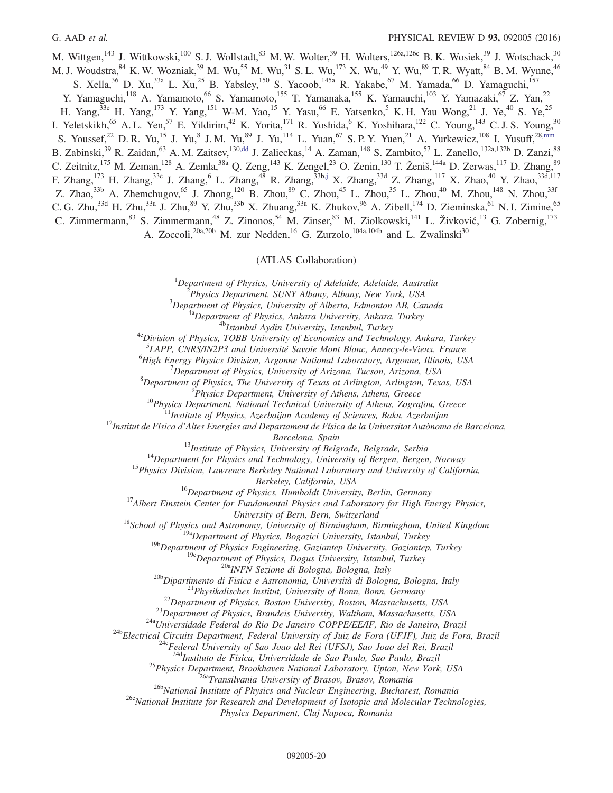<span id="page-19-0"></span>M. Wittgen,<sup>143</sup> J. Wittkowski,<sup>100</sup> S.J. Wollstadt,<sup>83</sup> M.W. Wolter,<sup>39</sup> H. Wolters,<sup>126a,126c</sup> B.K. Wosiek,<sup>39</sup> J. Wotschack,<sup>30</sup> M. J. Woudstra, <sup>84</sup> K. W. Wozniak, <sup>39</sup> M. Wu, <sup>55</sup> M. Wu, <sup>31</sup> S. L. Wu, <sup>173</sup> X. Wu, <sup>49</sup> Y. Wu, <sup>89</sup> T. R. Wyatt, <sup>84</sup> B. M. Wynne, <sup>46</sup> S. Xella,<sup>36</sup> D. Xu,<sup>33a</sup> L. Xu,<sup>25</sup> B. Yabsley,<sup>150</sup> S. Yacoob,<sup>145a</sup> R. Yakabe,<sup>67</sup> M. Yamada,<sup>66</sup> D. Yamaguchi,<sup>157</sup> Y. Yamaguchi,<sup>118</sup> A. Yamamoto,<sup>66</sup> S. Yamamoto,<sup>155</sup> T. Yamanaka,<sup>155</sup> K. Yamauchi,<sup>103</sup> Y. Yamazaki,<sup>67</sup> Z. Yan,<sup>22</sup> H. Yang,<sup>33e</sup> H. Yang,<sup>173</sup> Y. Yang,<sup>151</sup> W-M. Yao,<sup>15</sup> Y. Yasu,<sup>66</sup> E. Yatsenko,<sup>5</sup> K. H. Yau Wong,<sup>21</sup> J. Ye,<sup>40</sup> S. Ye,<sup>25</sup> I. Yeletskikh,<sup>65</sup> A. L. Yen,<sup>57</sup> E. Yildirim,<sup>42</sup> K. Yorita,<sup>171</sup> R. Yoshida,<sup>6</sup> K. Yoshihara,<sup>122</sup> C. Young,<sup>143</sup> C. J. S. Young,<sup>30</sup> S. Youssef,<sup>22</sup> D. R. Yu,<sup>15</sup> J. Yu,<sup>8</sup> J. M. Yu,<sup>89</sup> J. Yu,<sup>114</sup> L. Yuan,<sup>67</sup> S. P. Y. Yuen,<sup>21</sup> A. Yurkewicz,<sup>108</sup> I. Yusuff,<sup>2[8,mm](#page-24-16)</sup> B. Zabinski,<sup>39</sup> R. Zaidan,<sup>63</sup> A. M. Zaitsev,<sup>130[,dd](#page-24-7)</sup> J. Zalieckas,<sup>14</sup> A. Zaman,<sup>148</sup> S. Zambito,<sup>57</sup> L. Zanello,<sup>132a,132b</sup> D. Zanzi,<sup>88</sup> C. Zeitnitz, <sup>175</sup> M. Zeman, <sup>128</sup> A. Zemla, <sup>38a</sup> Q. Zeng, <sup>143</sup> K. Zengel, <sup>23</sup> O. Zenin, <sup>130</sup> T. Ženiš, <sup>144a</sup> D. Zerwas, <sup>117</sup> D. Zhang, <sup>89</sup> F. Zhang,<sup>173</sup> H. Zhang,<sup>33c</sup> J. Zhang,<sup>6</sup> L. Zhang,<sup>48</sup> R. Zhang,<sup>33[b,j](#page-23-9)</sup> X. Zhang,<sup>33d</sup> Z. Zhang,<sup>117</sup> X. Zhao,<sup>40</sup> Y. Zhao,<sup>33d,117</sup> Z. Zhao, $33b$  A. Zhemchugov, $65$  J. Zhong, $120$  B. Zhou, $89$  C. Zhou, $45$  L. Zhou, $35$  L. Zhou, $40$  M. Zhou, $148$  N. Zhou, $33f$ C. G. Zhu,<sup>33d</sup> H. Zhu,<sup>33a</sup> J. Zhu,<sup>89</sup> Y. Zhu,<sup>33b</sup> X. Zhuang,<sup>33a</sup> K. Zhukov,<sup>96</sup> A. Zibell,<sup>174</sup> D. Zieminska,<sup>61</sup> N. I. Zimine,<sup>65</sup> C. Zimmermann,<sup>83</sup> S. Zimmermann,<sup>48</sup> Z. Zinonos,<sup>54</sup> M. Zinser,<sup>83</sup> M. Ziolkowski,<sup>141</sup> L. Živković,<sup>13</sup> G. Zobernig,<sup>173</sup>

A. Zoccoli,<sup>20a,20b</sup> M. zur Nedden,<sup>16</sup> G. Zurzolo,<sup>104a,104b</sup> and L. Zwalinski<sup>30</sup>

## (ATLAS Collaboration)

<sup>1</sup>Department of Physics, University of Adelaide, Adelaide, Australia<br><sup>2</sup> Physics Department, SUNY Albany, Albany, New York, USA

 $^{2}$ Physics Department, SUNY Albany, Albany, New York, USA  $^{3}$ Department of Physics, University of Alberta, Edmonton AB, Canada

<sup>4a</sup>Department of Physics, Ankara University, Ankara, Turkey<br><sup>4b</sup>Istanbul Aydin University, Istanbul, Turkey<br><sup>4c</sup>Division of Physics, TOBB University of Economics and Technology, Ankara, Turkey

<sup>5</sup>LAPP, CNRS/IN2P3 and Université Savoie Mont Blanc, Annecy-le-Vieux, France<br><sup>6</sup>High Engrey Physics Division, Argonna National Laboratory Argonna, Illinois, US

 ${}^{6}$ High Energy Physics Division, Argonne National Laboratory, Argonne, Illinois, USA

 $^7$ Department of Physics, University of Arizona, Tucson, Arizona, USA

 ${}^8$ Department of Physics, The University of Texas at Arlington, Arlington, Texas, USA  ${}^9$ Physics Department, University of Athens, Athens, Greece

<sup>10</sup>Physics Department, National Technical University of Athens, Zografou, Greece<br><sup>11</sup>Institute of Physics, Azerbaijan Academy of Sciences, Baku, Azerbaijan<br><sup>12</sup>Institut de Física d'Altes Energies and Departament de Físic

Barcelona, Spain<br><sup>13</sup>Institute of Physics, University of Belgrade, Belgrade, Serbia<br><sup>14</sup>Department for Physics and Technology, University of Bergen, Bergen, Norway<br><sup>15</sup>Physics Division, Lawrence Berkeley National Laborator

Berkeley, California, USA<br><sup>16</sup>Department of Physics, Humboldt University, Berlin, Germany<br><sup>17</sup>Albert Einstein Center for Fundamental Physics and Laboratory for High Energy Physics,

University of Bern, Switzerland<br><sup>18</sup>School of Physics and Astronomy, University of Birmingham, Birmingham, United Kingdom<br><sup>19a</sup>Department of Physics, Bogazici University, Istanbul, Turkey<br><sup>19b</sup>Department of Physics Engine

<sup>19</sup><sup>C</sup>Department of Physics, Dogus University, Istanbul, Turkey<br><sup>206</sup>Dipartimento di Fisica e Astronomia, Università di Bologna, Bologna, Italy<br><sup>206</sup>Dipartimento di Fisica e Astronomia, Università di Bologna, Bologna, It

<sup>25</sup>Physics Department, Brookhaven National Laboratory, Upton, New York, USA<br><sup>26a</sup>Transilvania University of Brasov, Brasov, Romania<br><sup>26b</sup>National Institute of Physics and Nuclear Engineering, Bucharest, Romania<br><sup>26c</sup>Nati

Physics Department, Cluj Napoca, Romania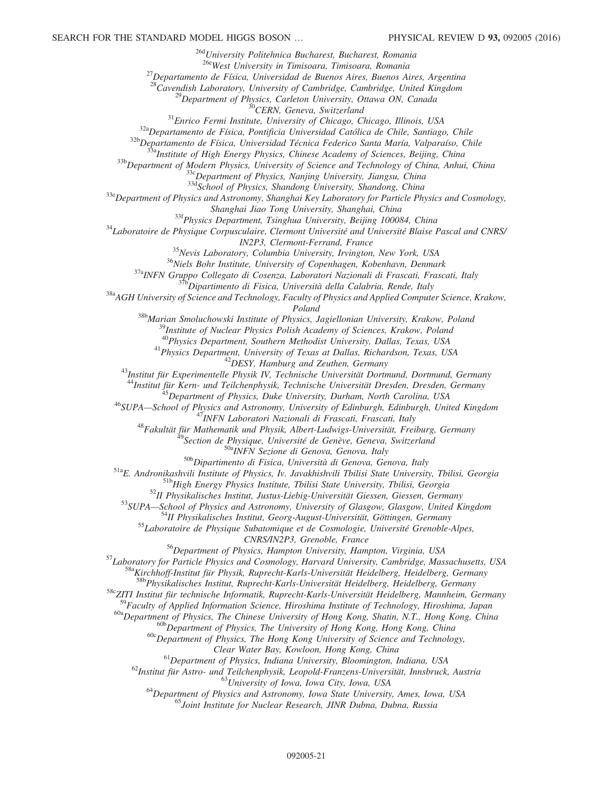<sup>26d</sup>University Politehnica Bucharest, Bucharest, Romania<br><sup>26e</sup>West University in Timisoara, Timisoara, Romania <sup>27</sup>Departamento de Física, Universidad de Buenos Aires, Buenos Aires, Argentina<br><sup>28</sup>Cavendish Laboratory, University of Cambridge, Cambridge, United Kingdom <sup>29</sup>Department of Physics, Carleton University, Ottawa ON, Canada<br><sup>30</sup>CERN, Geneva, Switzerland<br><sup>31</sup>Enrico Fermi Institute, University of Chicago, Chicago, Illinois, USA<br><sup>32a</sup>Departamento de Física, Pontificia Universidad Shanghai Jiao Tong University, Shanghai, China<br><sup>33</sup> Laboratoire de Physique Corpusculaire, Clermont Université and Université Blaise Pascal and CNRS/<br><sup>34</sup> Laboratoire de Physique Corpusculaire, Clermont Université and Univ IN2P3, Clermont-Ferrand, France<br><sup>35</sup>Nevis Laboratory, Columbia University, Irvington, New York, USA<br><sup>36</sup>Niels Bohr Institute, University of Copenhagen, Kobenhavn, Denmark<br><sup>37a</sup>INFN Gruppo Collegato di Cosenza, Laboratori Poland<br><sup>38b</sup>Marian Smoluchowski Institute of Physics, Jagiellonian University, Krakow, Poland<br><sup>39</sup>Institute of Nuclear Physics Polish Academy of Sciences, Krakow, Poland<br><sup>40</sup>Physics Department, Southern Methodist Universit <sup>41</sup>Physics Department, University of Texas at Dallas, Richardson, Texas, USA<br><sup>42</sup>DESY, Hamburg and Zeuthen, Germany<br><sup>43</sup>Institut für Experimentelle Physik IV, Technische Universität Dortmund, Dortmund, Germany<br><sup>44</sup>Instit <sup>345</sup> Department of Physics, Duke University, Durham, North Carolina, USA<br><sup>46</sup> SUPA—School of Physics and Astronomy, University of Edinburgh, Edinburgh, United Kingdom<br><sup>47</sup> INFN Laboratori Nazionali di Frascati, Frascati, 55 Laboratoire de Physique Subatomique et de Cosmologie, Université Grenoble-Alpes, CNRS/IN2P3, Grenoble, France<br><sup>56</sup>Department of Physics, Hampton University, Hampton, Virginia, USA<br><sup>57</sup>Laboratory for Particle Physics and Cosmology, Harvard University, Cambridge, Massachusetts, USA<br><sup>588</sup>Kirchhoff-Institu <sup>58c</sup>ZITI Institut für technische Informatik, Ruprecht-Karls-Universität Heidelberg, Mannheim, Germany <sup>59</sup>Faculty of Applied Information Science, Hiroshima Institute of Technology, Hiroshima, Japan<br><sup>60a</sup>Department of Physics, The Chinese University of Hong Kong, Shatin, N.T., Hong Kong, China<br><sup>60b</sup>Department of Physics, T

Clear Water Bay, Kowloon, Hong Kong, China<br><sup>61</sup>Department of Physics, Indiana University, Bloomington, Indiana, USA<br><sup>62</sup>Institut für Astro- und Teilchenphysik, Leopold-Franzens-Universität, Innsbruck, Austria<br><sup>63</sup>Universit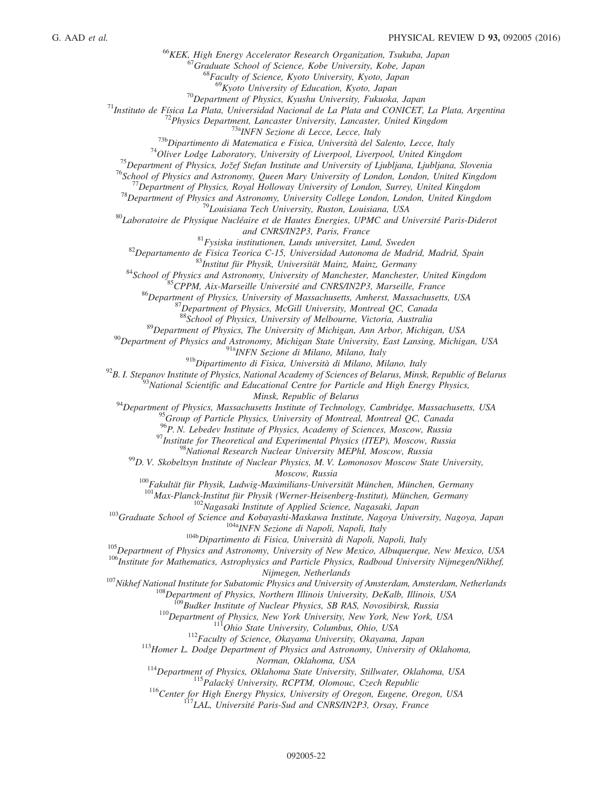<sup>66</sup>KEK, High Energy Accelerator Research Organization, Tsukuba, Japan <sup>67</sup>Graduate School of Science, Kobe University, Kobe, Japan <sup>68</sup>Kyoto University of Education, Kyoto, Japan *69*Kyoto University of Education, Kyoto, <sup>69</sup> Kyoto University of Education, Kyoto, Japan<br><sup>71</sup> Instituto de Física La Plata, Universidad Nacional de La Plata and CONICET, La Plata, Argentina<br><sup>72</sup> Physics Department, Lancaster University, Eukuoka, Japan<br><sup>72</sup> Phys and CNRS/IN2P3, Paris, France<br><sup>81</sup>Fysiska institutionen, Lunds universitet, Lund, Sweden<br><sup>82</sup>Departamento de Fisica Teorica C-15, Universitad Autonoma de Madrid, Madrid, Spain<br><sup>83</sup>Institut für Physik, Universität Mainz, M <sup>89</sup>Department of Physics, The University of Michigan, Ann Arbor, Michigan, USA<br><sup>90</sup>Department of Physics and Astronomy, Michigan State University, East Lansing, Michigan, USA<br><sup>91a</sup>INFN Sezione di Milano, Milano, Italy<br><sup>9</sup> <sup>92</sup>B. I. Stepanov Institute of Physics, National Academy of Sciences of Belarus, Minsk, Republic of Belarus<br><sup>93</sup>National Scientific and Educational Centre for Particle and High Energy Physics, Minsk, Republic of Belarus<br><sup>94</sup>Department of Physics, Massachusetts Institute of Technology, Cambridge, Massachusetts, USA <sup>95</sup>Group of Particle Physics, University of Montreal, Montreal QC, Canada<br><sup>96</sup>P. N. Lebedev Institute of Physics, Academy of Sciences, Moscow, Russia <sup>97</sup>Institute for Theoretical and Experimental Physics (ITEP), Moscow, Russia<br><sup>98</sup>National Research Nuclear University MEPhI, Moscow, Russia<br><sup>99</sup>D. V. Skobeltsyn Institute of Nuclear Physics, M. V. Lomonosov Moscow State Moscow, Russia<br><sup>100</sup>Fakultät für Physik, Ludwig-Maximilians-Universität München, München, Germany<br><sup>101</sup>Max-Planck-Institut für Physik (Werner-Heisenberg-Institut), München, Germany <sup>103</sup>Graduate School of Science and Kobayashi-Maskawa Institute, Nagasaki, Japan<br><sup>103</sup>Graduate School of Science and Kobayashi-Maskawa Institute, Nagoya University, Nagoya, Japan<br><sup>104</sup>Dipartimento di Fisica, Università di <sup>107</sup>Nikhef National Institute for Subatomic Physics and University of Amsterdam, Amsterdam, Netherlands<br><sup>107</sup>Nikhef National Institute for Subatomic Physics and University of Amsterdam, Amsterdam, Netherlands<br><sup>108</sup>Departm <sup>114</sup>Department of Physics, Oklahoma State University, Stillwater, Oklahoma, USA<br><sup>115</sup>Palacký University, RCPTM, Olomouc, Czech Republic<br><sup>116</sup>Center for High Energy Physics, University of Oregon, Eugene, Oregon, USA<br><sup>117</sup>L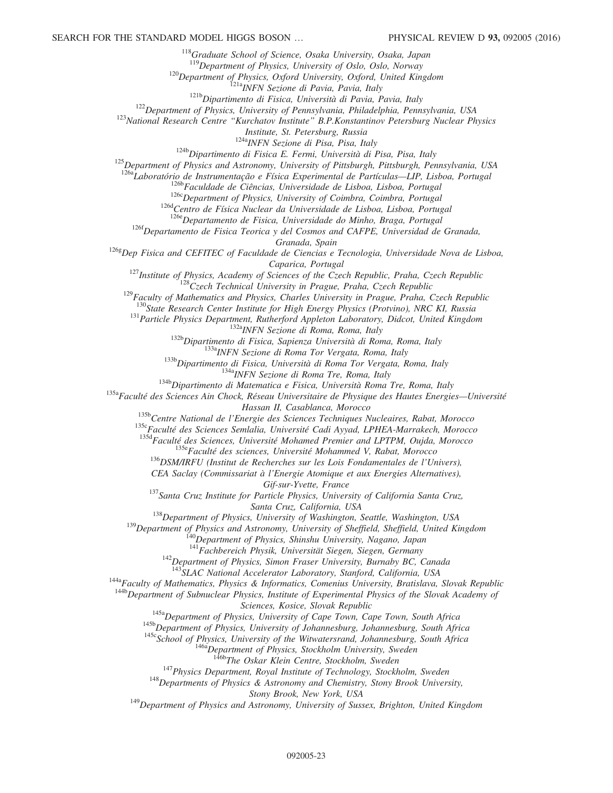<sup>118</sup>Graduate School of Science, Osaka University, Osaka, Japan<br><sup>119</sup>Department of Physics, University of Oslo, Oslo, Norway

<sup>120</sup>Department of Physics, Oxford University, Oxford, United Kingdom<br><sup>121b</sup>Dipartimento di Fisica, Università di Pavia, Pavia, Italy<br><sup>121</sup>Department of Physics, University of Pennsylvania, Philadelphia, Pennsylvania, USA

<sup>124b</sup>Dipartimento di Fisica E. Fermi, Università di Pisa, Pisa, Italy<br><sup>125</sup>Department of Physics and Astronomy, University of Pittsburgh, Pittsburgh, Pennsylvania, USA

<sup>126a</sup>Laboratório de Instrumentação e Física Experimental de Partículas—LIP, Lisboa, Portugal<br><sup>126b</sup>Faculdade de Ciências, Universidade de Lisboa, Lisboa, Portugal<br><sup>126d</sup>Centro de Física Nuclear da Universidade de Lisboa,

 $126f$ Departamento de Fisica Teorica y del Cosmos and CAFPE, Universidad de Granada,

Granada, Spain

 $1268$ Dep Fisica and CEFITEC of Faculdade de Ciencias e Tecnologia, Universidade Nova de Lisboa,

Caparica, Portugal<br><sup>127</sup>Institute of Physics, Academy of Sciences of the Czech Republic, Praha, Czech Republic<br><sup>128</sup>Czech Technical University in Prague, Praha, Czech Republic<br><sup>129</sup>Faculty of Mathematics and Physics, Charl

<sup>131</sup>Particle Physics Department, Rutherford Appleton Laboratory, Didcot, United Kingdom<br><sup>132b</sup>Dipartimento di Fisica, Sapienza Università di Roma, Roma, Italy<br><sup>133b</sup>Dipartimento di Fisica, Sapienza Università di Roma, Ro

<sup>135b</sup>Centre National de l'Energie des Sciences Techniques Nucleaires, Rabat, Morocco<br><sup>1356</sup>Faculté des Sciences Semlalia, Université Cadi Ayyad, LPHEA-Marrakech, Morocco<br><sup>135d</sup>Faculté des Sciences, Université Mohamed Pre

CEA Saclay (Commissariat à l'Energie Atomique et aux Energies Alternatives),

Gif-sur-Yvette, France<br><sup>137</sup>Santa Cruz Institute for Particle Physics, University of California Santa Cruz,

Santa Cruz, California, USA<br>
<sup>138</sup>Department of Physics, University of Washington, Seattle, Washington, USA<br>
<sup>139</sup>Department of Physics and Astronomy, University of Sheffield, Sheffield, United Kingdom<br>
<sup>140</sup>Department of

<sup>142</sup>Department of Physics, Simon Fraser University, Burnaby BC, Canada<br><sup>143</sup>SLAC National Accelerator Laboratory, Stanford, California, USA

<sup>144a</sup> Faculty of Mathematics, Physics & Informatics, Comenius University, Bratislava, Slovak Republic<br><sup>144b</sup> Department of Subnuclear Physics, Institute of Experimental Physics of the Slovak Academy of

Sciences, Kosice, Slovak Republic<br><sup>145a</sup>Department of Physics, University of Cape Town, Cape Town, South Africa<br><sup>145b</sup>Department of Physics, University of Johannesburg, Johannesburg, South Africa<br><sup>145c</sup>School of Physics, U

<sup>147</sup>Physics Department, Royal Institute of Technology, Stockholm, Sweden  $148$ Departments of Physics & Astronomy and Chemistry, Stony Brook University, Stony Brook University, Stony Brook, New York, USA

 $149$ Department of Physics and Astronomy, University of Sussex, Brighton, United Kingdom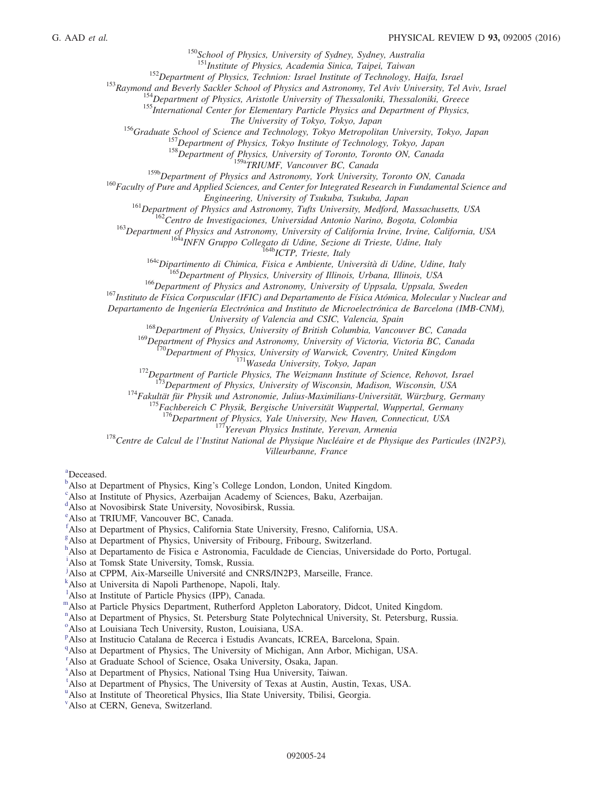<sup>150</sup>School of Physics, University of Sydney, Sydney, Australia<br><sup>151</sup>Institute of Physics, Academia Sinica, Taipei, Taiwan

<sup>153</sup>Department of Physics, Technion: Israel Institute of Technology, Haifa, Israel<br><sup>153</sup>Raymond and Beverly Sackler School of Physics and Astronomy, Tel Aviv University, Tel Aviv, Israel<br><sup>154</sup>Department of Physics, Arist

<sup>156</sup>Graduate School of Science and Technology, Tokyo Metropolitan University, Tokyo, Japan<br><sup>157</sup>Department of Physics, Tokyo Institute of Technology, Tokyo, Japan

158<br>Department of Physics, University of Toronto, Toronto ON, Canada<br><sup>159b</sup>Department of Physics and Astronomy, York University, Toronto ON, Canada

 $160$  Faculty of Pure and Applied Sciences, and Center for Integrated Research in Fundamental Science and

Engineering, University of Tsukuba, Tsukuba, Japan<br>
<sup>161</sup>Department of Physics and Astronomy, Tufts University, Medford, Massachusetts, USA<br>
<sup>162</sup>Centro de Investigaciones, Universidad Antonio Narino, Bogota, Colombia<br>
<sup>16</sup>

Departamento de Ingeniería Electrónica and Instituto de Microelectrónica de Barcelona (IMB-CNM),

 $168$ Department of Physics, University of British Columbia, Vancouver BC, Canada<br><sup>169</sup>Department of Physics and Astronomy, University of Victoria, Victoria BC, Canada

<sup>170</sup>Department of Physics, University of Warwick, Coventry, United Kingdom<br><sup>171</sup>Waseda University, Tokyo, Japan<br><sup>172</sup>Department of Particle Physics, The Weizmann Institute of Science, Rehovot, Israel<br><sup>173</sup>Department of P

<sup>176</sup>Department of Physics, Yale University, New Haven, Connecticut, USA<br><sup>178</sup>Centre de Calcul de l'Institut National de Physique Nucléaire et de Physique des Particules (IN2P3),

Villeurbanne, France

<span id="page-23-6"></span>[a](#page-11-3) Deceased.

<span id="page-23-1"></span>Also at Institute of Physics, Azerbaijan Academy of Sciences, Baku, Azerbaijan.

<span id="page-23-2"></span>[d](#page-11-3) Also at Novosibirsk State University, Novosibirsk, Russia.

<span id="page-23-3"></span>[e](#page-11-6) Also at TRIUMF, Vancouver BC, Canada.

<span id="page-23-4"></span>[f](#page-11-7) Also at Department of Physics, California State University, Fresno, California, USA.

<span id="page-23-5"></span><sup>[g](#page-11-8)</sup> Also at Department of Physics, University of Fribourg, Fribourg, Switzerland.

<span id="page-23-7"></span>[h](#page-12-0) Also at Departamento de Fisica e Astronomia, Faculdade de Ciencias, Universidade do Porto, Portugal.

<span id="page-23-8"></span>[i](#page-12-1) Also at Tomsk State University, Tomsk, Russia.

<span id="page-23-9"></span><sup>[j](#page-12-2)</sup>Also at CPPM, Aix-Marseille Université and CNRS/IN2P3, Marseille, France.

<span id="page-23-10"></span>[k](#page-12-3) Also at Universita di Napoli Parthenope, Napoli, Italy.

<span id="page-23-11"></span><sup>1</sup>A[l](#page-12-4)so at Institute of Particle Physics (IPP), Canada.

<span id="page-23-12"></span>[m](#page-12-5)Also at Particle Physics Department, Rutherford Appleton Laboratory, Didcot, United Kingdom.

<span id="page-23-13"></span><sup>[n](#page-13-0)</sup>Also at Department of Physics, St. Petersburg State Polytechnical University, St. Petersburg, Russia.

<span id="page-23-14"></span><sup>[o](#page-13-1)</sup>Also at Louisiana Tech University, Ruston, Louisiana, USA.

<span id="page-23-15"></span><su[p](#page-13-2)>p</sup>Also at Institucio Catalana de Recerca i Estudis Avancats, ICREA, Barcelona, Spain.

<span id="page-23-16"></span><sup>[q](#page-13-3)</sup>Also at Department of Physics, The University of Michigan, Ann Arbor, Michigan, USA.

<span id="page-23-17"></span><sup>[r](#page-14-0)</sup> Also at Graduate School of Science, Osaka University, Osaka, Japan.

<span id="page-23-18"></span>[s](#page-14-1) Also at Department of Physics, National Tsing Hua University, Taiwan.

<span id="page-23-19"></span><sup>[t](#page-14-2)</sup>Also at Department of Physics, The University of Texas at Austin, Austin, Texas, USA.

<span id="page-23-20"></span><s[u](#page-14-3)p>u</sup>Also at Institute of Theoretical Physics, Ilia State University, Tbilisi, Georgia.

<span id="page-23-21"></span>[v](#page-14-4) Also at CERN, Geneva, Switzerland.

<span id="page-23-0"></span> $\mu^b$  $\mu^b$ Also at Department of Physi[c](#page-11-5)s, King's College London, London, United Kingdom.